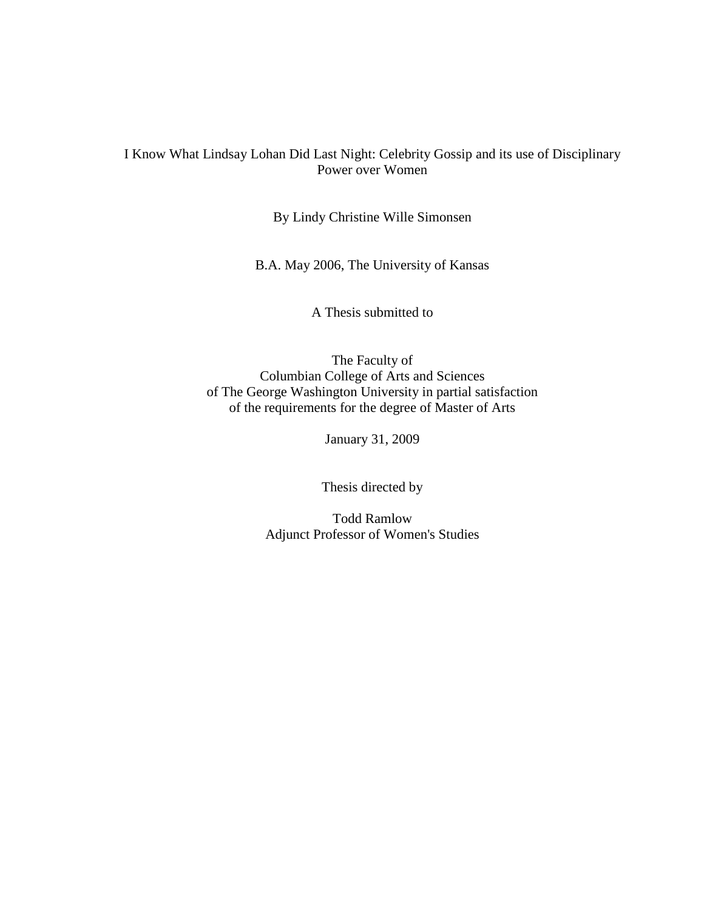## I Know What Lindsay Lohan Did Last Night: Celebrity Gossip and its use of Disciplinary Power over Women

By Lindy Christine Wille Simonsen

B.A. May 2006, The University of Kansas

A Thesis submitted to

The Faculty of Columbian College of Arts and Sciences of The George Washington University in partial satisfaction of the requirements for the degree of Master of Arts

January 31, 2009

Thesis directed by

Todd Ramlow Adjunct Professor of Women's Studies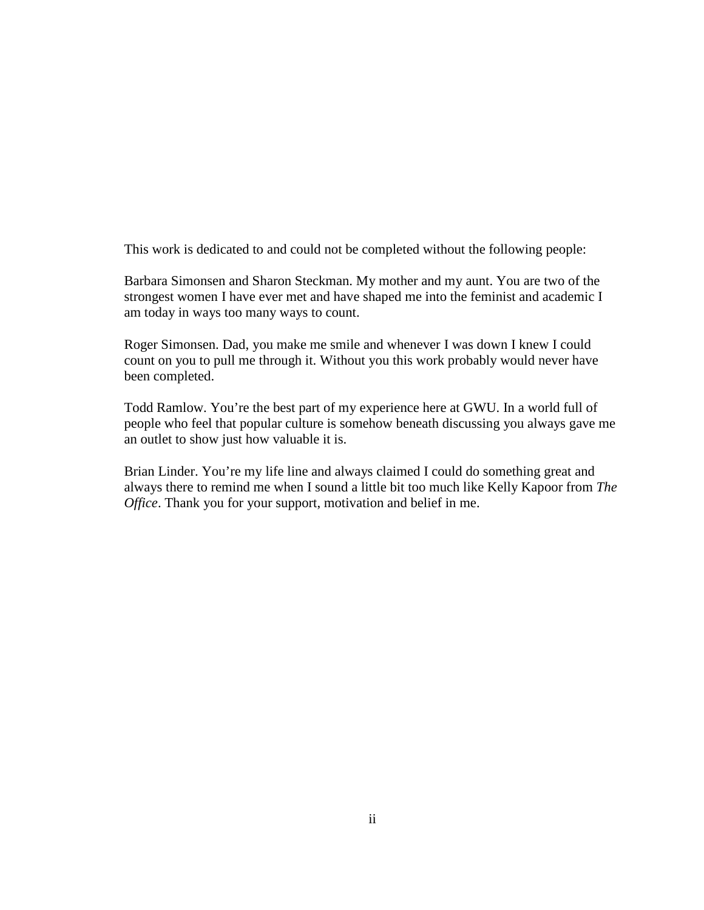This work is dedicated to and could not be completed without the following people:

Barbara Simonsen and Sharon Steckman. My mother and my aunt. You are two of the strongest women I have ever met and have shaped me into the feminist and academic I am today in ways too many ways to count.

Roger Simonsen. Dad, you make me smile and whenever I was down I knew I could count on you to pull me through it. Without you this work probably would never have been completed.

Todd Ramlow. You're the best part of my experience here at GWU. In a world full of people who feel that popular culture is somehow beneath discussing you always gave me an outlet to show just how valuable it is.

Brian Linder. You're my life line and always claimed I could do something great and always there to remind me when I sound a little bit too much like Kelly Kapoor from *The Office*. Thank you for your support, motivation and belief in me.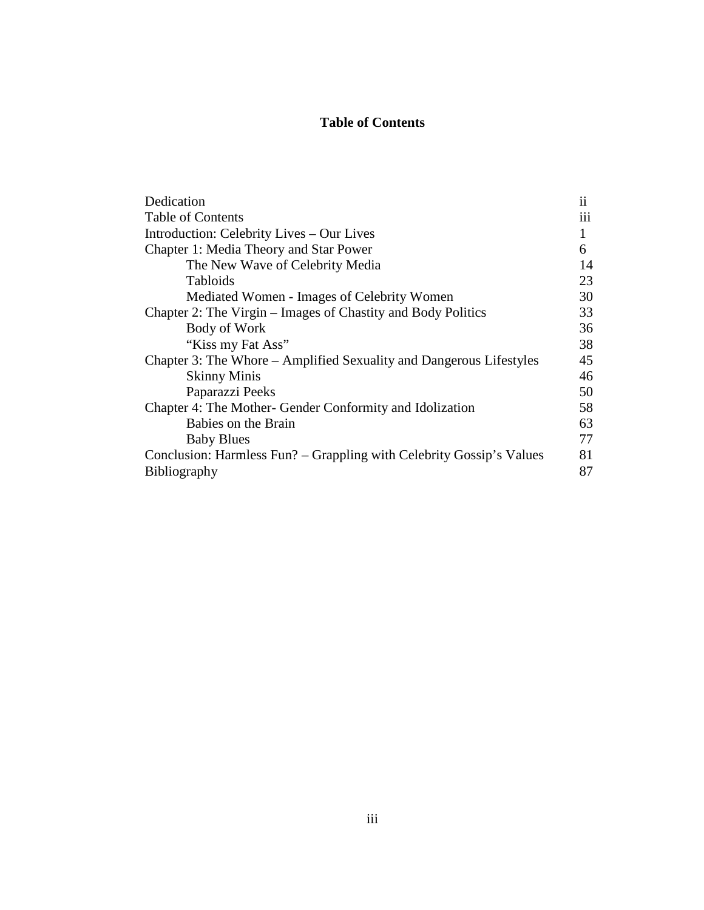# **Table of Contents**

| Dedication                                                           | $\mathbf{ii}$ |
|----------------------------------------------------------------------|---------------|
| <b>Table of Contents</b>                                             | 111           |
| Introduction: Celebrity Lives – Our Lives                            | 1             |
| Chapter 1: Media Theory and Star Power                               | 6             |
| The New Wave of Celebrity Media                                      | 14            |
| <b>Tabloids</b>                                                      | 23            |
| Mediated Women - Images of Celebrity Women                           | 30            |
| Chapter 2: The Virgin – Images of Chastity and Body Politics         | 33            |
| Body of Work                                                         | 36            |
| "Kiss my Fat Ass"                                                    | 38            |
| Chapter 3: The Whore – Amplified Sexuality and Dangerous Lifestyles  | 45            |
| <b>Skinny Minis</b>                                                  | 46            |
| Paparazzi Peeks                                                      | 50            |
| Chapter 4: The Mother- Gender Conformity and Idolization             | 58            |
| Babies on the Brain                                                  | 63            |
| <b>Baby Blues</b>                                                    | 77            |
| Conclusion: Harmless Fun? – Grappling with Celebrity Gossip's Values | 81            |
| <b>Bibliography</b>                                                  | 87            |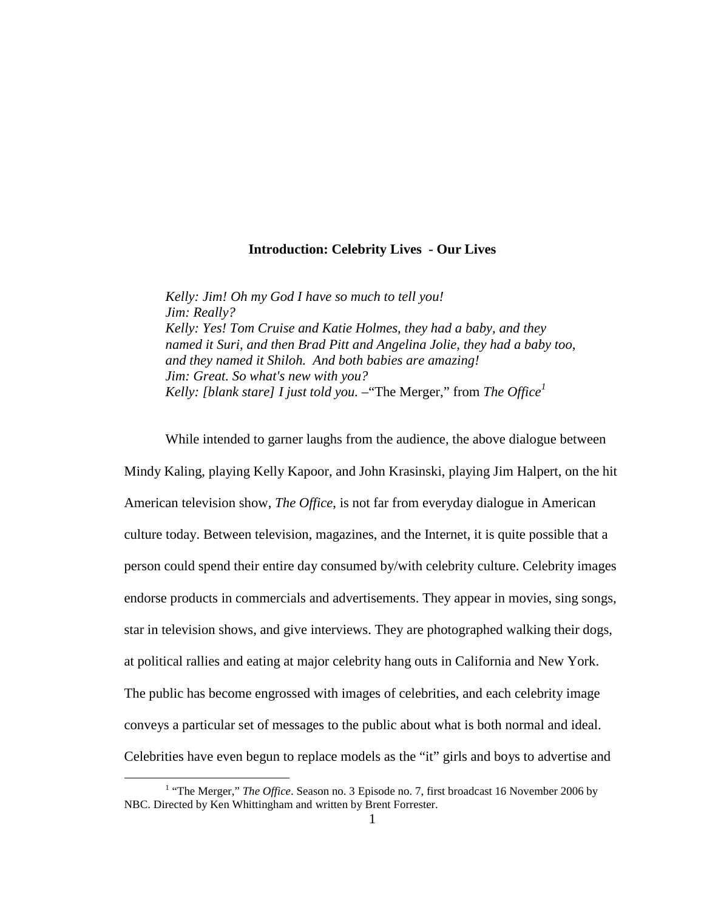## **Introduction: Celebrity Lives - Our Lives**

*Kelly: Jim! Oh my God I have so much to tell you! Jim: Really? Kelly: Yes! Tom Cruise and Katie Holmes, they had a baby, and they named it Suri, and then Brad Pitt and Angelina Jolie, they had a baby too, and they named it Shiloh. And both babies are amazing! Jim: Great. So what's new with you? Kelly: [blank stare] I just told you.* –"The Merger," from *The Office<sup>1</sup>*

While intended to garner laughs from the audience, the above dialogue between Mindy Kaling, playing Kelly Kapoor, and John Krasinski, playing Jim Halpert, on the hit American television show, *The Office*, is not far from everyday dialogue in American culture today. Between television, magazines, and the Internet, it is quite possible that a person could spend their entire day consumed by/with celebrity culture. Celebrity images endorse products in commercials and advertisements. They appear in movies, sing songs, star in television shows, and give interviews. They are photographed walking their dogs, at political rallies and eating at major celebrity hang outs in California and New York. The public has become engrossed with images of celebrities, and each celebrity image conveys a particular set of messages to the public about what is both normal and ideal. Celebrities have even begun to replace models as the "it" girls and boys to advertise and

<u>.</u>

<sup>&</sup>lt;sup>1</sup> "The Merger," *The Office*. Season no. 3 Episode no. 7, first broadcast 16 November 2006 by NBC. Directed by Ken Whittingham and written by Brent Forrester.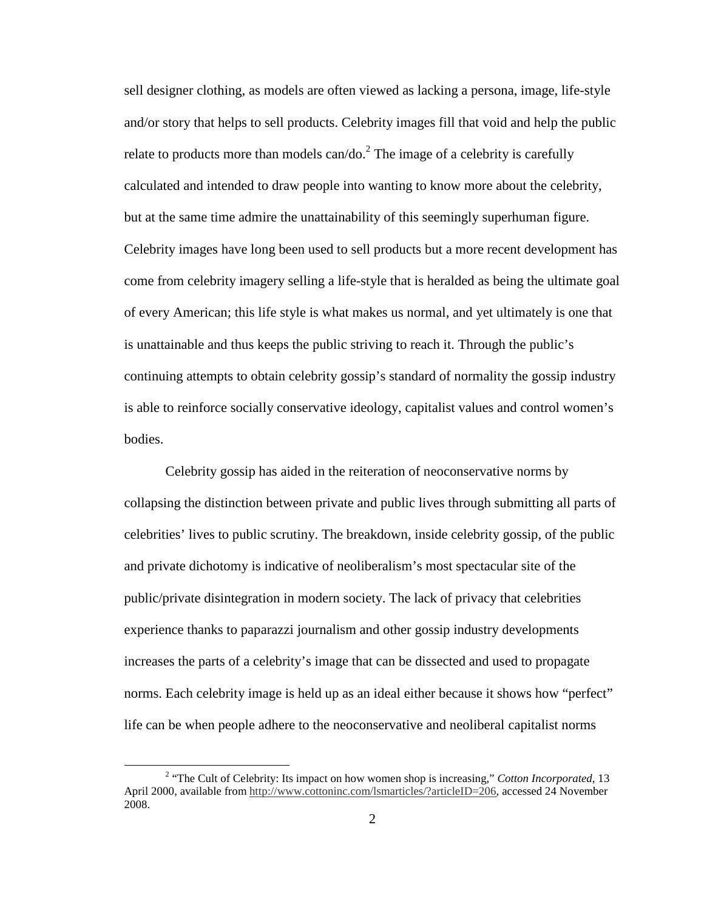sell designer clothing, as models are often viewed as lacking a persona, image, life-style and/or story that helps to sell products. Celebrity images fill that void and help the public relate to products more than models can/do.<sup>2</sup> The image of a celebrity is carefully calculated and intended to draw people into wanting to know more about the celebrity, but at the same time admire the unattainability of this seemingly superhuman figure. Celebrity images have long been used to sell products but a more recent development has come from celebrity imagery selling a life-style that is heralded as being the ultimate goal of every American; this life style is what makes us normal, and yet ultimately is one that is unattainable and thus keeps the public striving to reach it. Through the public's continuing attempts to obtain celebrity gossip's standard of normality the gossip industry is able to reinforce socially conservative ideology, capitalist values and control women's bodies.

 Celebrity gossip has aided in the reiteration of neoconservative norms by collapsing the distinction between private and public lives through submitting all parts of celebrities' lives to public scrutiny. The breakdown, inside celebrity gossip, of the public and private dichotomy is indicative of neoliberalism's most spectacular site of the public/private disintegration in modern society. The lack of privacy that celebrities experience thanks to paparazzi journalism and other gossip industry developments increases the parts of a celebrity's image that can be dissected and used to propagate norms. Each celebrity image is held up as an ideal either because it shows how "perfect" life can be when people adhere to the neoconservative and neoliberal capitalist norms

<sup>&</sup>lt;sup>2</sup> "The Cult of Celebrity: Its impact on how women shop is increasing," *Cotton Incorporated*, 13 April 2000, available from http://www.cottoninc.com/lsmarticles/?articleID=206, accessed 24 November 2008.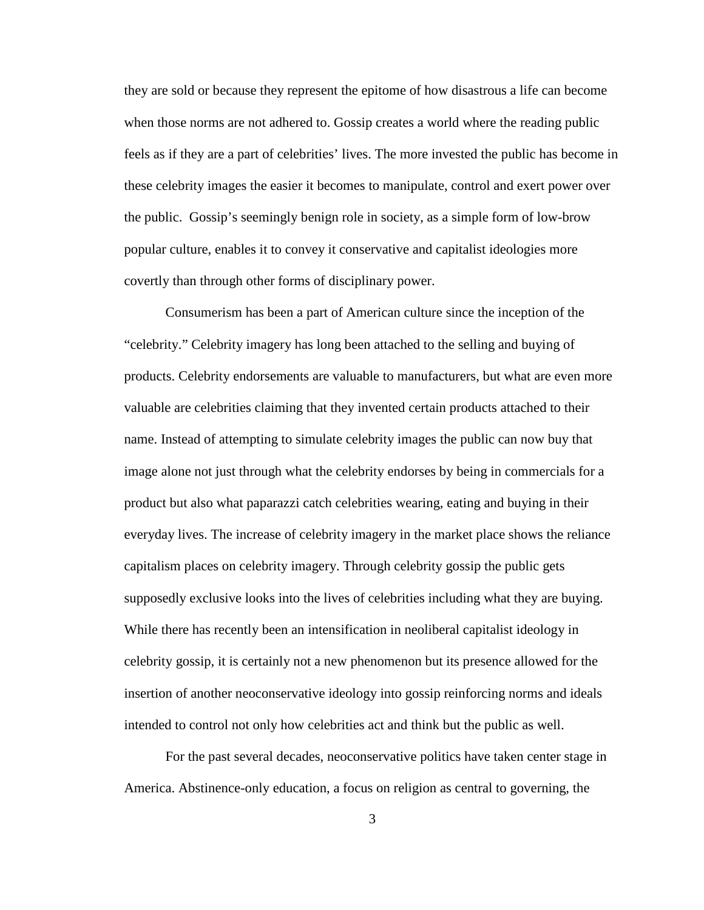they are sold or because they represent the epitome of how disastrous a life can become when those norms are not adhered to. Gossip creates a world where the reading public feels as if they are a part of celebrities' lives. The more invested the public has become in these celebrity images the easier it becomes to manipulate, control and exert power over the public. Gossip's seemingly benign role in society, as a simple form of low-brow popular culture, enables it to convey it conservative and capitalist ideologies more covertly than through other forms of disciplinary power.

 Consumerism has been a part of American culture since the inception of the "celebrity." Celebrity imagery has long been attached to the selling and buying of products. Celebrity endorsements are valuable to manufacturers, but what are even more valuable are celebrities claiming that they invented certain products attached to their name. Instead of attempting to simulate celebrity images the public can now buy that image alone not just through what the celebrity endorses by being in commercials for a product but also what paparazzi catch celebrities wearing, eating and buying in their everyday lives. The increase of celebrity imagery in the market place shows the reliance capitalism places on celebrity imagery. Through celebrity gossip the public gets supposedly exclusive looks into the lives of celebrities including what they are buying. While there has recently been an intensification in neoliberal capitalist ideology in celebrity gossip, it is certainly not a new phenomenon but its presence allowed for the insertion of another neoconservative ideology into gossip reinforcing norms and ideals intended to control not only how celebrities act and think but the public as well.

For the past several decades, neoconservative politics have taken center stage in America. Abstinence-only education, a focus on religion as central to governing, the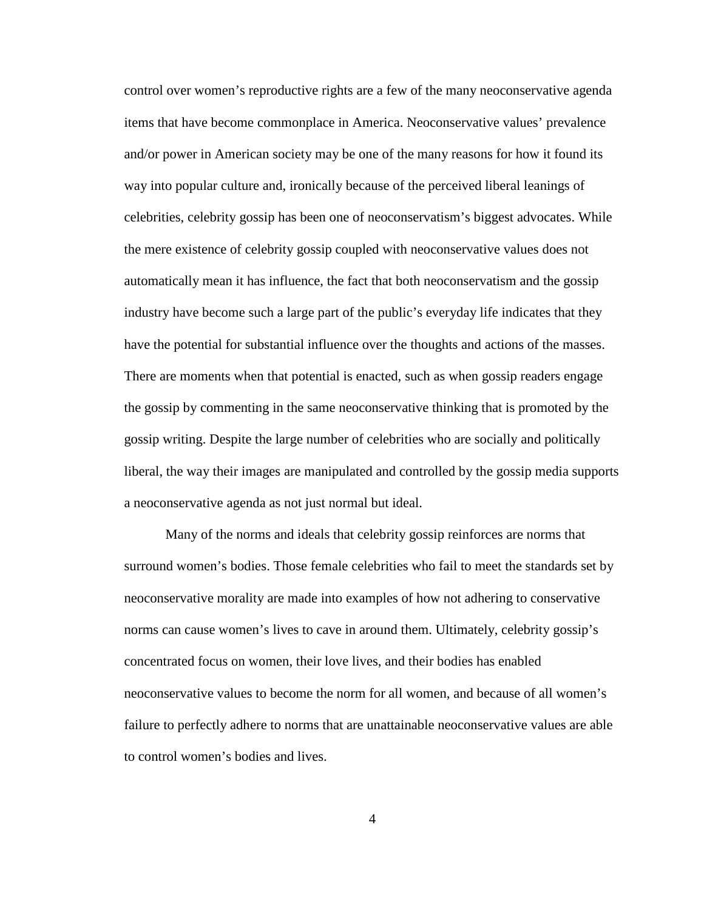control over women's reproductive rights are a few of the many neoconservative agenda items that have become commonplace in America. Neoconservative values' prevalence and/or power in American society may be one of the many reasons for how it found its way into popular culture and, ironically because of the perceived liberal leanings of celebrities, celebrity gossip has been one of neoconservatism's biggest advocates. While the mere existence of celebrity gossip coupled with neoconservative values does not automatically mean it has influence, the fact that both neoconservatism and the gossip industry have become such a large part of the public's everyday life indicates that they have the potential for substantial influence over the thoughts and actions of the masses. There are moments when that potential is enacted, such as when gossip readers engage the gossip by commenting in the same neoconservative thinking that is promoted by the gossip writing. Despite the large number of celebrities who are socially and politically liberal, the way their images are manipulated and controlled by the gossip media supports a neoconservative agenda as not just normal but ideal.

Many of the norms and ideals that celebrity gossip reinforces are norms that surround women's bodies. Those female celebrities who fail to meet the standards set by neoconservative morality are made into examples of how not adhering to conservative norms can cause women's lives to cave in around them. Ultimately, celebrity gossip's concentrated focus on women, their love lives, and their bodies has enabled neoconservative values to become the norm for all women, and because of all women's failure to perfectly adhere to norms that are unattainable neoconservative values are able to control women's bodies and lives.

4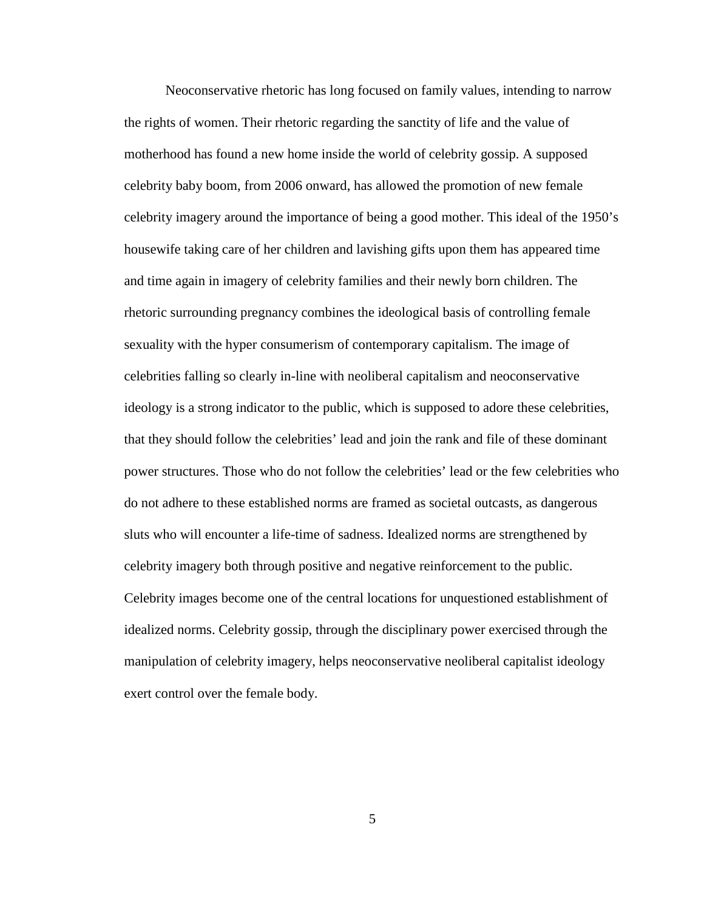Neoconservative rhetoric has long focused on family values, intending to narrow the rights of women. Their rhetoric regarding the sanctity of life and the value of motherhood has found a new home inside the world of celebrity gossip. A supposed celebrity baby boom, from 2006 onward, has allowed the promotion of new female celebrity imagery around the importance of being a good mother. This ideal of the 1950's housewife taking care of her children and lavishing gifts upon them has appeared time and time again in imagery of celebrity families and their newly born children. The rhetoric surrounding pregnancy combines the ideological basis of controlling female sexuality with the hyper consumerism of contemporary capitalism. The image of celebrities falling so clearly in-line with neoliberal capitalism and neoconservative ideology is a strong indicator to the public, which is supposed to adore these celebrities, that they should follow the celebrities' lead and join the rank and file of these dominant power structures. Those who do not follow the celebrities' lead or the few celebrities who do not adhere to these established norms are framed as societal outcasts, as dangerous sluts who will encounter a life-time of sadness. Idealized norms are strengthened by celebrity imagery both through positive and negative reinforcement to the public. Celebrity images become one of the central locations for unquestioned establishment of idealized norms. Celebrity gossip, through the disciplinary power exercised through the manipulation of celebrity imagery, helps neoconservative neoliberal capitalist ideology exert control over the female body.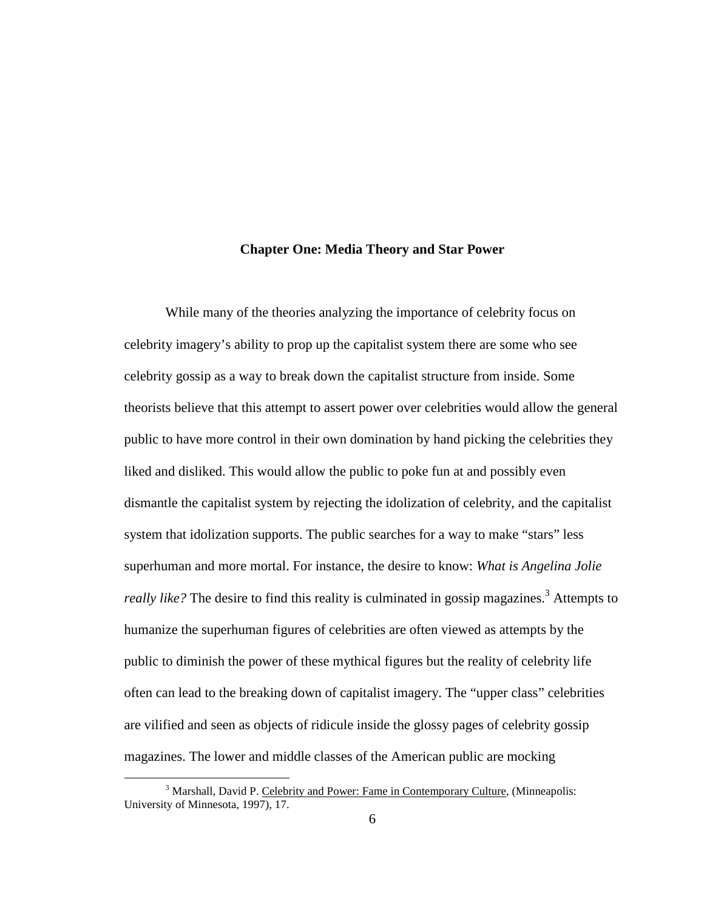#### **Chapter One: Media Theory and Star Power**

While many of the theories analyzing the importance of celebrity focus on celebrity imagery's ability to prop up the capitalist system there are some who see celebrity gossip as a way to break down the capitalist structure from inside. Some theorists believe that this attempt to assert power over celebrities would allow the general public to have more control in their own domination by hand picking the celebrities they liked and disliked. This would allow the public to poke fun at and possibly even dismantle the capitalist system by rejecting the idolization of celebrity, and the capitalist system that idolization supports. The public searches for a way to make "stars" less superhuman and more mortal. For instance, the desire to know: *What is Angelina Jolie*  really like? The desire to find this reality is culminated in gossip magazines.<sup>3</sup> Attempts to humanize the superhuman figures of celebrities are often viewed as attempts by the public to diminish the power of these mythical figures but the reality of celebrity life often can lead to the breaking down of capitalist imagery. The "upper class" celebrities are vilified and seen as objects of ridicule inside the glossy pages of celebrity gossip magazines. The lower and middle classes of the American public are mocking

<sup>&</sup>lt;sup>3</sup> Marshall, David P. Celebrity and Power: Fame in Contemporary Culture, (Minneapolis: University of Minnesota, 1997), 17.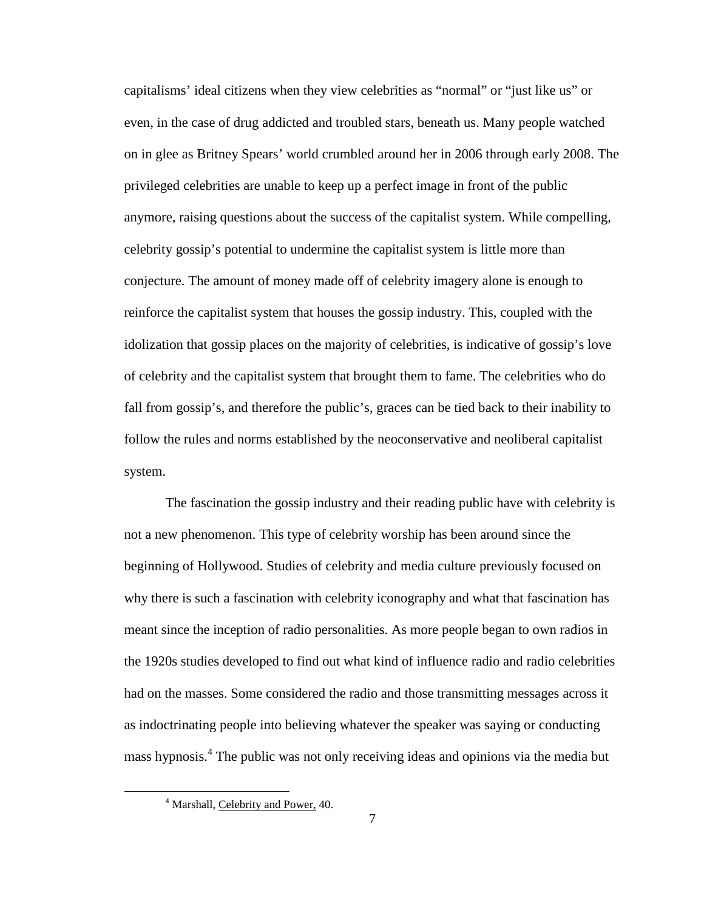capitalisms' ideal citizens when they view celebrities as "normal" or "just like us" or even, in the case of drug addicted and troubled stars, beneath us. Many people watched on in glee as Britney Spears' world crumbled around her in 2006 through early 2008. The privileged celebrities are unable to keep up a perfect image in front of the public anymore, raising questions about the success of the capitalist system. While compelling, celebrity gossip's potential to undermine the capitalist system is little more than conjecture. The amount of money made off of celebrity imagery alone is enough to reinforce the capitalist system that houses the gossip industry. This, coupled with the idolization that gossip places on the majority of celebrities, is indicative of gossip's love of celebrity and the capitalist system that brought them to fame. The celebrities who do fall from gossip's, and therefore the public's, graces can be tied back to their inability to follow the rules and norms established by the neoconservative and neoliberal capitalist system.

The fascination the gossip industry and their reading public have with celebrity is not a new phenomenon. This type of celebrity worship has been around since the beginning of Hollywood. Studies of celebrity and media culture previously focused on why there is such a fascination with celebrity iconography and what that fascination has meant since the inception of radio personalities. As more people began to own radios in the 1920s studies developed to find out what kind of influence radio and radio celebrities had on the masses. Some considered the radio and those transmitting messages across it as indoctrinating people into believing whatever the speaker was saying or conducting mass hypnosis.<sup>4</sup> The public was not only receiving ideas and opinions via the media but

<sup>&</sup>lt;sup>4</sup> Marshall, Celebrity and Power, 40.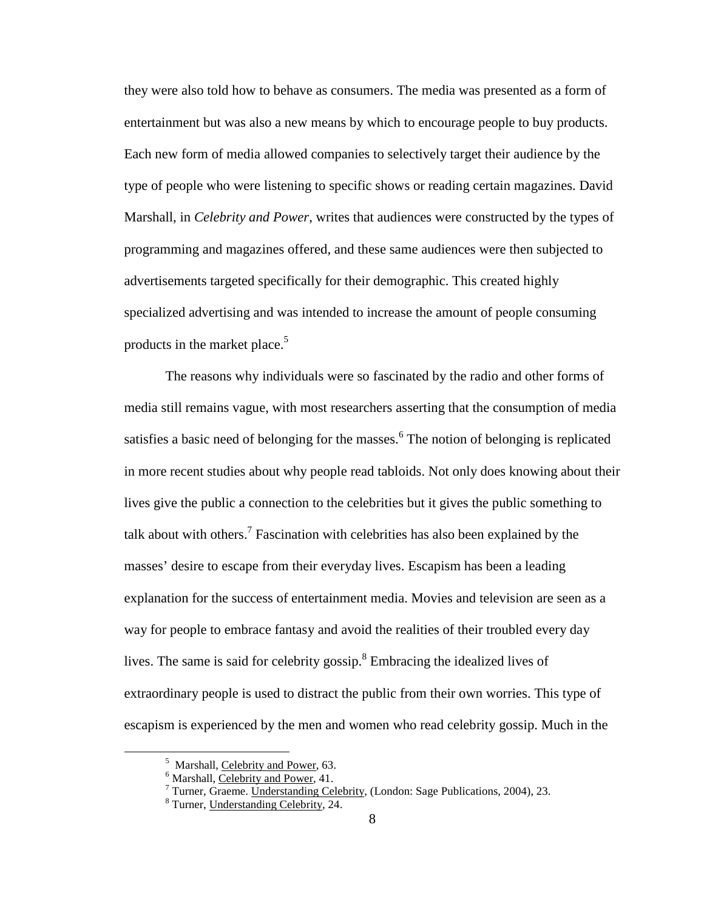they were also told how to behave as consumers. The media was presented as a form of entertainment but was also a new means by which to encourage people to buy products. Each new form of media allowed companies to selectively target their audience by the type of people who were listening to specific shows or reading certain magazines. David Marshall, in *Celebrity and Power*, writes that audiences were constructed by the types of programming and magazines offered, and these same audiences were then subjected to advertisements targeted specifically for their demographic. This created highly specialized advertising and was intended to increase the amount of people consuming products in the market place.<sup>5</sup>

The reasons why individuals were so fascinated by the radio and other forms of media still remains vague, with most researchers asserting that the consumption of media satisfies a basic need of belonging for the masses.<sup>6</sup> The notion of belonging is replicated in more recent studies about why people read tabloids. Not only does knowing about their lives give the public a connection to the celebrities but it gives the public something to talk about with others.<sup>7</sup> Fascination with celebrities has also been explained by the masses' desire to escape from their everyday lives. Escapism has been a leading explanation for the success of entertainment media. Movies and television are seen as a way for people to embrace fantasy and avoid the realities of their troubled every day lives. The same is said for celebrity gossip. $8$  Embracing the idealized lives of extraordinary people is used to distract the public from their own worries. This type of escapism is experienced by the men and women who read celebrity gossip. Much in the

<sup>&</sup>lt;sup>5</sup> Marshall, Celebrity and Power, 63.

<sup>&</sup>lt;sup>6</sup> Marshall, Celebrity and Power, 41.

<sup>&</sup>lt;sup>7</sup> Turner, Graeme. Understanding Celebrity, (London: Sage Publications, 2004), 23.

<sup>&</sup>lt;sup>8</sup> Turner, Understanding Celebrity, 24.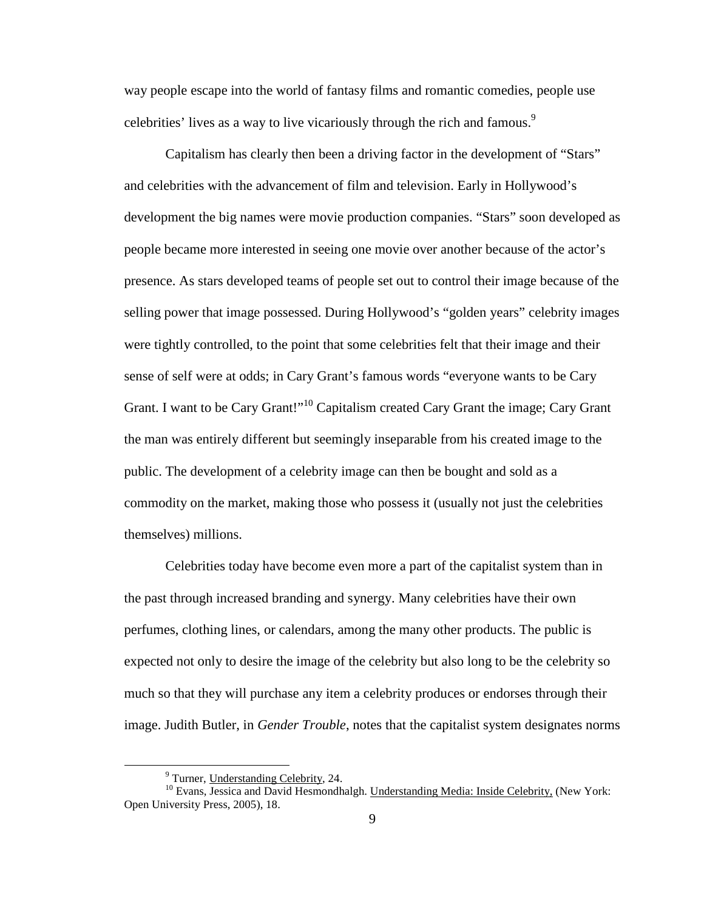way people escape into the world of fantasy films and romantic comedies, people use celebrities' lives as a way to live vicariously through the rich and famous.<sup>9</sup>

Capitalism has clearly then been a driving factor in the development of "Stars" and celebrities with the advancement of film and television. Early in Hollywood's development the big names were movie production companies. "Stars" soon developed as people became more interested in seeing one movie over another because of the actor's presence. As stars developed teams of people set out to control their image because of the selling power that image possessed. During Hollywood's "golden years" celebrity images were tightly controlled, to the point that some celebrities felt that their image and their sense of self were at odds; in Cary Grant's famous words "everyone wants to be Cary Grant. I want to be Cary Grant!"<sup>10</sup> Capitalism created Cary Grant the image; Cary Grant the man was entirely different but seemingly inseparable from his created image to the public. The development of a celebrity image can then be bought and sold as a commodity on the market, making those who possess it (usually not just the celebrities themselves) millions.

Celebrities today have become even more a part of the capitalist system than in the past through increased branding and synergy. Many celebrities have their own perfumes, clothing lines, or calendars, among the many other products. The public is expected not only to desire the image of the celebrity but also long to be the celebrity so much so that they will purchase any item a celebrity produces or endorses through their image. Judith Butler, in *Gender Trouble*, notes that the capitalist system designates norms

<sup>&</sup>lt;sup>9</sup> Turner, Understanding Celebrity, 24.

<sup>&</sup>lt;sup>10</sup> Evans, Jessica and David Hesmondhalgh. Understanding Media: Inside Celebrity, (New York: Open University Press, 2005), 18.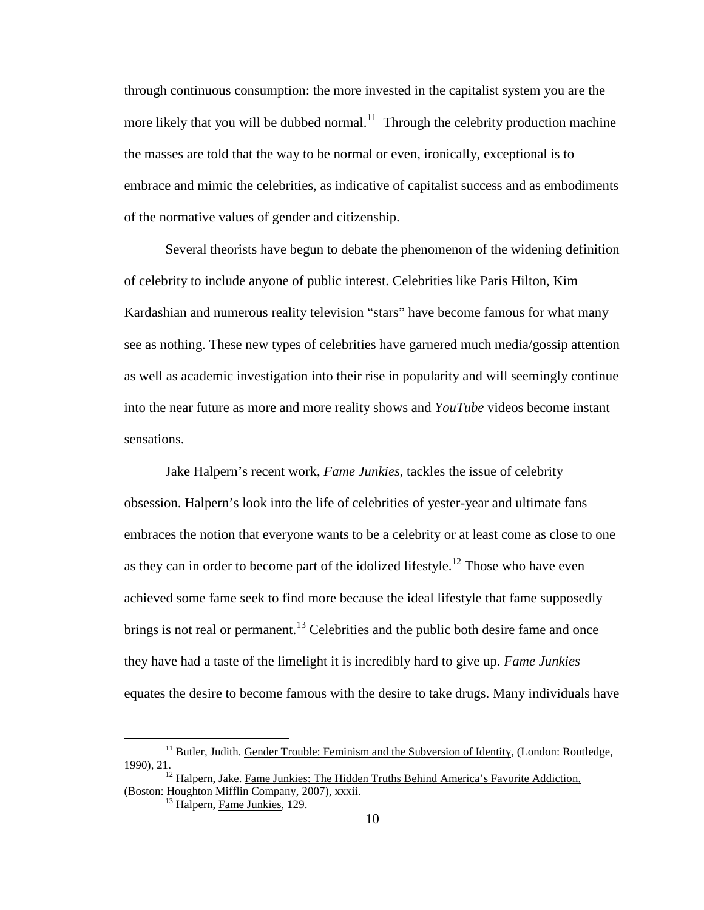through continuous consumption: the more invested in the capitalist system you are the more likely that you will be dubbed normal.<sup>11</sup> Through the celebrity production machine the masses are told that the way to be normal or even, ironically, exceptional is to embrace and mimic the celebrities, as indicative of capitalist success and as embodiments of the normative values of gender and citizenship.

Several theorists have begun to debate the phenomenon of the widening definition of celebrity to include anyone of public interest. Celebrities like Paris Hilton, Kim Kardashian and numerous reality television "stars" have become famous for what many see as nothing. These new types of celebrities have garnered much media/gossip attention as well as academic investigation into their rise in popularity and will seemingly continue into the near future as more and more reality shows and *YouTube* videos become instant sensations.

Jake Halpern's recent work, *Fame Junkies*, tackles the issue of celebrity obsession. Halpern's look into the life of celebrities of yester-year and ultimate fans embraces the notion that everyone wants to be a celebrity or at least come as close to one as they can in order to become part of the idolized lifestyle.<sup>12</sup> Those who have even achieved some fame seek to find more because the ideal lifestyle that fame supposedly brings is not real or permanent.<sup>13</sup> Celebrities and the public both desire fame and once they have had a taste of the limelight it is incredibly hard to give up. *Fame Junkies* equates the desire to become famous with the desire to take drugs. Many individuals have

<u>.</u>

<sup>&</sup>lt;sup>11</sup> Butler, Judith. Gender Trouble: Feminism and the Subversion of Identity, (London: Routledge, 1990), 21.

<sup>&</sup>lt;sup>12</sup> Halpern, Jake. Fame Junkies: The Hidden Truths Behind America's Favorite Addiction, (Boston: Houghton Mifflin Company, 2007), xxxii.

<sup>&</sup>lt;sup>13</sup> Halpern, Fame Junkies, 129.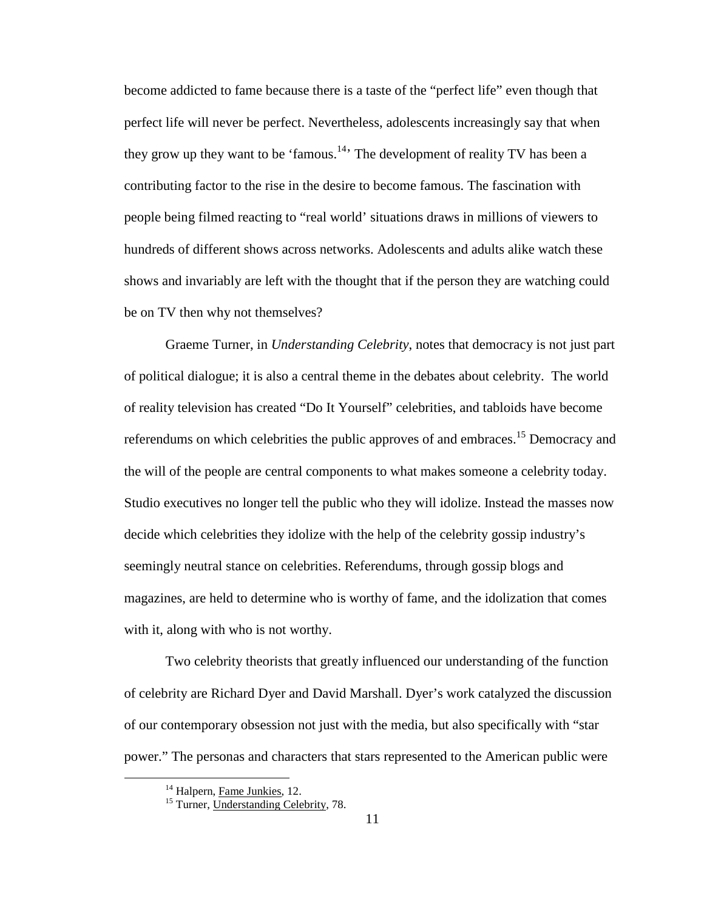become addicted to fame because there is a taste of the "perfect life" even though that perfect life will never be perfect. Nevertheless, adolescents increasingly say that when they grow up they want to be 'famous.<sup>14</sup>' The development of reality TV has been a contributing factor to the rise in the desire to become famous. The fascination with people being filmed reacting to "real world' situations draws in millions of viewers to hundreds of different shows across networks. Adolescents and adults alike watch these shows and invariably are left with the thought that if the person they are watching could be on TV then why not themselves?

Graeme Turner, in *Understanding Celebrity*, notes that democracy is not just part of political dialogue; it is also a central theme in the debates about celebrity. The world of reality television has created "Do It Yourself" celebrities, and tabloids have become referendums on which celebrities the public approves of and embraces.<sup>15</sup> Democracy and the will of the people are central components to what makes someone a celebrity today. Studio executives no longer tell the public who they will idolize. Instead the masses now decide which celebrities they idolize with the help of the celebrity gossip industry's seemingly neutral stance on celebrities. Referendums, through gossip blogs and magazines, are held to determine who is worthy of fame, and the idolization that comes with it, along with who is not worthy.

Two celebrity theorists that greatly influenced our understanding of the function of celebrity are Richard Dyer and David Marshall. Dyer's work catalyzed the discussion of our contemporary obsession not just with the media, but also specifically with "star power." The personas and characters that stars represented to the American public were

<sup>&</sup>lt;sup>14</sup> Halpern, Fame Junkies, 12.

<sup>&</sup>lt;sup>15</sup> Turner, Understanding Celebrity, 78.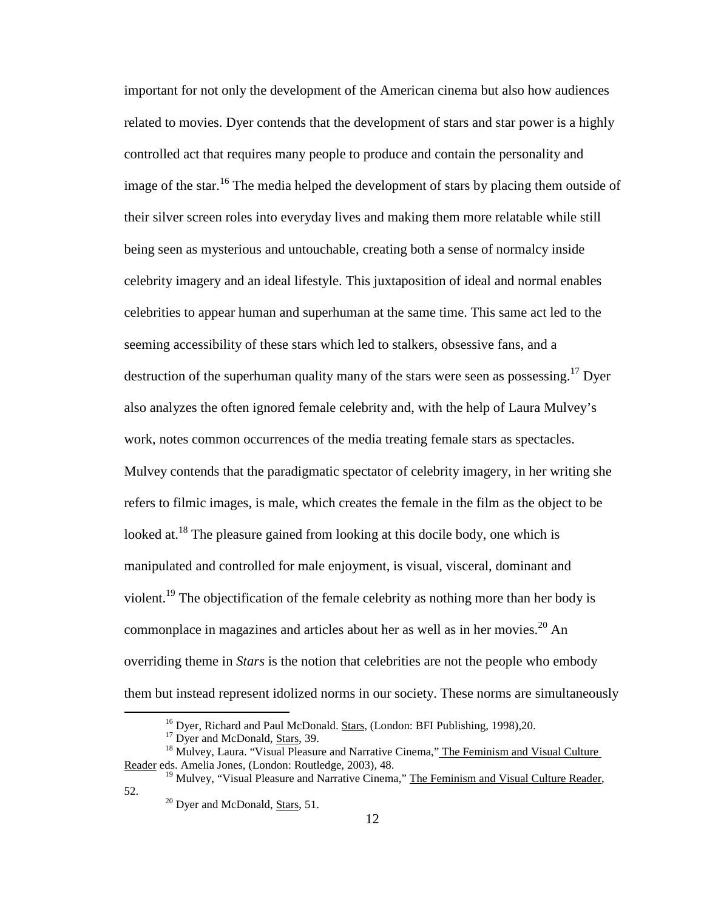important for not only the development of the American cinema but also how audiences related to movies. Dyer contends that the development of stars and star power is a highly controlled act that requires many people to produce and contain the personality and image of the star.<sup>16</sup> The media helped the development of stars by placing them outside of their silver screen roles into everyday lives and making them more relatable while still being seen as mysterious and untouchable, creating both a sense of normalcy inside celebrity imagery and an ideal lifestyle. This juxtaposition of ideal and normal enables celebrities to appear human and superhuman at the same time. This same act led to the seeming accessibility of these stars which led to stalkers, obsessive fans, and a destruction of the superhuman quality many of the stars were seen as possessing.<sup>17</sup> Dyer also analyzes the often ignored female celebrity and, with the help of Laura Mulvey's work, notes common occurrences of the media treating female stars as spectacles. Mulvey contends that the paradigmatic spectator of celebrity imagery, in her writing she refers to filmic images, is male, which creates the female in the film as the object to be looked at.<sup>18</sup> The pleasure gained from looking at this docile body, one which is manipulated and controlled for male enjoyment, is visual, visceral, dominant and violent.<sup>19</sup> The objectification of the female celebrity as nothing more than her body is commonplace in magazines and articles about her as well as in her movies.<sup>20</sup> An overriding theme in *Stars* is the notion that celebrities are not the people who embody them but instead represent idolized norms in our society. These norms are simultaneously

<sup>&</sup>lt;sup>16</sup> Dyer, Richard and Paul McDonald. Stars, (London: BFI Publishing, 1998),20.

<sup>&</sup>lt;sup>17</sup> Dyer and McDonald, **Stars**, 39.

<sup>&</sup>lt;sup>18</sup> Mulvey, Laura. "Visual Pleasure and Narrative Cinema," The Feminism and Visual Culture Reader eds. Amelia Jones, (London: Routledge, 2003), 48.

<sup>&</sup>lt;sup>19</sup> Mulvey, "Visual Pleasure and Narrative Cinema," The Feminism and Visual Culture Reader, 52.

<sup>&</sup>lt;sup>20</sup> Dyer and McDonald, Stars, 51.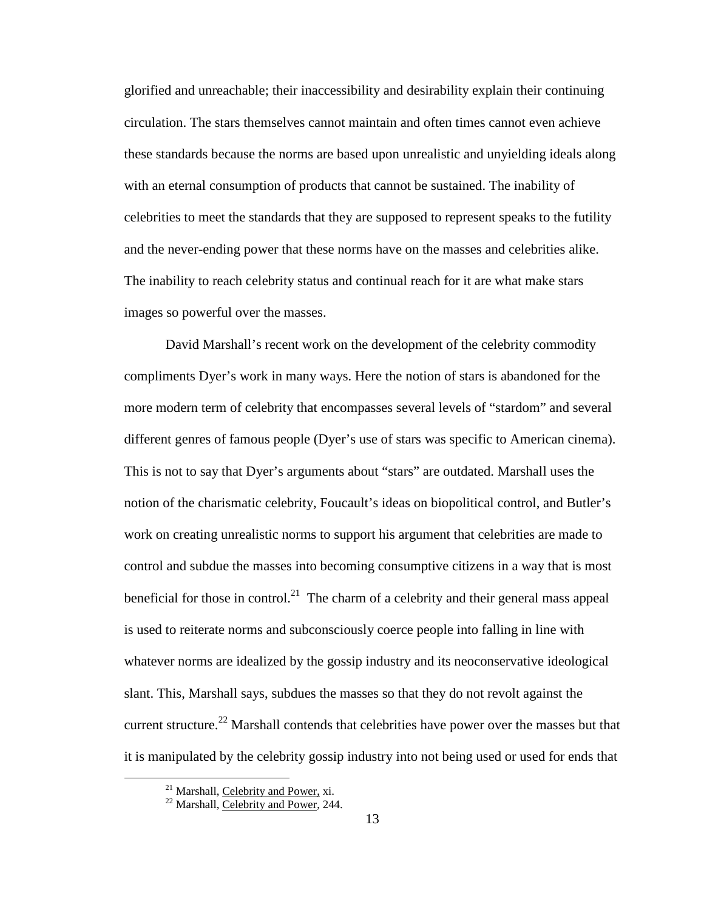glorified and unreachable; their inaccessibility and desirability explain their continuing circulation. The stars themselves cannot maintain and often times cannot even achieve these standards because the norms are based upon unrealistic and unyielding ideals along with an eternal consumption of products that cannot be sustained. The inability of celebrities to meet the standards that they are supposed to represent speaks to the futility and the never-ending power that these norms have on the masses and celebrities alike. The inability to reach celebrity status and continual reach for it are what make stars images so powerful over the masses.

David Marshall's recent work on the development of the celebrity commodity compliments Dyer's work in many ways. Here the notion of stars is abandoned for the more modern term of celebrity that encompasses several levels of "stardom" and several different genres of famous people (Dyer's use of stars was specific to American cinema). This is not to say that Dyer's arguments about "stars" are outdated. Marshall uses the notion of the charismatic celebrity, Foucault's ideas on biopolitical control, and Butler's work on creating unrealistic norms to support his argument that celebrities are made to control and subdue the masses into becoming consumptive citizens in a way that is most beneficial for those in control.<sup>21</sup> The charm of a celebrity and their general mass appeal is used to reiterate norms and subconsciously coerce people into falling in line with whatever norms are idealized by the gossip industry and its neoconservative ideological slant. This, Marshall says, subdues the masses so that they do not revolt against the current structure.<sup>22</sup> Marshall contends that celebrities have power over the masses but that it is manipulated by the celebrity gossip industry into not being used or used for ends that

<sup>&</sup>lt;sup>21</sup> Marshall, Celebrity and Power, xi.

<sup>&</sup>lt;sup>22</sup> Marshall, Celebrity and Power, 244.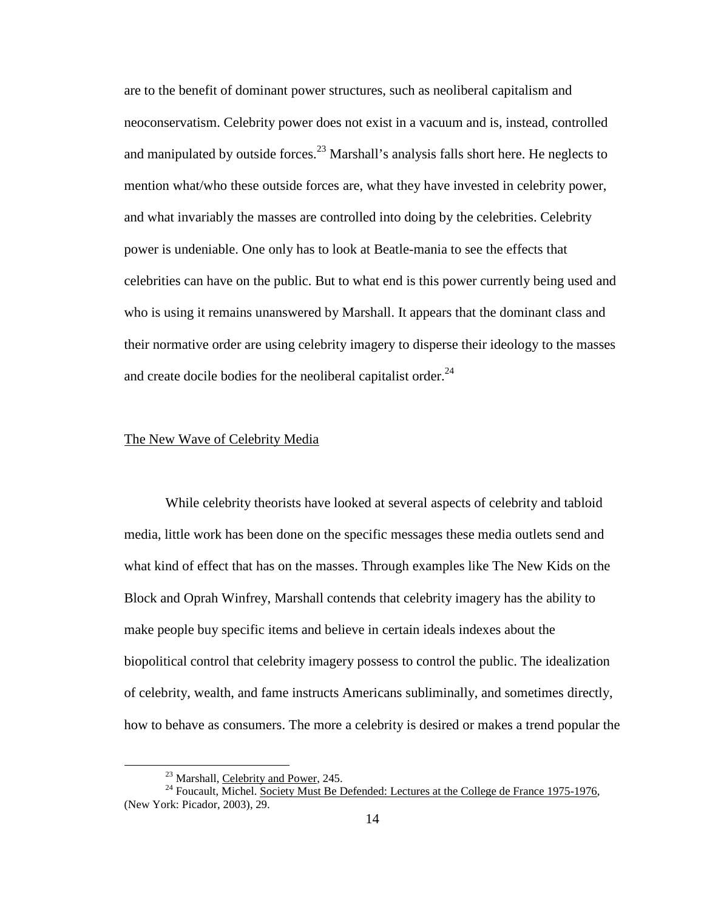are to the benefit of dominant power structures, such as neoliberal capitalism and neoconservatism. Celebrity power does not exist in a vacuum and is, instead, controlled and manipulated by outside forces.<sup>23</sup> Marshall's analysis falls short here. He neglects to mention what/who these outside forces are, what they have invested in celebrity power, and what invariably the masses are controlled into doing by the celebrities. Celebrity power is undeniable. One only has to look at Beatle-mania to see the effects that celebrities can have on the public. But to what end is this power currently being used and who is using it remains unanswered by Marshall. It appears that the dominant class and their normative order are using celebrity imagery to disperse their ideology to the masses and create docile bodies for the neoliberal capitalist order. $^{24}$ 

#### The New Wave of Celebrity Media

While celebrity theorists have looked at several aspects of celebrity and tabloid media, little work has been done on the specific messages these media outlets send and what kind of effect that has on the masses. Through examples like The New Kids on the Block and Oprah Winfrey, Marshall contends that celebrity imagery has the ability to make people buy specific items and believe in certain ideals indexes about the biopolitical control that celebrity imagery possess to control the public. The idealization of celebrity, wealth, and fame instructs Americans subliminally, and sometimes directly, how to behave as consumers. The more a celebrity is desired or makes a trend popular the

<u>.</u>

<sup>&</sup>lt;sup>23</sup> Marshall, Celebrity and Power, 245.

<sup>&</sup>lt;sup>24</sup> Foucault, Michel. Society Must Be Defended: Lectures at the College de France 1975-1976, (New York: Picador, 2003), 29.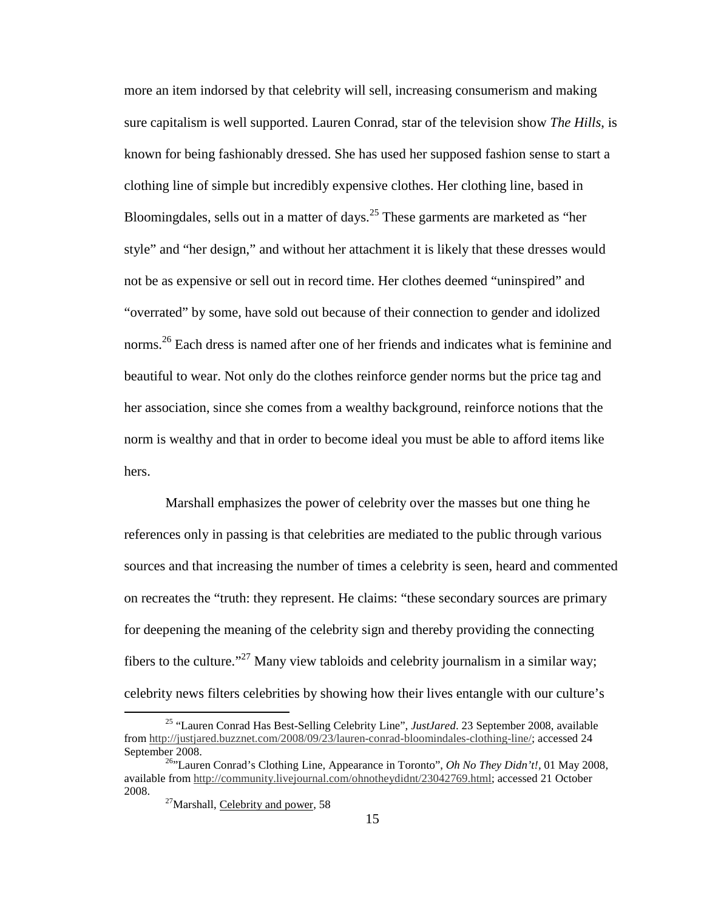more an item indorsed by that celebrity will sell, increasing consumerism and making sure capitalism is well supported. Lauren Conrad, star of the television show *The Hills*, is known for being fashionably dressed. She has used her supposed fashion sense to start a clothing line of simple but incredibly expensive clothes. Her clothing line, based in Bloomingdales, sells out in a matter of days.<sup>25</sup> These garments are marketed as "her style" and "her design," and without her attachment it is likely that these dresses would not be as expensive or sell out in record time. Her clothes deemed "uninspired" and "overrated" by some, have sold out because of their connection to gender and idolized norms.<sup>26</sup> Each dress is named after one of her friends and indicates what is feminine and beautiful to wear. Not only do the clothes reinforce gender norms but the price tag and her association, since she comes from a wealthy background, reinforce notions that the norm is wealthy and that in order to become ideal you must be able to afford items like hers.

Marshall emphasizes the power of celebrity over the masses but one thing he references only in passing is that celebrities are mediated to the public through various sources and that increasing the number of times a celebrity is seen, heard and commented on recreates the "truth: they represent. He claims: "these secondary sources are primary for deepening the meaning of the celebrity sign and thereby providing the connecting fibers to the culture."<sup>27</sup> Many view tabloids and celebrity journalism in a similar way; celebrity news filters celebrities by showing how their lives entangle with our culture's

<sup>25</sup> "Lauren Conrad Has Best-Selling Celebrity Line", *JustJared*. 23 September 2008, available from http://justjared.buzznet.com/2008/09/23/lauren-conrad-bloomindales-clothing-line/; accessed 24 September 2008.

<sup>&</sup>lt;sup>26,</sup> Lauren Conrad's Clothing Line, Appearance in Toronto", *Oh No They Didn't!*, 01 May 2008, available from http://community.livejournal.com/ohnotheydidnt/23042769.html; accessed 21 October 2008.

 $27$ Marshall, Celebrity and power, 58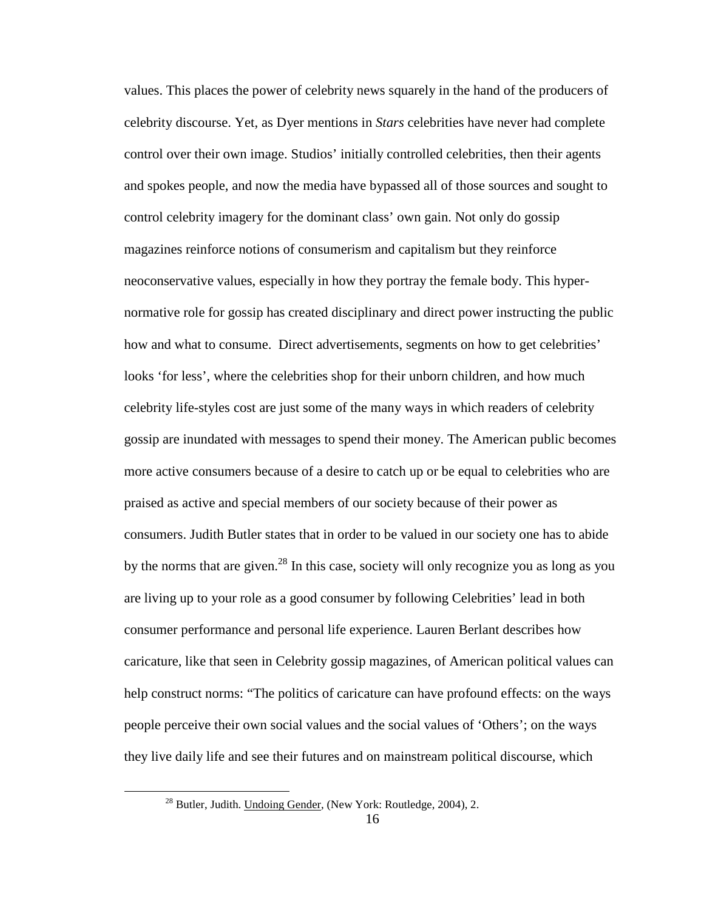values. This places the power of celebrity news squarely in the hand of the producers of celebrity discourse. Yet, as Dyer mentions in *Stars* celebrities have never had complete control over their own image. Studios' initially controlled celebrities, then their agents and spokes people, and now the media have bypassed all of those sources and sought to control celebrity imagery for the dominant class' own gain. Not only do gossip magazines reinforce notions of consumerism and capitalism but they reinforce neoconservative values, especially in how they portray the female body. This hypernormative role for gossip has created disciplinary and direct power instructing the public how and what to consume. Direct advertisements, segments on how to get celebrities' looks 'for less', where the celebrities shop for their unborn children, and how much celebrity life-styles cost are just some of the many ways in which readers of celebrity gossip are inundated with messages to spend their money. The American public becomes more active consumers because of a desire to catch up or be equal to celebrities who are praised as active and special members of our society because of their power as consumers. Judith Butler states that in order to be valued in our society one has to abide by the norms that are given.<sup>28</sup> In this case, society will only recognize you as long as you are living up to your role as a good consumer by following Celebrities' lead in both consumer performance and personal life experience. Lauren Berlant describes how caricature, like that seen in Celebrity gossip magazines, of American political values can help construct norms: "The politics of caricature can have profound effects: on the ways people perceive their own social values and the social values of 'Others'; on the ways they live daily life and see their futures and on mainstream political discourse, which

<u>.</u>

<sup>&</sup>lt;sup>28</sup> Butler, Judith. Undoing Gender, (New York: Routledge, 2004), 2.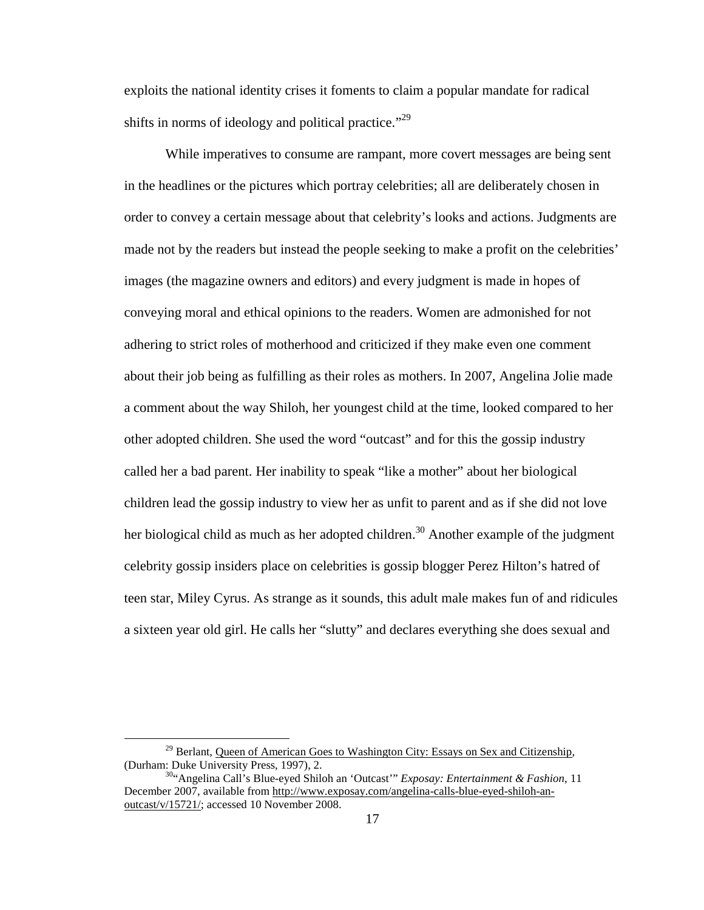exploits the national identity crises it foments to claim a popular mandate for radical shifts in norms of ideology and political practice."<sup>29</sup>

While imperatives to consume are rampant, more covert messages are being sent in the headlines or the pictures which portray celebrities; all are deliberately chosen in order to convey a certain message about that celebrity's looks and actions. Judgments are made not by the readers but instead the people seeking to make a profit on the celebrities' images (the magazine owners and editors) and every judgment is made in hopes of conveying moral and ethical opinions to the readers. Women are admonished for not adhering to strict roles of motherhood and criticized if they make even one comment about their job being as fulfilling as their roles as mothers. In 2007, Angelina Jolie made a comment about the way Shiloh, her youngest child at the time, looked compared to her other adopted children. She used the word "outcast" and for this the gossip industry called her a bad parent. Her inability to speak "like a mother" about her biological children lead the gossip industry to view her as unfit to parent and as if she did not love her biological child as much as her adopted children.<sup>30</sup> Another example of the judgment celebrity gossip insiders place on celebrities is gossip blogger Perez Hilton's hatred of teen star, Miley Cyrus. As strange as it sounds, this adult male makes fun of and ridicules a sixteen year old girl. He calls her "slutty" and declares everything she does sexual and

 $29$  Berlant, Queen of American Goes to Washington City: Essays on Sex and Citizenship, (Durham: Duke University Press, 1997), 2.

<sup>30</sup>"Angelina Call's Blue-eyed Shiloh an 'Outcast'" *Exposay: Entertainment & Fashion*, 11 December 2007, available from http://www.exposay.com/angelina-calls-blue-eyed-shiloh-anoutcast/v/15721/; accessed 10 November 2008.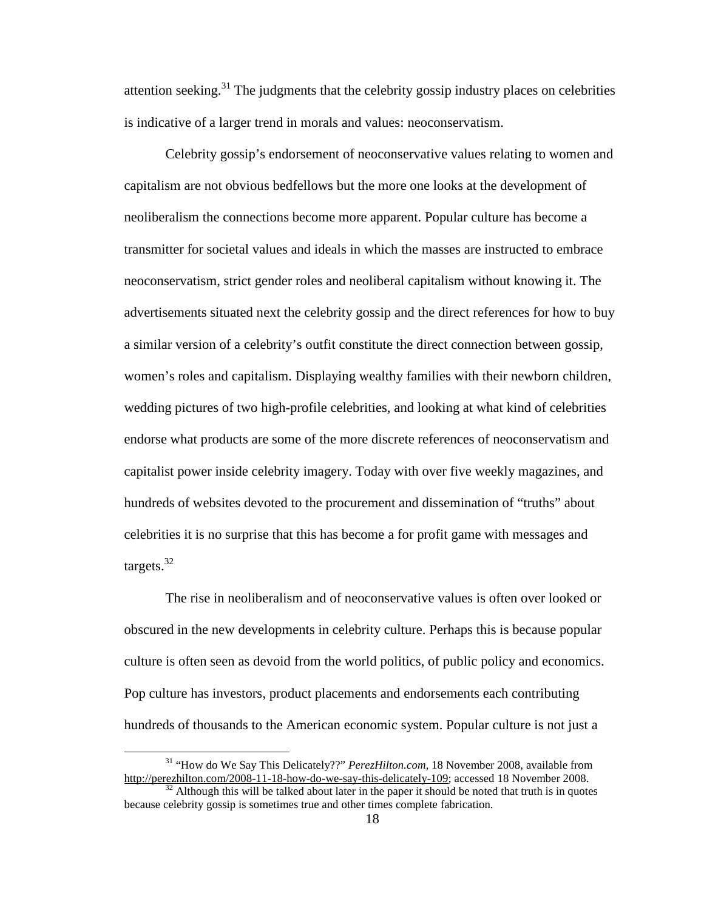attention seeking.<sup>31</sup> The judgments that the celebrity gossip industry places on celebrities is indicative of a larger trend in morals and values: neoconservatism.

Celebrity gossip's endorsement of neoconservative values relating to women and capitalism are not obvious bedfellows but the more one looks at the development of neoliberalism the connections become more apparent. Popular culture has become a transmitter for societal values and ideals in which the masses are instructed to embrace neoconservatism, strict gender roles and neoliberal capitalism without knowing it. The advertisements situated next the celebrity gossip and the direct references for how to buy a similar version of a celebrity's outfit constitute the direct connection between gossip, women's roles and capitalism. Displaying wealthy families with their newborn children, wedding pictures of two high-profile celebrities, and looking at what kind of celebrities endorse what products are some of the more discrete references of neoconservatism and capitalist power inside celebrity imagery. Today with over five weekly magazines, and hundreds of websites devoted to the procurement and dissemination of "truths" about celebrities it is no surprise that this has become a for profit game with messages and targets. $32$ 

The rise in neoliberalism and of neoconservative values is often over looked or obscured in the new developments in celebrity culture. Perhaps this is because popular culture is often seen as devoid from the world politics, of public policy and economics. Pop culture has investors, product placements and endorsements each contributing hundreds of thousands to the American economic system. Popular culture is not just a

<sup>31</sup> "How do We Say This Delicately??" *PerezHilton.com*, 18 November 2008, available from http://perezhilton.com/2008-11-18-how-do-we-say-this-delicately-109; accessed 18 November 2008.

<sup>32</sup> Although this will be talked about later in the paper it should be noted that truth is in quotes because celebrity gossip is sometimes true and other times complete fabrication.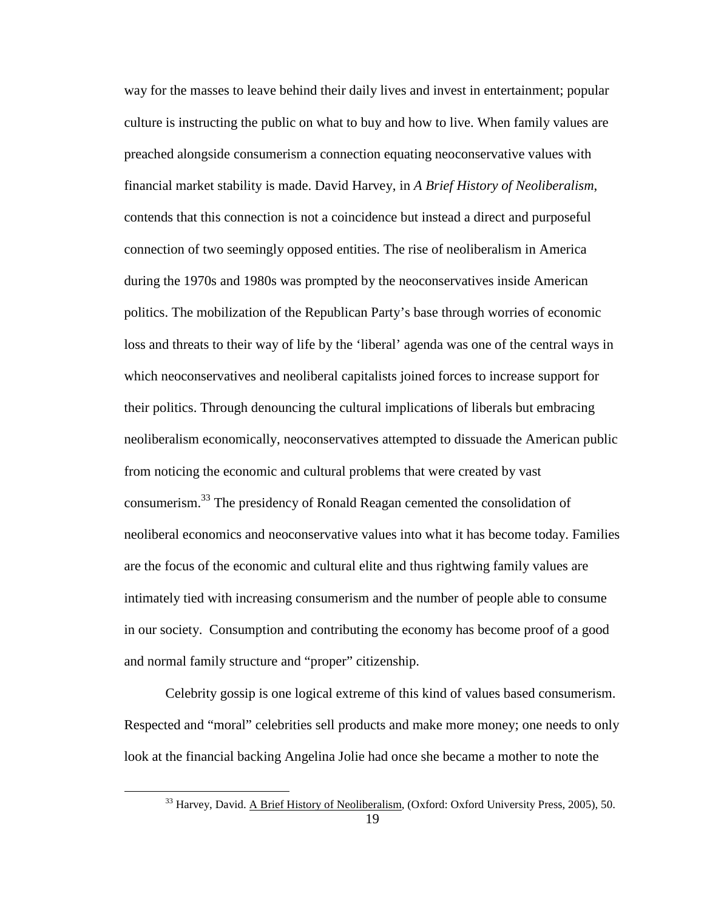way for the masses to leave behind their daily lives and invest in entertainment; popular culture is instructing the public on what to buy and how to live. When family values are preached alongside consumerism a connection equating neoconservative values with financial market stability is made. David Harvey, in *A Brief History of Neoliberalism*, contends that this connection is not a coincidence but instead a direct and purposeful connection of two seemingly opposed entities. The rise of neoliberalism in America during the 1970s and 1980s was prompted by the neoconservatives inside American politics. The mobilization of the Republican Party's base through worries of economic loss and threats to their way of life by the 'liberal' agenda was one of the central ways in which neoconservatives and neoliberal capitalists joined forces to increase support for their politics. Through denouncing the cultural implications of liberals but embracing neoliberalism economically, neoconservatives attempted to dissuade the American public from noticing the economic and cultural problems that were created by vast consumerism.<sup>33</sup> The presidency of Ronald Reagan cemented the consolidation of neoliberal economics and neoconservative values into what it has become today. Families are the focus of the economic and cultural elite and thus rightwing family values are intimately tied with increasing consumerism and the number of people able to consume in our society. Consumption and contributing the economy has become proof of a good and normal family structure and "proper" citizenship.

Celebrity gossip is one logical extreme of this kind of values based consumerism. Respected and "moral" celebrities sell products and make more money; one needs to only look at the financial backing Angelina Jolie had once she became a mother to note the

<u>.</u>

<sup>&</sup>lt;sup>33</sup> Harvey, David. A Brief History of Neoliberalism, (Oxford: Oxford University Press, 2005), 50.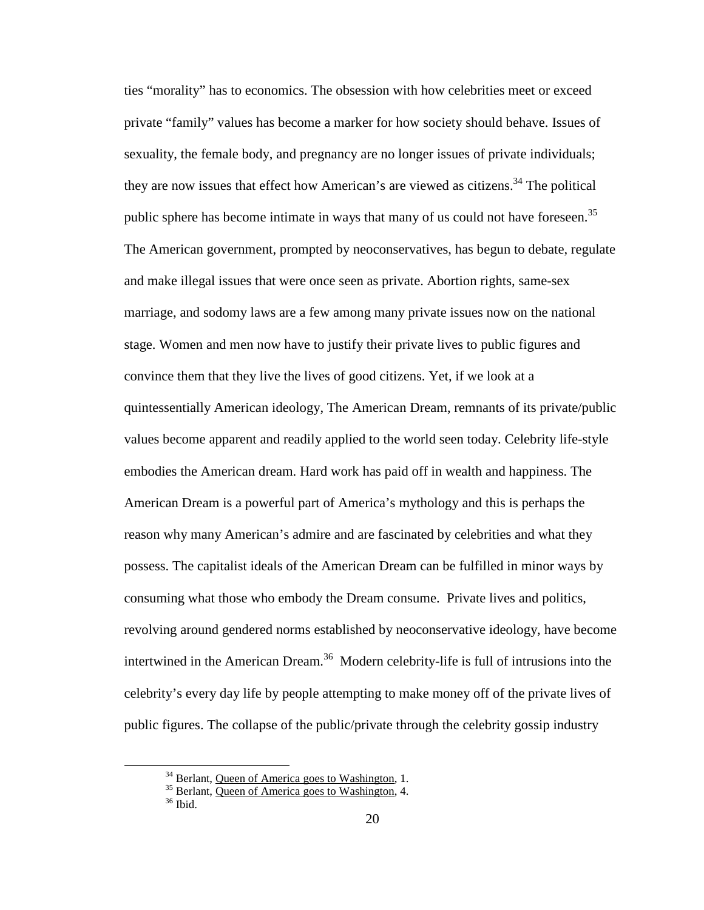ties "morality" has to economics. The obsession with how celebrities meet or exceed private "family" values has become a marker for how society should behave. Issues of sexuality, the female body, and pregnancy are no longer issues of private individuals; they are now issues that effect how American's are viewed as citizens.<sup>34</sup> The political public sphere has become intimate in ways that many of us could not have foreseen.<sup>35</sup> The American government, prompted by neoconservatives, has begun to debate, regulate and make illegal issues that were once seen as private. Abortion rights, same-sex marriage, and sodomy laws are a few among many private issues now on the national stage. Women and men now have to justify their private lives to public figures and convince them that they live the lives of good citizens. Yet, if we look at a quintessentially American ideology, The American Dream, remnants of its private/public values become apparent and readily applied to the world seen today. Celebrity life-style embodies the American dream. Hard work has paid off in wealth and happiness. The American Dream is a powerful part of America's mythology and this is perhaps the reason why many American's admire and are fascinated by celebrities and what they possess. The capitalist ideals of the American Dream can be fulfilled in minor ways by consuming what those who embody the Dream consume. Private lives and politics, revolving around gendered norms established by neoconservative ideology, have become intertwined in the American Dream.<sup>36</sup> Modern celebrity-life is full of intrusions into the celebrity's every day life by people attempting to make money off of the private lives of public figures. The collapse of the public/private through the celebrity gossip industry

<sup>&</sup>lt;sup>34</sup> Berlant, <u>Queen of America goes to Washington</u>, 1.

<sup>35</sup> Berlant, Queen of America goes to Washington, 4.

<sup>36</sup> Ibid.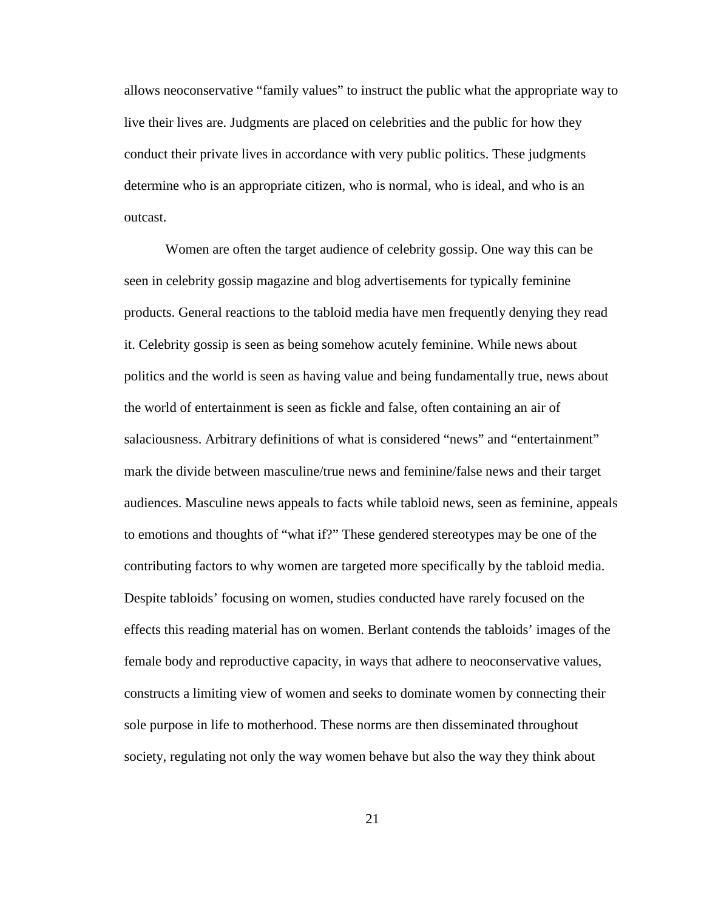allows neoconservative "family values" to instruct the public what the appropriate way to live their lives are. Judgments are placed on celebrities and the public for how they conduct their private lives in accordance with very public politics. These judgments determine who is an appropriate citizen, who is normal, who is ideal, and who is an outcast.

Women are often the target audience of celebrity gossip. One way this can be seen in celebrity gossip magazine and blog advertisements for typically feminine products. General reactions to the tabloid media have men frequently denying they read it. Celebrity gossip is seen as being somehow acutely feminine. While news about politics and the world is seen as having value and being fundamentally true, news about the world of entertainment is seen as fickle and false, often containing an air of salaciousness. Arbitrary definitions of what is considered "news" and "entertainment" mark the divide between masculine/true news and feminine/false news and their target audiences. Masculine news appeals to facts while tabloid news, seen as feminine, appeals to emotions and thoughts of "what if?" These gendered stereotypes may be one of the contributing factors to why women are targeted more specifically by the tabloid media. Despite tabloids' focusing on women, studies conducted have rarely focused on the effects this reading material has on women. Berlant contends the tabloids' images of the female body and reproductive capacity, in ways that adhere to neoconservative values, constructs a limiting view of women and seeks to dominate women by connecting their sole purpose in life to motherhood. These norms are then disseminated throughout society, regulating not only the way women behave but also the way they think about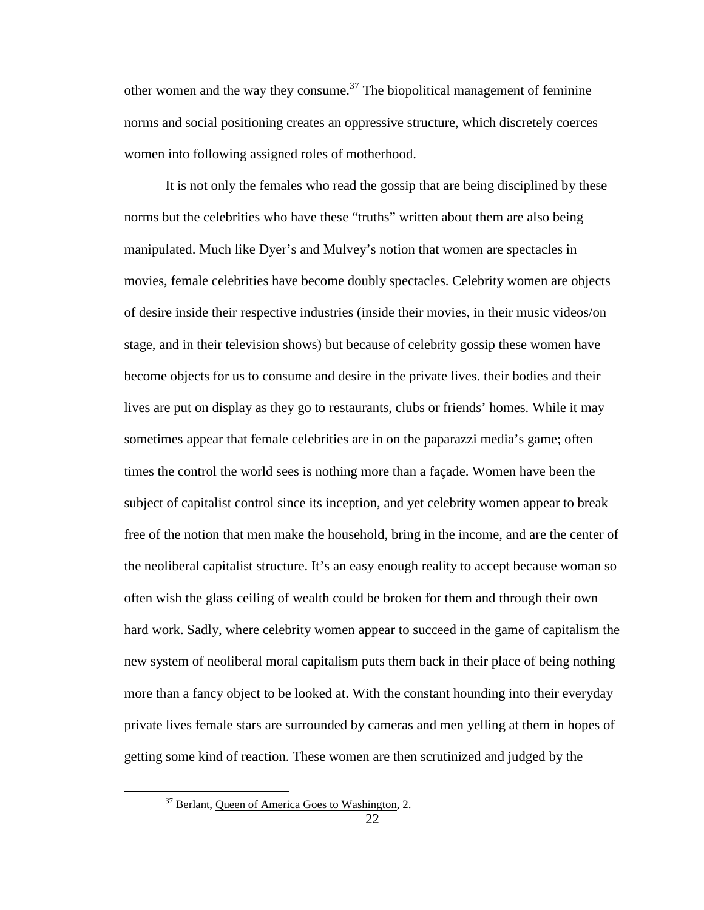other women and the way they consume.<sup>37</sup> The biopolitical management of feminine norms and social positioning creates an oppressive structure, which discretely coerces women into following assigned roles of motherhood.

It is not only the females who read the gossip that are being disciplined by these norms but the celebrities who have these "truths" written about them are also being manipulated. Much like Dyer's and Mulvey's notion that women are spectacles in movies, female celebrities have become doubly spectacles. Celebrity women are objects of desire inside their respective industries (inside their movies, in their music videos/on stage, and in their television shows) but because of celebrity gossip these women have become objects for us to consume and desire in the private lives. their bodies and their lives are put on display as they go to restaurants, clubs or friends' homes. While it may sometimes appear that female celebrities are in on the paparazzi media's game; often times the control the world sees is nothing more than a façade. Women have been the subject of capitalist control since its inception, and yet celebrity women appear to break free of the notion that men make the household, bring in the income, and are the center of the neoliberal capitalist structure. It's an easy enough reality to accept because woman so often wish the glass ceiling of wealth could be broken for them and through their own hard work. Sadly, where celebrity women appear to succeed in the game of capitalism the new system of neoliberal moral capitalism puts them back in their place of being nothing more than a fancy object to be looked at. With the constant hounding into their everyday private lives female stars are surrounded by cameras and men yelling at them in hopes of getting some kind of reaction. These women are then scrutinized and judged by the

<sup>&</sup>lt;sup>37</sup> Berlant, Queen of America Goes to Washington, 2.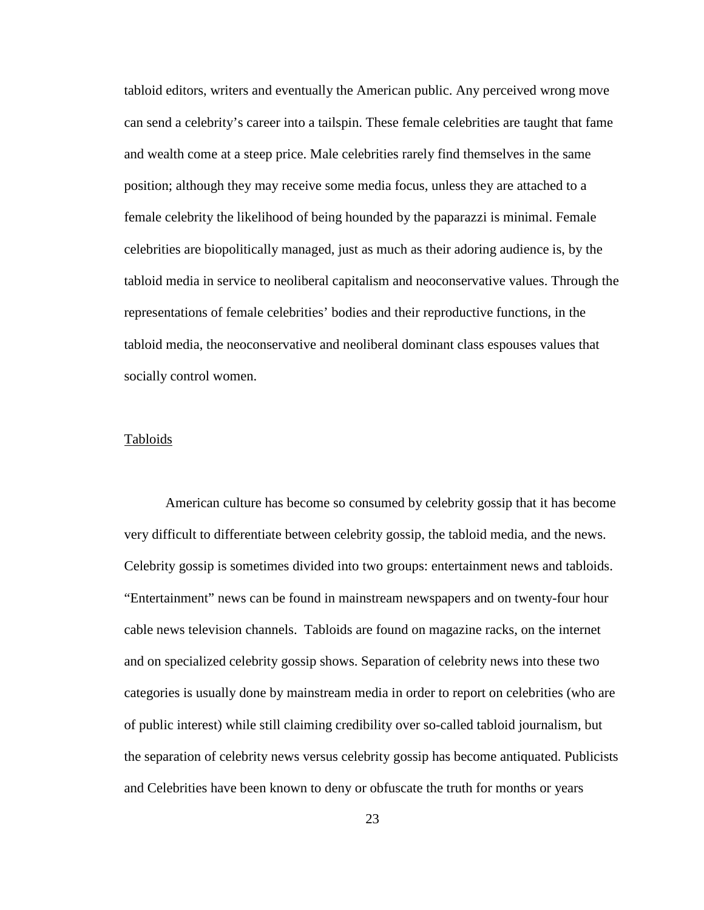tabloid editors, writers and eventually the American public. Any perceived wrong move can send a celebrity's career into a tailspin. These female celebrities are taught that fame and wealth come at a steep price. Male celebrities rarely find themselves in the same position; although they may receive some media focus, unless they are attached to a female celebrity the likelihood of being hounded by the paparazzi is minimal. Female celebrities are biopolitically managed, just as much as their adoring audience is, by the tabloid media in service to neoliberal capitalism and neoconservative values. Through the representations of female celebrities' bodies and their reproductive functions, in the tabloid media, the neoconservative and neoliberal dominant class espouses values that socially control women.

## Tabloids

 American culture has become so consumed by celebrity gossip that it has become very difficult to differentiate between celebrity gossip, the tabloid media, and the news. Celebrity gossip is sometimes divided into two groups: entertainment news and tabloids. "Entertainment" news can be found in mainstream newspapers and on twenty-four hour cable news television channels. Tabloids are found on magazine racks, on the internet and on specialized celebrity gossip shows. Separation of celebrity news into these two categories is usually done by mainstream media in order to report on celebrities (who are of public interest) while still claiming credibility over so-called tabloid journalism, but the separation of celebrity news versus celebrity gossip has become antiquated. Publicists and Celebrities have been known to deny or obfuscate the truth for months or years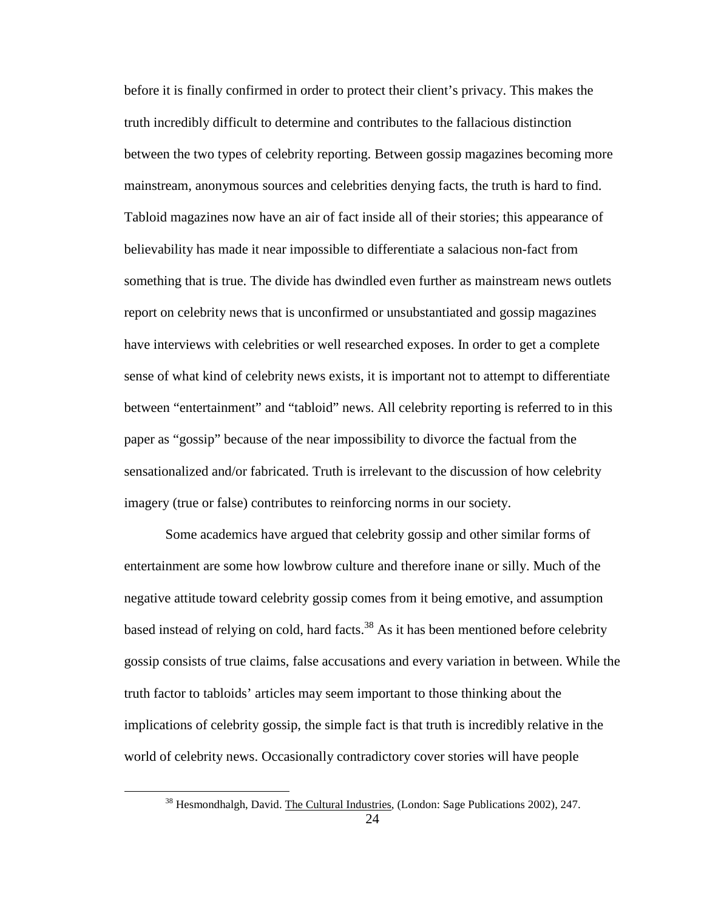before it is finally confirmed in order to protect their client's privacy. This makes the truth incredibly difficult to determine and contributes to the fallacious distinction between the two types of celebrity reporting. Between gossip magazines becoming more mainstream, anonymous sources and celebrities denying facts, the truth is hard to find. Tabloid magazines now have an air of fact inside all of their stories; this appearance of believability has made it near impossible to differentiate a salacious non-fact from something that is true. The divide has dwindled even further as mainstream news outlets report on celebrity news that is unconfirmed or unsubstantiated and gossip magazines have interviews with celebrities or well researched exposes. In order to get a complete sense of what kind of celebrity news exists, it is important not to attempt to differentiate between "entertainment" and "tabloid" news. All celebrity reporting is referred to in this paper as "gossip" because of the near impossibility to divorce the factual from the sensationalized and/or fabricated. Truth is irrelevant to the discussion of how celebrity imagery (true or false) contributes to reinforcing norms in our society.

Some academics have argued that celebrity gossip and other similar forms of entertainment are some how lowbrow culture and therefore inane or silly. Much of the negative attitude toward celebrity gossip comes from it being emotive, and assumption based instead of relying on cold, hard facts.<sup>38</sup> As it has been mentioned before celebrity gossip consists of true claims, false accusations and every variation in between. While the truth factor to tabloids' articles may seem important to those thinking about the implications of celebrity gossip, the simple fact is that truth is incredibly relative in the world of celebrity news. Occasionally contradictory cover stories will have people

<sup>&</sup>lt;sup>38</sup> Hesmondhalgh, David. The Cultural Industries, (London: Sage Publications 2002), 247.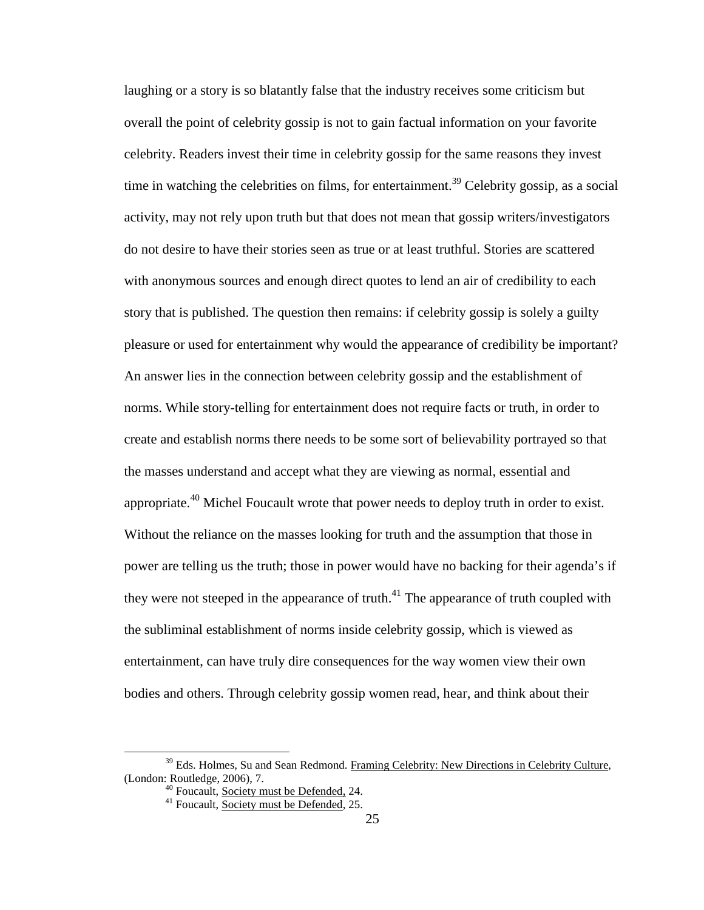laughing or a story is so blatantly false that the industry receives some criticism but overall the point of celebrity gossip is not to gain factual information on your favorite celebrity. Readers invest their time in celebrity gossip for the same reasons they invest time in watching the celebrities on films, for entertainment.<sup>39</sup> Celebrity gossip, as a social activity, may not rely upon truth but that does not mean that gossip writers/investigators do not desire to have their stories seen as true or at least truthful. Stories are scattered with anonymous sources and enough direct quotes to lend an air of credibility to each story that is published. The question then remains: if celebrity gossip is solely a guilty pleasure or used for entertainment why would the appearance of credibility be important? An answer lies in the connection between celebrity gossip and the establishment of norms. While story-telling for entertainment does not require facts or truth, in order to create and establish norms there needs to be some sort of believability portrayed so that the masses understand and accept what they are viewing as normal, essential and appropriate.<sup>40</sup> Michel Foucault wrote that power needs to deploy truth in order to exist. Without the reliance on the masses looking for truth and the assumption that those in power are telling us the truth; those in power would have no backing for their agenda's if they were not steeped in the appearance of truth.<sup>41</sup> The appearance of truth coupled with the subliminal establishment of norms inside celebrity gossip, which is viewed as entertainment, can have truly dire consequences for the way women view their own bodies and others. Through celebrity gossip women read, hear, and think about their

 $39$  Eds. Holmes, Su and Sean Redmond. Framing Celebrity: New Directions in Celebrity Culture, (London: Routledge, 2006), 7.

<sup>&</sup>lt;sup>40</sup> Foucault, **Society must be Defended**, 24.

<sup>&</sup>lt;sup>41</sup> Foucault, **Society must be Defended**, 25.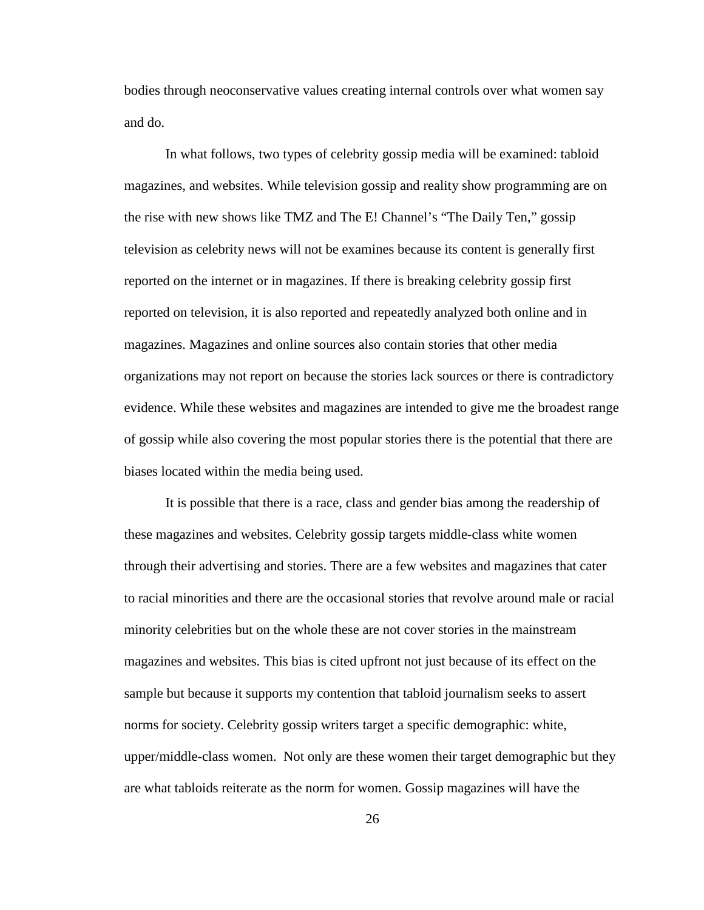bodies through neoconservative values creating internal controls over what women say and do.

In what follows, two types of celebrity gossip media will be examined: tabloid magazines, and websites. While television gossip and reality show programming are on the rise with new shows like TMZ and The E! Channel's "The Daily Ten," gossip television as celebrity news will not be examines because its content is generally first reported on the internet or in magazines. If there is breaking celebrity gossip first reported on television, it is also reported and repeatedly analyzed both online and in magazines. Magazines and online sources also contain stories that other media organizations may not report on because the stories lack sources or there is contradictory evidence. While these websites and magazines are intended to give me the broadest range of gossip while also covering the most popular stories there is the potential that there are biases located within the media being used.

It is possible that there is a race, class and gender bias among the readership of these magazines and websites. Celebrity gossip targets middle-class white women through their advertising and stories. There are a few websites and magazines that cater to racial minorities and there are the occasional stories that revolve around male or racial minority celebrities but on the whole these are not cover stories in the mainstream magazines and websites. This bias is cited upfront not just because of its effect on the sample but because it supports my contention that tabloid journalism seeks to assert norms for society. Celebrity gossip writers target a specific demographic: white, upper/middle-class women. Not only are these women their target demographic but they are what tabloids reiterate as the norm for women. Gossip magazines will have the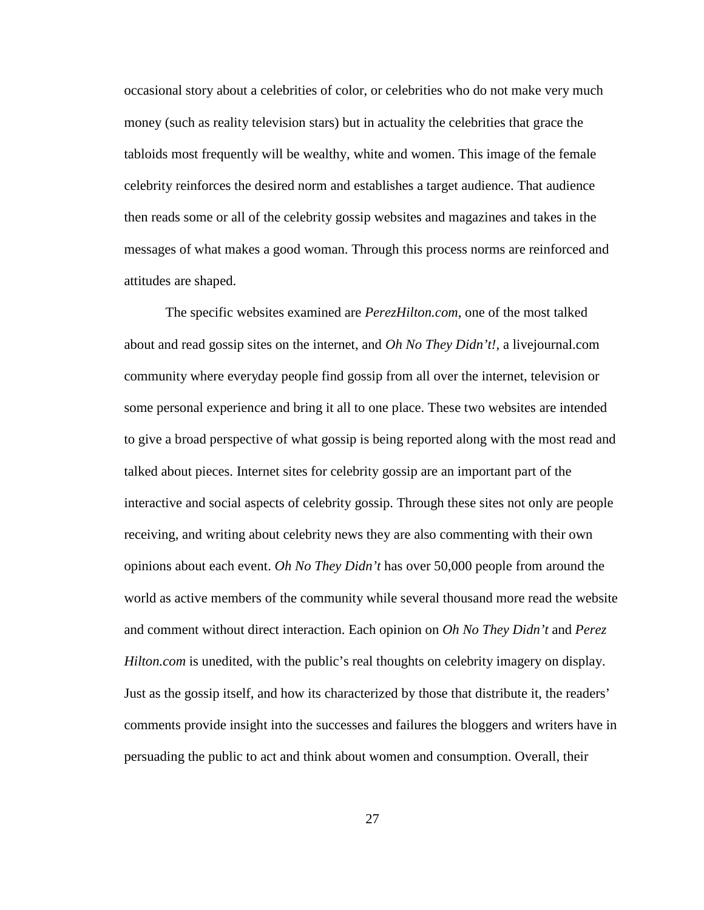occasional story about a celebrities of color, or celebrities who do not make very much money (such as reality television stars) but in actuality the celebrities that grace the tabloids most frequently will be wealthy, white and women. This image of the female celebrity reinforces the desired norm and establishes a target audience. That audience then reads some or all of the celebrity gossip websites and magazines and takes in the messages of what makes a good woman. Through this process norms are reinforced and attitudes are shaped.

The specific websites examined are *PerezHilton.com*, one of the most talked about and read gossip sites on the internet, and *Oh No They Didn't!,* a livejournal.com community where everyday people find gossip from all over the internet, television or some personal experience and bring it all to one place. These two websites are intended to give a broad perspective of what gossip is being reported along with the most read and talked about pieces. Internet sites for celebrity gossip are an important part of the interactive and social aspects of celebrity gossip. Through these sites not only are people receiving, and writing about celebrity news they are also commenting with their own opinions about each event. *Oh No They Didn't* has over 50,000 people from around the world as active members of the community while several thousand more read the website and comment without direct interaction. Each opinion on *Oh No They Didn't* and *Perez Hilton.com* is unedited, with the public's real thoughts on celebrity imagery on display. Just as the gossip itself, and how its characterized by those that distribute it, the readers' comments provide insight into the successes and failures the bloggers and writers have in persuading the public to act and think about women and consumption. Overall, their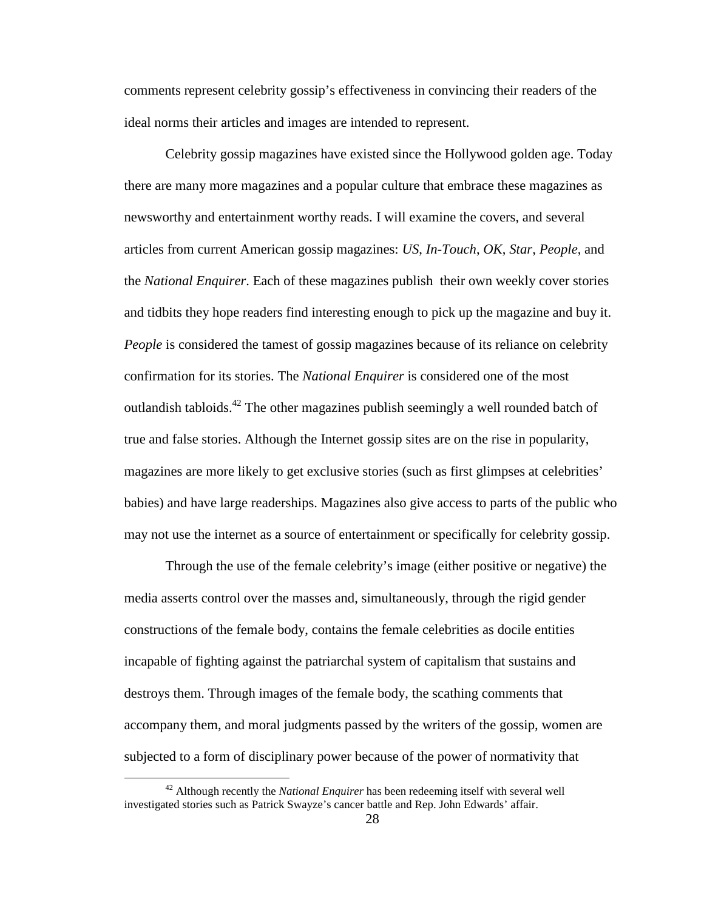comments represent celebrity gossip's effectiveness in convincing their readers of the ideal norms their articles and images are intended to represent.

Celebrity gossip magazines have existed since the Hollywood golden age. Today there are many more magazines and a popular culture that embrace these magazines as newsworthy and entertainment worthy reads. I will examine the covers, and several articles from current American gossip magazines: *US*, *In-Touch*, *OK*, *Star*, *People*, and the *National Enquirer*. Each of these magazines publish their own weekly cover stories and tidbits they hope readers find interesting enough to pick up the magazine and buy it. *People* is considered the tamest of gossip magazines because of its reliance on celebrity confirmation for its stories. The *National Enquirer* is considered one of the most outlandish tabloids.<sup>42</sup> The other magazines publish seemingly a well rounded batch of true and false stories. Although the Internet gossip sites are on the rise in popularity, magazines are more likely to get exclusive stories (such as first glimpses at celebrities' babies) and have large readerships. Magazines also give access to parts of the public who may not use the internet as a source of entertainment or specifically for celebrity gossip.

Through the use of the female celebrity's image (either positive or negative) the media asserts control over the masses and, simultaneously, through the rigid gender constructions of the female body, contains the female celebrities as docile entities incapable of fighting against the patriarchal system of capitalism that sustains and destroys them. Through images of the female body, the scathing comments that accompany them, and moral judgments passed by the writers of the gossip, women are subjected to a form of disciplinary power because of the power of normativity that

<u>.</u>

<sup>42</sup> Although recently the *National Enquirer* has been redeeming itself with several well investigated stories such as Patrick Swayze's cancer battle and Rep. John Edwards' affair.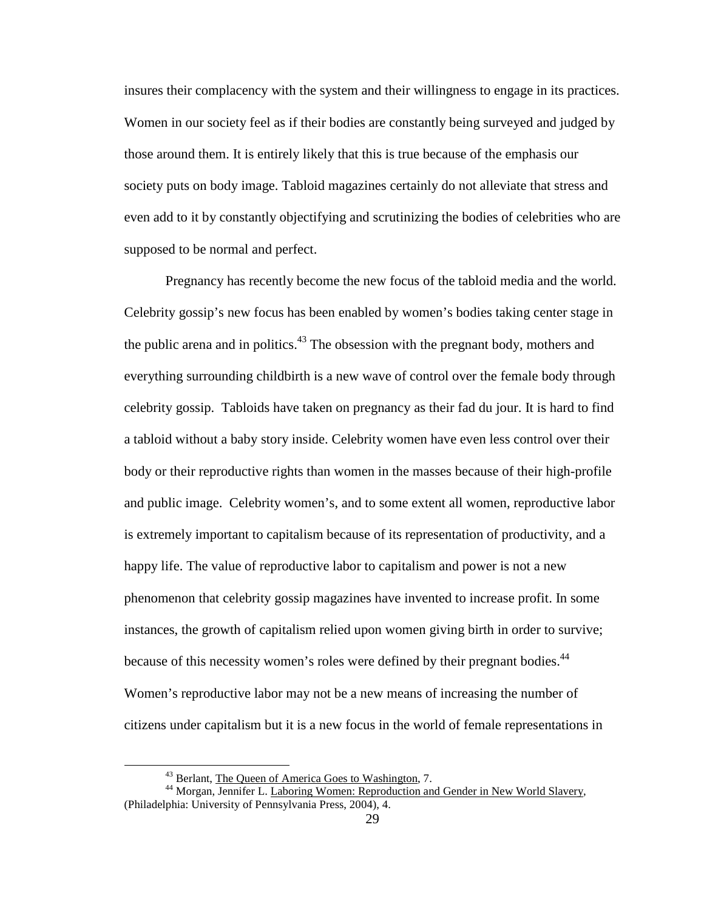insures their complacency with the system and their willingness to engage in its practices. Women in our society feel as if their bodies are constantly being surveyed and judged by those around them. It is entirely likely that this is true because of the emphasis our society puts on body image. Tabloid magazines certainly do not alleviate that stress and even add to it by constantly objectifying and scrutinizing the bodies of celebrities who are supposed to be normal and perfect.

Pregnancy has recently become the new focus of the tabloid media and the world. Celebrity gossip's new focus has been enabled by women's bodies taking center stage in the public arena and in politics. $43$  The obsession with the pregnant body, mothers and everything surrounding childbirth is a new wave of control over the female body through celebrity gossip. Tabloids have taken on pregnancy as their fad du jour. It is hard to find a tabloid without a baby story inside. Celebrity women have even less control over their body or their reproductive rights than women in the masses because of their high-profile and public image. Celebrity women's, and to some extent all women, reproductive labor is extremely important to capitalism because of its representation of productivity, and a happy life. The value of reproductive labor to capitalism and power is not a new phenomenon that celebrity gossip magazines have invented to increase profit. In some instances, the growth of capitalism relied upon women giving birth in order to survive; because of this necessity women's roles were defined by their pregnant bodies.<sup>44</sup> Women's reproductive labor may not be a new means of increasing the number of citizens under capitalism but it is a new focus in the world of female representations in

<sup>&</sup>lt;sup>43</sup> Berlant, The Queen of America Goes to Washington, 7.

<sup>&</sup>lt;sup>44</sup> Morgan, Jennifer L. Laboring Women: Reproduction and Gender in New World Slavery, (Philadelphia: University of Pennsylvania Press, 2004), 4.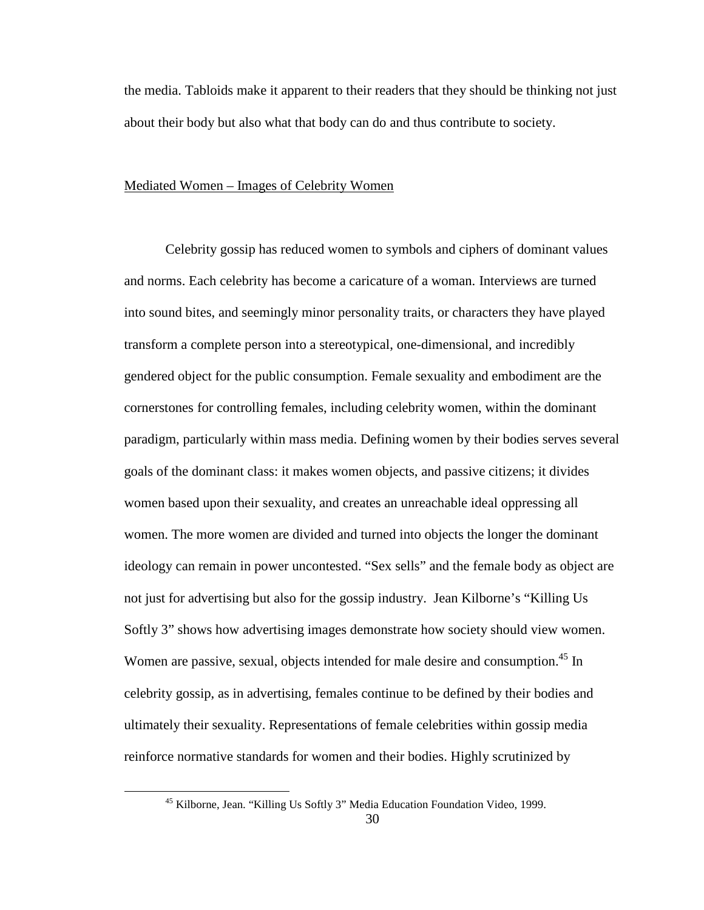the media. Tabloids make it apparent to their readers that they should be thinking not just about their body but also what that body can do and thus contribute to society.

## Mediated Women – Images of Celebrity Women

Celebrity gossip has reduced women to symbols and ciphers of dominant values and norms. Each celebrity has become a caricature of a woman. Interviews are turned into sound bites, and seemingly minor personality traits, or characters they have played transform a complete person into a stereotypical, one-dimensional, and incredibly gendered object for the public consumption. Female sexuality and embodiment are the cornerstones for controlling females, including celebrity women, within the dominant paradigm, particularly within mass media. Defining women by their bodies serves several goals of the dominant class: it makes women objects, and passive citizens; it divides women based upon their sexuality, and creates an unreachable ideal oppressing all women. The more women are divided and turned into objects the longer the dominant ideology can remain in power uncontested. "Sex sells" and the female body as object are not just for advertising but also for the gossip industry. Jean Kilborne's "Killing Us Softly 3" shows how advertising images demonstrate how society should view women. Women are passive, sexual, objects intended for male desire and consumption.<sup>45</sup> In celebrity gossip, as in advertising, females continue to be defined by their bodies and ultimately their sexuality. Representations of female celebrities within gossip media reinforce normative standards for women and their bodies. Highly scrutinized by

<sup>45</sup> Kilborne, Jean. "Killing Us Softly 3" Media Education Foundation Video, 1999.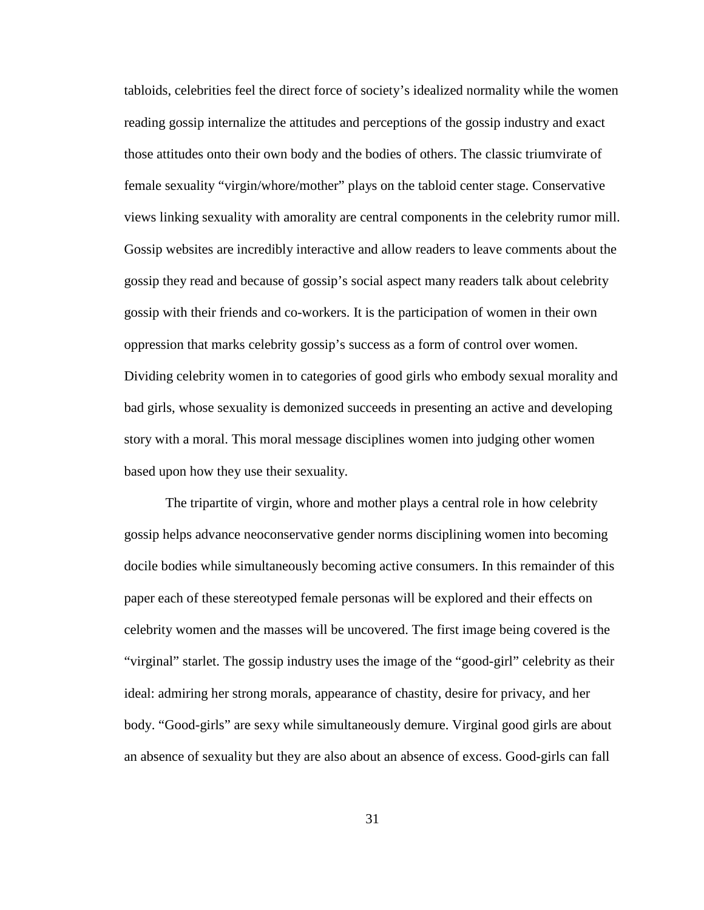tabloids, celebrities feel the direct force of society's idealized normality while the women reading gossip internalize the attitudes and perceptions of the gossip industry and exact those attitudes onto their own body and the bodies of others. The classic triumvirate of female sexuality "virgin/whore/mother" plays on the tabloid center stage. Conservative views linking sexuality with amorality are central components in the celebrity rumor mill. Gossip websites are incredibly interactive and allow readers to leave comments about the gossip they read and because of gossip's social aspect many readers talk about celebrity gossip with their friends and co-workers. It is the participation of women in their own oppression that marks celebrity gossip's success as a form of control over women. Dividing celebrity women in to categories of good girls who embody sexual morality and bad girls, whose sexuality is demonized succeeds in presenting an active and developing story with a moral. This moral message disciplines women into judging other women based upon how they use their sexuality.

The tripartite of virgin, whore and mother plays a central role in how celebrity gossip helps advance neoconservative gender norms disciplining women into becoming docile bodies while simultaneously becoming active consumers. In this remainder of this paper each of these stereotyped female personas will be explored and their effects on celebrity women and the masses will be uncovered. The first image being covered is the "virginal" starlet. The gossip industry uses the image of the "good-girl" celebrity as their ideal: admiring her strong morals, appearance of chastity, desire for privacy, and her body. "Good-girls" are sexy while simultaneously demure. Virginal good girls are about an absence of sexuality but they are also about an absence of excess. Good-girls can fall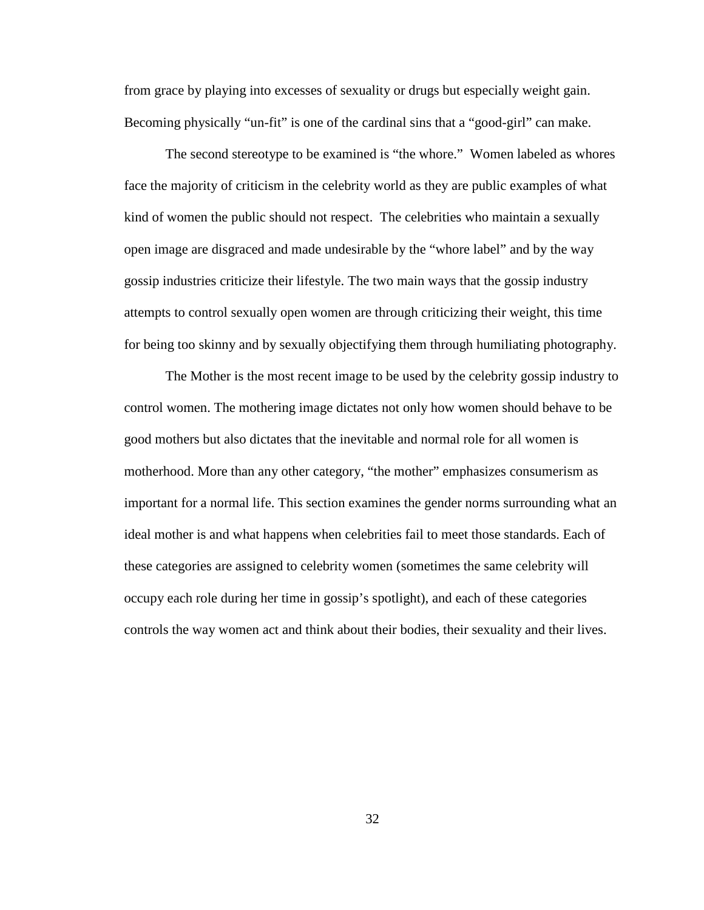from grace by playing into excesses of sexuality or drugs but especially weight gain. Becoming physically "un-fit" is one of the cardinal sins that a "good-girl" can make.

The second stereotype to be examined is "the whore." Women labeled as whores face the majority of criticism in the celebrity world as they are public examples of what kind of women the public should not respect. The celebrities who maintain a sexually open image are disgraced and made undesirable by the "whore label" and by the way gossip industries criticize their lifestyle. The two main ways that the gossip industry attempts to control sexually open women are through criticizing their weight, this time for being too skinny and by sexually objectifying them through humiliating photography.

The Mother is the most recent image to be used by the celebrity gossip industry to control women. The mothering image dictates not only how women should behave to be good mothers but also dictates that the inevitable and normal role for all women is motherhood. More than any other category, "the mother" emphasizes consumerism as important for a normal life. This section examines the gender norms surrounding what an ideal mother is and what happens when celebrities fail to meet those standards. Each of these categories are assigned to celebrity women (sometimes the same celebrity will occupy each role during her time in gossip's spotlight), and each of these categories controls the way women act and think about their bodies, their sexuality and their lives.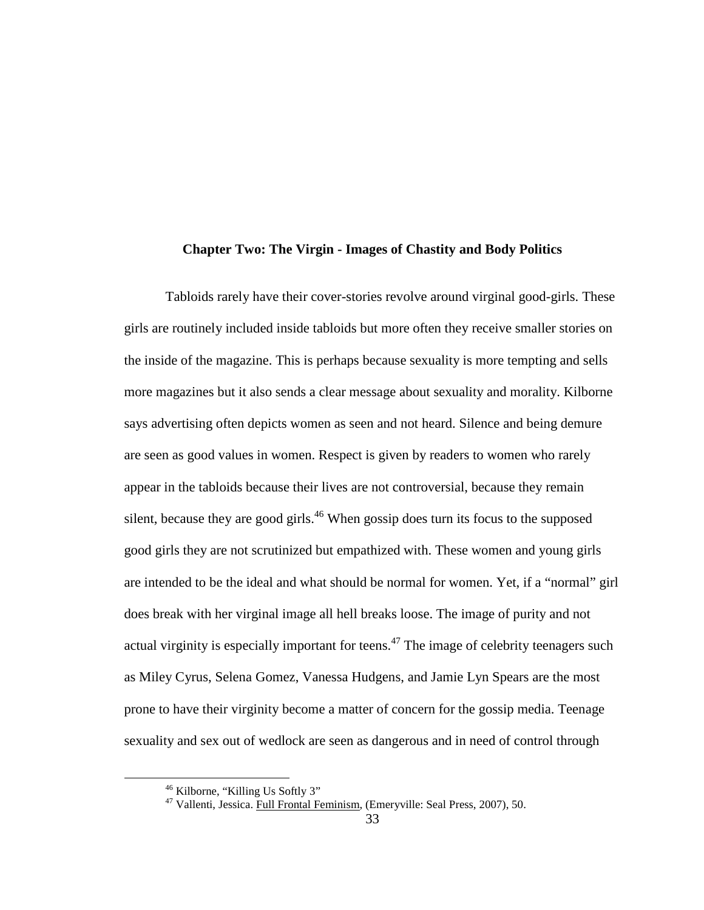#### **Chapter Two: The Virgin - Images of Chastity and Body Politics**

 Tabloids rarely have their cover-stories revolve around virginal good-girls. These girls are routinely included inside tabloids but more often they receive smaller stories on the inside of the magazine. This is perhaps because sexuality is more tempting and sells more magazines but it also sends a clear message about sexuality and morality. Kilborne says advertising often depicts women as seen and not heard. Silence and being demure are seen as good values in women. Respect is given by readers to women who rarely appear in the tabloids because their lives are not controversial, because they remain silent, because they are good girls.<sup>46</sup> When gossip does turn its focus to the supposed good girls they are not scrutinized but empathized with. These women and young girls are intended to be the ideal and what should be normal for women. Yet, if a "normal" girl does break with her virginal image all hell breaks loose. The image of purity and not actual virginity is especially important for teens.<sup> $47$ </sup> The image of celebrity teenagers such as Miley Cyrus, Selena Gomez, Vanessa Hudgens, and Jamie Lyn Spears are the most prone to have their virginity become a matter of concern for the gossip media. Teenage sexuality and sex out of wedlock are seen as dangerous and in need of control through

<sup>&</sup>lt;sup>46</sup> Kilborne, "Killing Us Softly 3"

<sup>&</sup>lt;sup>47</sup> Vallenti, Jessica. Full Frontal Feminism, (Emeryville: Seal Press, 2007), 50.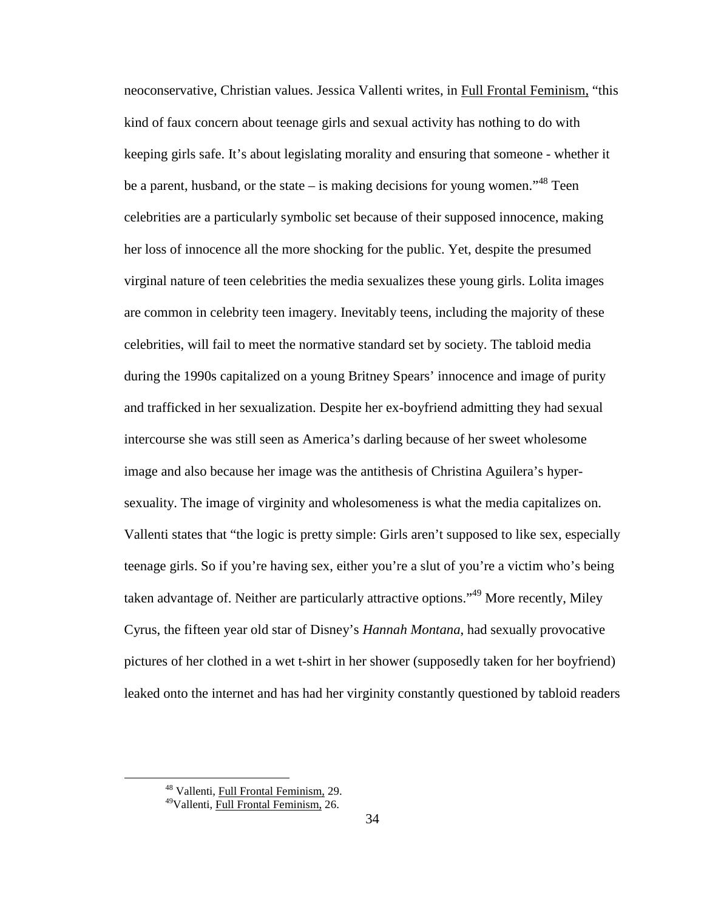neoconservative, Christian values. Jessica Vallenti writes, in Full Frontal Feminism, "this kind of faux concern about teenage girls and sexual activity has nothing to do with keeping girls safe. It's about legislating morality and ensuring that someone - whether it be a parent, husband, or the state – is making decisions for young women.<sup> $,48$ </sup> Teen celebrities are a particularly symbolic set because of their supposed innocence, making her loss of innocence all the more shocking for the public. Yet, despite the presumed virginal nature of teen celebrities the media sexualizes these young girls. Lolita images are common in celebrity teen imagery. Inevitably teens, including the majority of these celebrities, will fail to meet the normative standard set by society. The tabloid media during the 1990s capitalized on a young Britney Spears' innocence and image of purity and trafficked in her sexualization. Despite her ex-boyfriend admitting they had sexual intercourse she was still seen as America's darling because of her sweet wholesome image and also because her image was the antithesis of Christina Aguilera's hypersexuality. The image of virginity and wholesomeness is what the media capitalizes on. Vallenti states that "the logic is pretty simple: Girls aren't supposed to like sex, especially teenage girls. So if you're having sex, either you're a slut of you're a victim who's being taken advantage of. Neither are particularly attractive options."<sup>49</sup> More recently, Miley Cyrus, the fifteen year old star of Disney's *Hannah Montana*, had sexually provocative pictures of her clothed in a wet t-shirt in her shower (supposedly taken for her boyfriend) leaked onto the internet and has had her virginity constantly questioned by tabloid readers

<sup>&</sup>lt;sup>48</sup> Vallenti, Full Frontal Feminism, 29.

<sup>49</sup>Vallenti, Full Frontal Feminism, 26.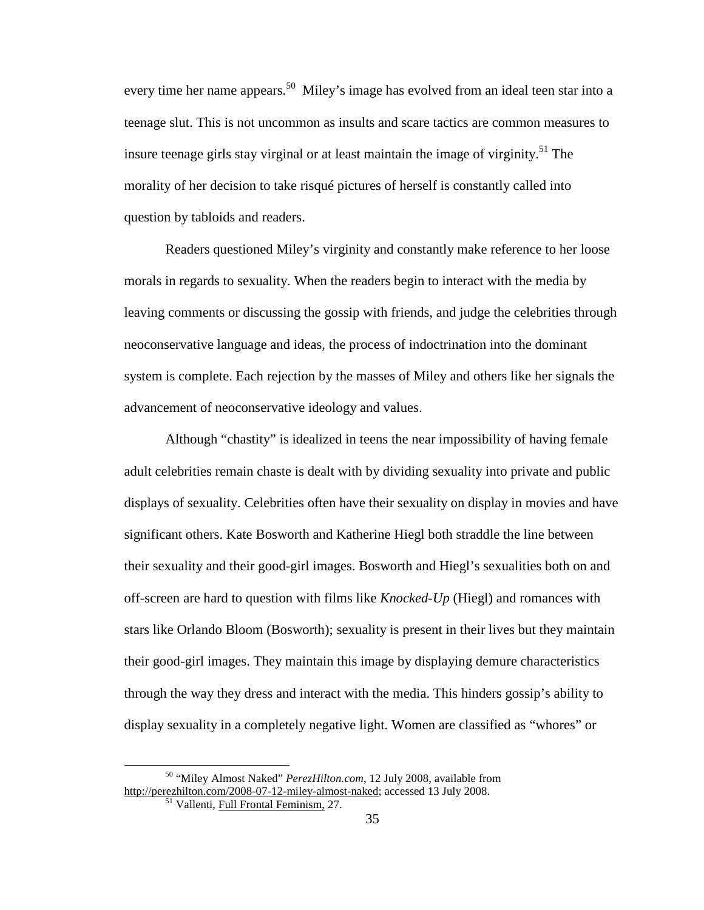every time her name appears.<sup>50</sup> Miley's image has evolved from an ideal teen star into a teenage slut. This is not uncommon as insults and scare tactics are common measures to insure teenage girls stay virginal or at least maintain the image of virginity.<sup>51</sup> The morality of her decision to take risqué pictures of herself is constantly called into question by tabloids and readers.

Readers questioned Miley's virginity and constantly make reference to her loose morals in regards to sexuality. When the readers begin to interact with the media by leaving comments or discussing the gossip with friends, and judge the celebrities through neoconservative language and ideas, the process of indoctrination into the dominant system is complete. Each rejection by the masses of Miley and others like her signals the advancement of neoconservative ideology and values.

Although "chastity" is idealized in teens the near impossibility of having female adult celebrities remain chaste is dealt with by dividing sexuality into private and public displays of sexuality. Celebrities often have their sexuality on display in movies and have significant others. Kate Bosworth and Katherine Hiegl both straddle the line between their sexuality and their good-girl images. Bosworth and Hiegl's sexualities both on and off-screen are hard to question with films like *Knocked-Up* (Hiegl) and romances with stars like Orlando Bloom (Bosworth); sexuality is present in their lives but they maintain their good-girl images. They maintain this image by displaying demure characteristics through the way they dress and interact with the media. This hinders gossip's ability to display sexuality in a completely negative light. Women are classified as "whores" or

<sup>50</sup> "Miley Almost Naked" *PerezHilton.com*, 12 July 2008, available from http://perezhilton.com/2008-07-12-miley-almost-naked; accessed 13 July 2008.

<sup>51</sup> Vallenti, Full Frontal Feminism, 27.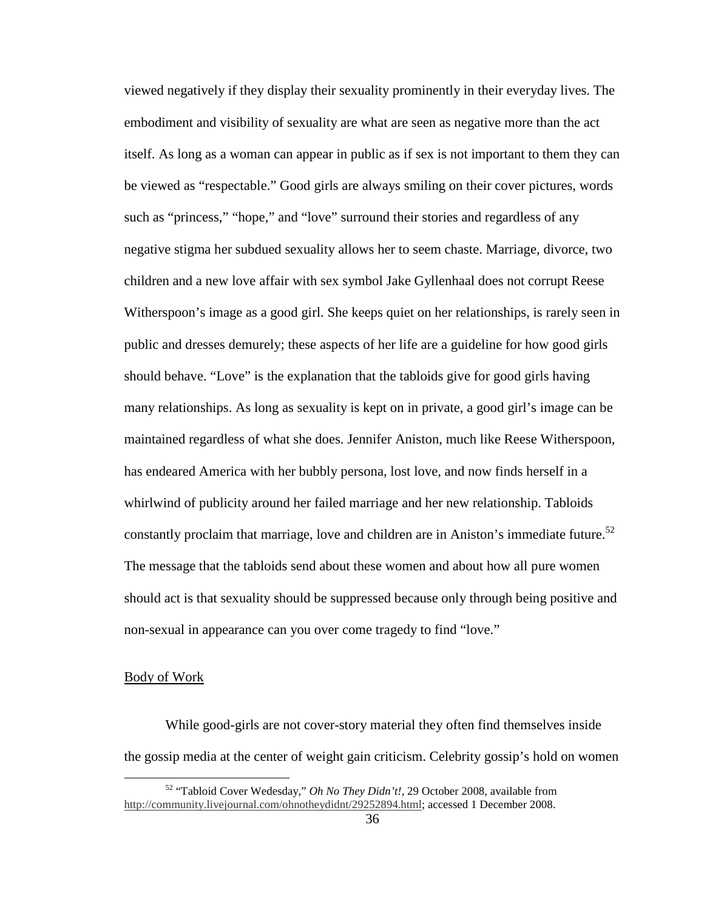viewed negatively if they display their sexuality prominently in their everyday lives. The embodiment and visibility of sexuality are what are seen as negative more than the act itself. As long as a woman can appear in public as if sex is not important to them they can be viewed as "respectable." Good girls are always smiling on their cover pictures, words such as "princess," "hope," and "love" surround their stories and regardless of any negative stigma her subdued sexuality allows her to seem chaste. Marriage, divorce, two children and a new love affair with sex symbol Jake Gyllenhaal does not corrupt Reese Witherspoon's image as a good girl. She keeps quiet on her relationships, is rarely seen in public and dresses demurely; these aspects of her life are a guideline for how good girls should behave. "Love" is the explanation that the tabloids give for good girls having many relationships. As long as sexuality is kept on in private, a good girl's image can be maintained regardless of what she does. Jennifer Aniston, much like Reese Witherspoon, has endeared America with her bubbly persona, lost love, and now finds herself in a whirlwind of publicity around her failed marriage and her new relationship. Tabloids constantly proclaim that marriage, love and children are in Aniston's immediate future.<sup>52</sup> The message that the tabloids send about these women and about how all pure women should act is that sexuality should be suppressed because only through being positive and non-sexual in appearance can you over come tragedy to find "love."

### Body of Work

<u>.</u>

 While good-girls are not cover-story material they often find themselves inside the gossip media at the center of weight gain criticism. Celebrity gossip's hold on women

<sup>52</sup> "Tabloid Cover Wedesday," *Oh No They Didn't!,* 29 October 2008, available from http://community.livejournal.com/ohnotheydidnt/29252894.html; accessed 1 December 2008.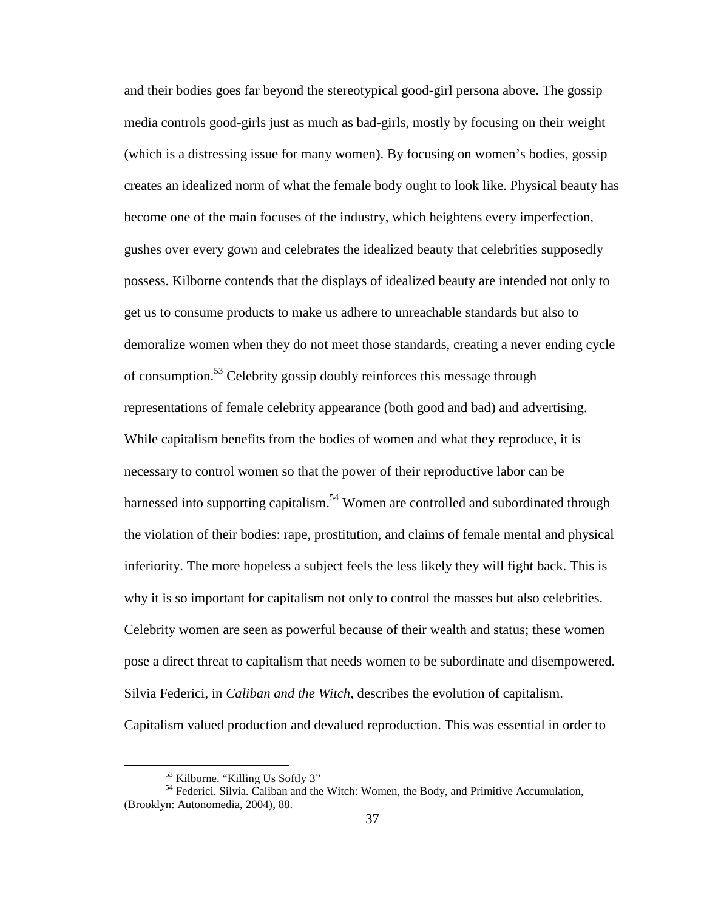and their bodies goes far beyond the stereotypical good-girl persona above. The gossip media controls good-girls just as much as bad-girls, mostly by focusing on their weight (which is a distressing issue for many women). By focusing on women's bodies, gossip creates an idealized norm of what the female body ought to look like. Physical beauty has become one of the main focuses of the industry, which heightens every imperfection, gushes over every gown and celebrates the idealized beauty that celebrities supposedly possess. Kilborne contends that the displays of idealized beauty are intended not only to get us to consume products to make us adhere to unreachable standards but also to demoralize women when they do not meet those standards, creating a never ending cycle of consumption.<sup>53</sup> Celebrity gossip doubly reinforces this message through representations of female celebrity appearance (both good and bad) and advertising. While capitalism benefits from the bodies of women and what they reproduce, it is necessary to control women so that the power of their reproductive labor can be harnessed into supporting capitalism.<sup>54</sup> Women are controlled and subordinated through the violation of their bodies: rape, prostitution, and claims of female mental and physical inferiority. The more hopeless a subject feels the less likely they will fight back. This is why it is so important for capitalism not only to control the masses but also celebrities. Celebrity women are seen as powerful because of their wealth and status; these women pose a direct threat to capitalism that needs women to be subordinate and disempowered. Silvia Federici, in *Caliban and the Witch*, describes the evolution of capitalism. Capitalism valued production and devalued reproduction. This was essential in order to

<sup>53</sup> Kilborne. "Killing Us Softly 3"

<sup>&</sup>lt;sup>54</sup> Federici. Silvia. Caliban and the Witch: Women, the Body, and Primitive Accumulation, (Brooklyn: Autonomedia, 2004), 88.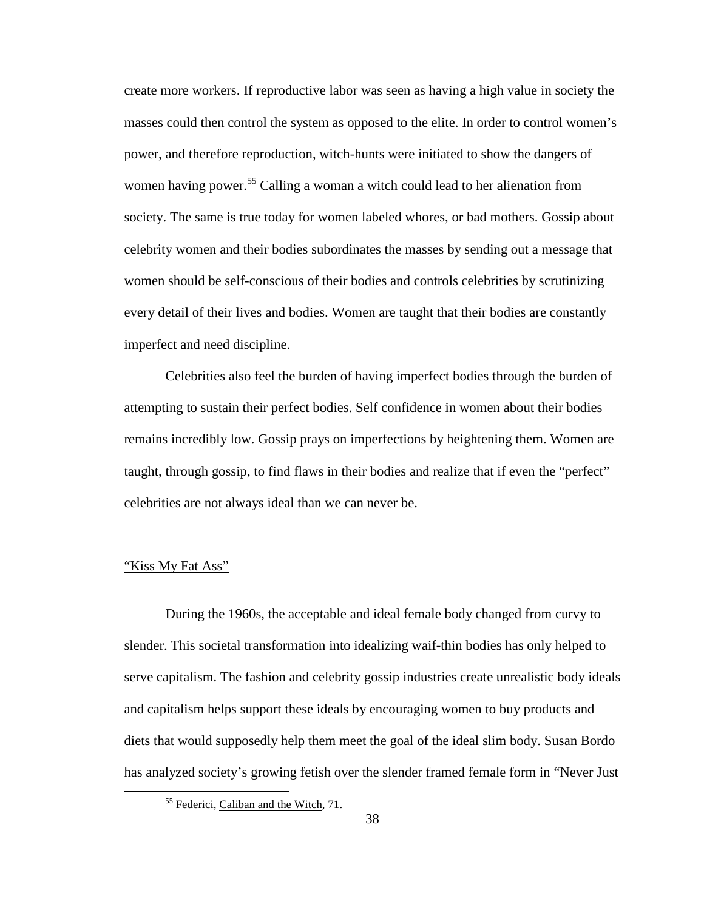create more workers. If reproductive labor was seen as having a high value in society the masses could then control the system as opposed to the elite. In order to control women's power, and therefore reproduction, witch-hunts were initiated to show the dangers of women having power.<sup>55</sup> Calling a woman a witch could lead to her alienation from society. The same is true today for women labeled whores, or bad mothers. Gossip about celebrity women and their bodies subordinates the masses by sending out a message that women should be self-conscious of their bodies and controls celebrities by scrutinizing every detail of their lives and bodies. Women are taught that their bodies are constantly imperfect and need discipline.

Celebrities also feel the burden of having imperfect bodies through the burden of attempting to sustain their perfect bodies. Self confidence in women about their bodies remains incredibly low. Gossip prays on imperfections by heightening them. Women are taught, through gossip, to find flaws in their bodies and realize that if even the "perfect" celebrities are not always ideal than we can never be.

# "Kiss My Fat Ass"

 $\overline{a}$ 

 During the 1960s, the acceptable and ideal female body changed from curvy to slender. This societal transformation into idealizing waif-thin bodies has only helped to serve capitalism. The fashion and celebrity gossip industries create unrealistic body ideals and capitalism helps support these ideals by encouraging women to buy products and diets that would supposedly help them meet the goal of the ideal slim body. Susan Bordo has analyzed society's growing fetish over the slender framed female form in "Never Just

<sup>55</sup> Federici, Caliban and the Witch, 71.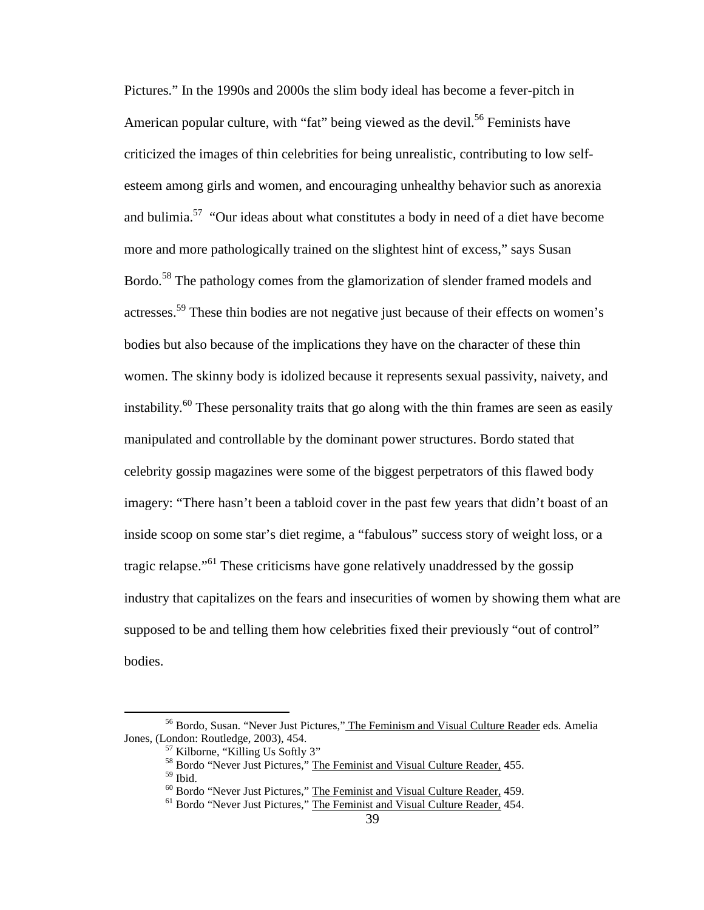Pictures." In the 1990s and 2000s the slim body ideal has become a fever-pitch in American popular culture, with "fat" being viewed as the devil.<sup>56</sup> Feminists have criticized the images of thin celebrities for being unrealistic, contributing to low selfesteem among girls and women, and encouraging unhealthy behavior such as anorexia and bulimia.<sup>57</sup> "Our ideas about what constitutes a body in need of a diet have become more and more pathologically trained on the slightest hint of excess," says Susan Bordo.<sup>58</sup> The pathology comes from the glamorization of slender framed models and actresses.<sup>59</sup> These thin bodies are not negative just because of their effects on women's bodies but also because of the implications they have on the character of these thin women. The skinny body is idolized because it represents sexual passivity, naivety, and instability.<sup>60</sup> These personality traits that go along with the thin frames are seen as easily manipulated and controllable by the dominant power structures. Bordo stated that celebrity gossip magazines were some of the biggest perpetrators of this flawed body imagery: "There hasn't been a tabloid cover in the past few years that didn't boast of an inside scoop on some star's diet regime, a "fabulous" success story of weight loss, or a tragic relapse."<sup>61</sup> These criticisms have gone relatively unaddressed by the gossip industry that capitalizes on the fears and insecurities of women by showing them what are supposed to be and telling them how celebrities fixed their previously "out of control" bodies.

<sup>&</sup>lt;sup>56</sup> Bordo, Susan. "Never Just Pictures," The Feminism and Visual Culture Reader eds. Amelia Jones, (London: Routledge, 2003), 454.

<sup>57</sup> Kilborne, "Killing Us Softly 3"

<sup>&</sup>lt;sup>58</sup> Bordo "Never Just Pictures," <u>The Feminist and Visual Culture Reader,</u> 455.

<sup>59</sup> Ibid.

<sup>60</sup> Bordo "Never Just Pictures," The Feminist and Visual Culture Reader, 459.

<sup>&</sup>lt;sup>61</sup> Bordo "Never Just Pictures," The Feminist and Visual Culture Reader, 454.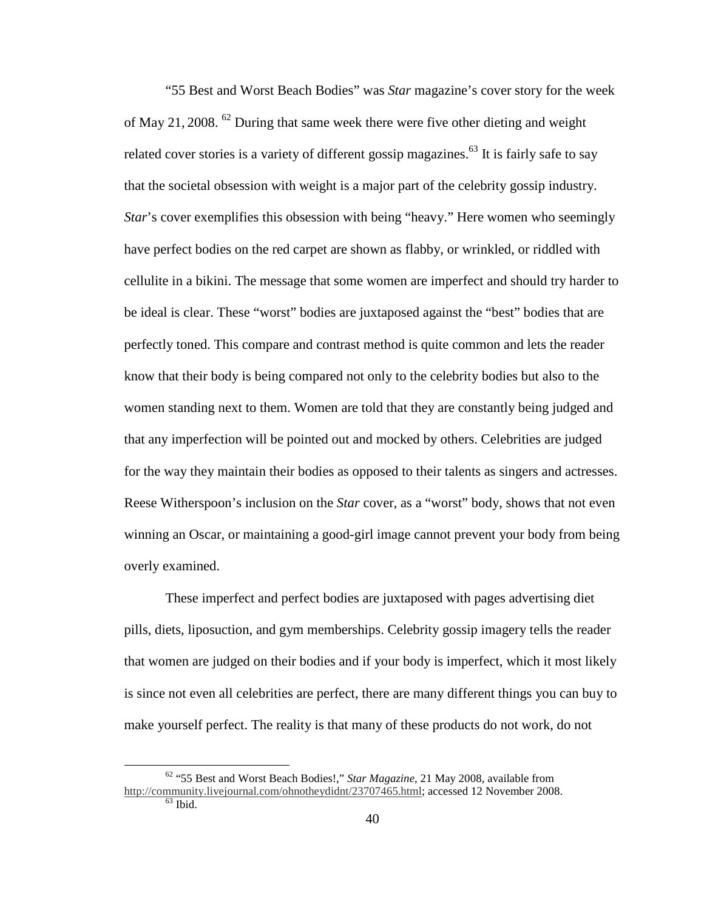"55 Best and Worst Beach Bodies" was *Star* magazine's cover story for the week of May 21, 2008. <sup>62</sup> During that same week there were five other dieting and weight related cover stories is a variety of different gossip magazines.<sup>63</sup> It is fairly safe to say that the societal obsession with weight is a major part of the celebrity gossip industry. *Star*'s cover exemplifies this obsession with being "heavy." Here women who seemingly have perfect bodies on the red carpet are shown as flabby, or wrinkled, or riddled with cellulite in a bikini. The message that some women are imperfect and should try harder to be ideal is clear. These "worst" bodies are juxtaposed against the "best" bodies that are perfectly toned. This compare and contrast method is quite common and lets the reader know that their body is being compared not only to the celebrity bodies but also to the women standing next to them. Women are told that they are constantly being judged and that any imperfection will be pointed out and mocked by others. Celebrities are judged for the way they maintain their bodies as opposed to their talents as singers and actresses. Reese Witherspoon's inclusion on the *Star* cover, as a "worst" body, shows that not even winning an Oscar, or maintaining a good-girl image cannot prevent your body from being overly examined.

 These imperfect and perfect bodies are juxtaposed with pages advertising diet pills, diets, liposuction, and gym memberships. Celebrity gossip imagery tells the reader that women are judged on their bodies and if your body is imperfect, which it most likely is since not even all celebrities are perfect, there are many different things you can buy to make yourself perfect. The reality is that many of these products do not work, do not

<sup>62</sup> "55 Best and Worst Beach Bodies!," *Star Magazine*, 21 May 2008, available from http://community.livejournal.com/ohnotheydidnt/23707465.html; accessed 12 November 2008.  $63$  Ibid.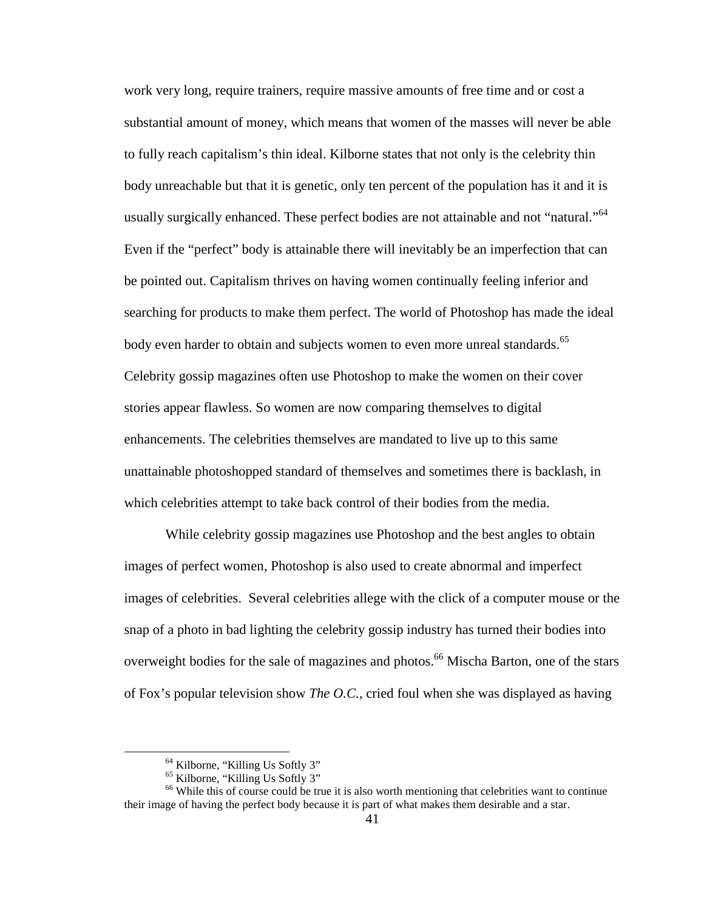work very long, require trainers, require massive amounts of free time and or cost a substantial amount of money, which means that women of the masses will never be able to fully reach capitalism's thin ideal. Kilborne states that not only is the celebrity thin body unreachable but that it is genetic, only ten percent of the population has it and it is usually surgically enhanced. These perfect bodies are not attainable and not "natural."<sup>64</sup> Even if the "perfect" body is attainable there will inevitably be an imperfection that can be pointed out. Capitalism thrives on having women continually feeling inferior and searching for products to make them perfect. The world of Photoshop has made the ideal body even harder to obtain and subjects women to even more unreal standards.<sup>65</sup> Celebrity gossip magazines often use Photoshop to make the women on their cover stories appear flawless. So women are now comparing themselves to digital enhancements. The celebrities themselves are mandated to live up to this same unattainable photoshopped standard of themselves and sometimes there is backlash, in which celebrities attempt to take back control of their bodies from the media.

While celebrity gossip magazines use Photoshop and the best angles to obtain images of perfect women, Photoshop is also used to create abnormal and imperfect images of celebrities. Several celebrities allege with the click of a computer mouse or the snap of a photo in bad lighting the celebrity gossip industry has turned their bodies into overweight bodies for the sale of magazines and photos.<sup>66</sup> Mischa Barton, one of the stars of Fox's popular television show *The O.C.*, cried foul when she was displayed as having

<sup>&</sup>lt;sup>64</sup> Kilborne, "Killing Us Softly 3"

<sup>65</sup> Kilborne, "Killing Us Softly 3"

<sup>&</sup>lt;sup>66</sup> While this of course could be true it is also worth mentioning that celebrities want to continue their image of having the perfect body because it is part of what makes them desirable and a star.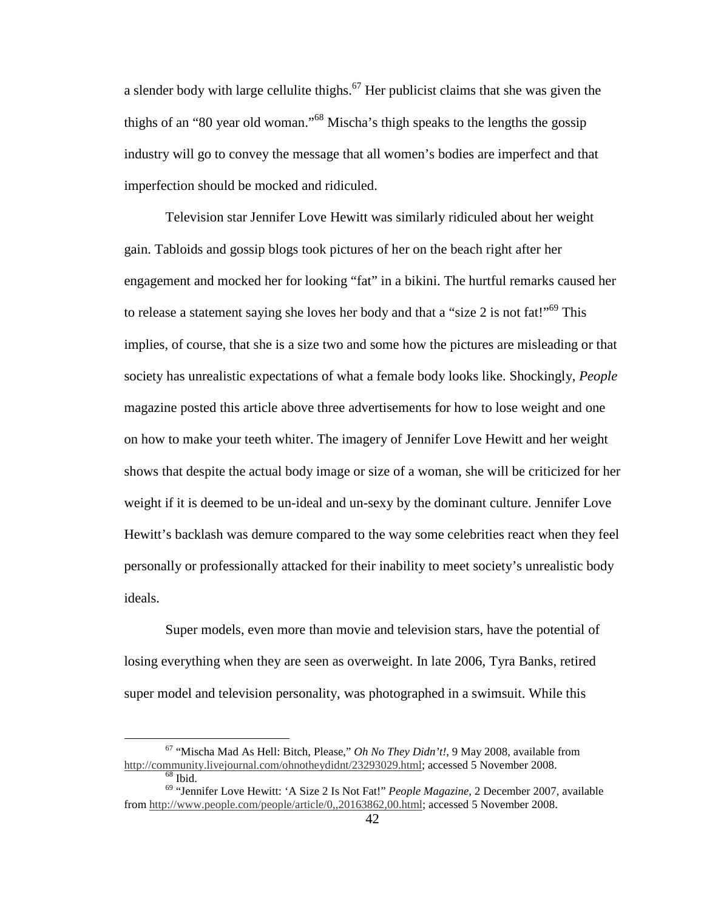a slender body with large cellulite thighs.<sup>67</sup> Her publicist claims that she was given the thighs of an "80 year old woman."<sup>68</sup> Mischa's thigh speaks to the lengths the gossip industry will go to convey the message that all women's bodies are imperfect and that imperfection should be mocked and ridiculed.

Television star Jennifer Love Hewitt was similarly ridiculed about her weight gain. Tabloids and gossip blogs took pictures of her on the beach right after her engagement and mocked her for looking "fat" in a bikini. The hurtful remarks caused her to release a statement saying she loves her body and that a "size 2 is not fat!"<sup>69</sup> This implies, of course, that she is a size two and some how the pictures are misleading or that society has unrealistic expectations of what a female body looks like. Shockingly, *People* magazine posted this article above three advertisements for how to lose weight and one on how to make your teeth whiter. The imagery of Jennifer Love Hewitt and her weight shows that despite the actual body image or size of a woman, she will be criticized for her weight if it is deemed to be un-ideal and un-sexy by the dominant culture. Jennifer Love Hewitt's backlash was demure compared to the way some celebrities react when they feel personally or professionally attacked for their inability to meet society's unrealistic body ideals.

Super models, even more than movie and television stars, have the potential of losing everything when they are seen as overweight. In late 2006, Tyra Banks, retired super model and television personality, was photographed in a swimsuit. While this

<sup>67</sup> "Mischa Mad As Hell: Bitch, Please," *Oh No They Didn't!*, 9 May 2008, available from http://community.livejournal.com/ohnotheydidnt/23293029.html; accessed 5 November 2008.

 $\overline{68}$  Ibid.

<sup>69</sup> "Jennifer Love Hewitt: 'A Size 2 Is Not Fat!" *People Magazine*, 2 December 2007, available from http://www.people.com/people/article/0,,20163862,00.html; accessed 5 November 2008.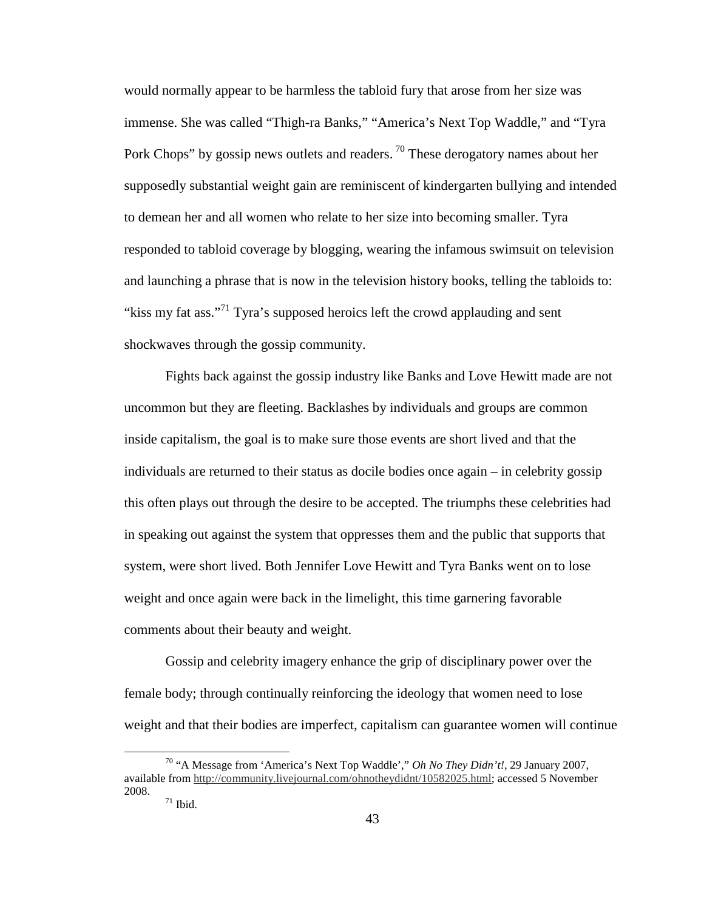would normally appear to be harmless the tabloid fury that arose from her size was immense. She was called "Thigh-ra Banks," "America's Next Top Waddle," and "Tyra Pork Chops" by gossip news outlets and readers. <sup>70</sup> These derogatory names about her supposedly substantial weight gain are reminiscent of kindergarten bullying and intended to demean her and all women who relate to her size into becoming smaller. Tyra responded to tabloid coverage by blogging, wearing the infamous swimsuit on television and launching a phrase that is now in the television history books, telling the tabloids to: "kiss my fat ass."<sup>71</sup> Tyra's supposed heroics left the crowd applauding and sent shockwaves through the gossip community.

Fights back against the gossip industry like Banks and Love Hewitt made are not uncommon but they are fleeting. Backlashes by individuals and groups are common inside capitalism, the goal is to make sure those events are short lived and that the individuals are returned to their status as docile bodies once again – in celebrity gossip this often plays out through the desire to be accepted. The triumphs these celebrities had in speaking out against the system that oppresses them and the public that supports that system, were short lived. Both Jennifer Love Hewitt and Tyra Banks went on to lose weight and once again were back in the limelight, this time garnering favorable comments about their beauty and weight.

 Gossip and celebrity imagery enhance the grip of disciplinary power over the female body; through continually reinforcing the ideology that women need to lose weight and that their bodies are imperfect, capitalism can guarantee women will continue

<sup>70</sup> "A Message from 'America's Next Top Waddle'," *Oh No They Didn't!*, 29 January 2007, available from http://community.livejournal.com/ohnotheydidnt/10582025.html; accessed 5 November 2008.

 $71$  Ibid.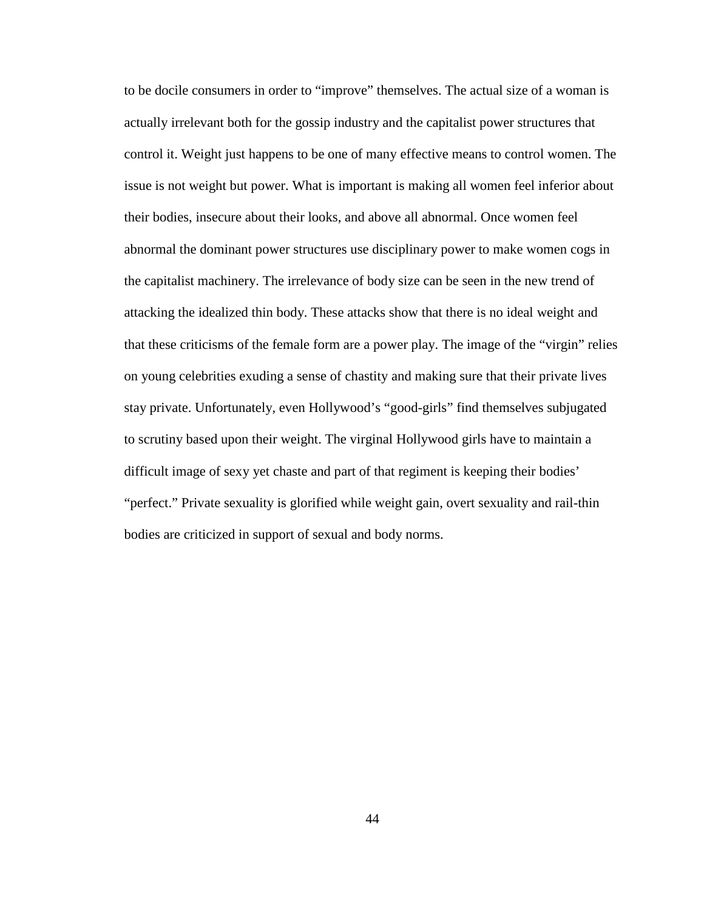to be docile consumers in order to "improve" themselves. The actual size of a woman is actually irrelevant both for the gossip industry and the capitalist power structures that control it. Weight just happens to be one of many effective means to control women. The issue is not weight but power. What is important is making all women feel inferior about their bodies, insecure about their looks, and above all abnormal. Once women feel abnormal the dominant power structures use disciplinary power to make women cogs in the capitalist machinery. The irrelevance of body size can be seen in the new trend of attacking the idealized thin body. These attacks show that there is no ideal weight and that these criticisms of the female form are a power play. The image of the "virgin" relies on young celebrities exuding a sense of chastity and making sure that their private lives stay private. Unfortunately, even Hollywood's "good-girls" find themselves subjugated to scrutiny based upon their weight. The virginal Hollywood girls have to maintain a difficult image of sexy yet chaste and part of that regiment is keeping their bodies' "perfect." Private sexuality is glorified while weight gain, overt sexuality and rail-thin bodies are criticized in support of sexual and body norms.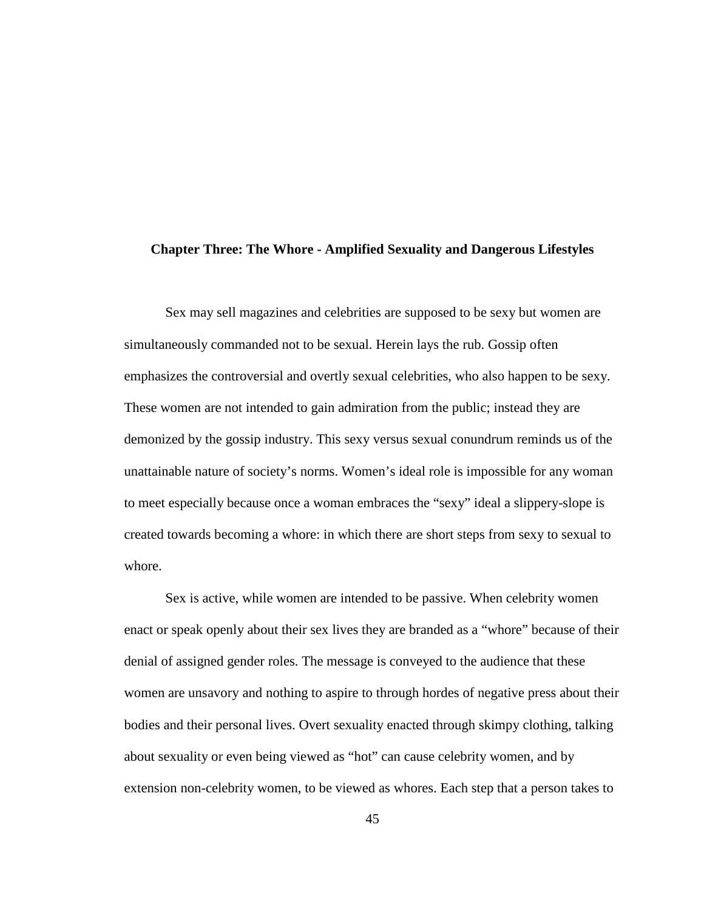#### **Chapter Three: The Whore - Amplified Sexuality and Dangerous Lifestyles**

Sex may sell magazines and celebrities are supposed to be sexy but women are simultaneously commanded not to be sexual. Herein lays the rub. Gossip often emphasizes the controversial and overtly sexual celebrities, who also happen to be sexy. These women are not intended to gain admiration from the public; instead they are demonized by the gossip industry. This sexy versus sexual conundrum reminds us of the unattainable nature of society's norms. Women's ideal role is impossible for any woman to meet especially because once a woman embraces the "sexy" ideal a slippery-slope is created towards becoming a whore: in which there are short steps from sexy to sexual to whore.

Sex is active, while women are intended to be passive. When celebrity women enact or speak openly about their sex lives they are branded as a "whore" because of their denial of assigned gender roles. The message is conveyed to the audience that these women are unsavory and nothing to aspire to through hordes of negative press about their bodies and their personal lives. Overt sexuality enacted through skimpy clothing, talking about sexuality or even being viewed as "hot" can cause celebrity women, and by extension non-celebrity women, to be viewed as whores. Each step that a person takes to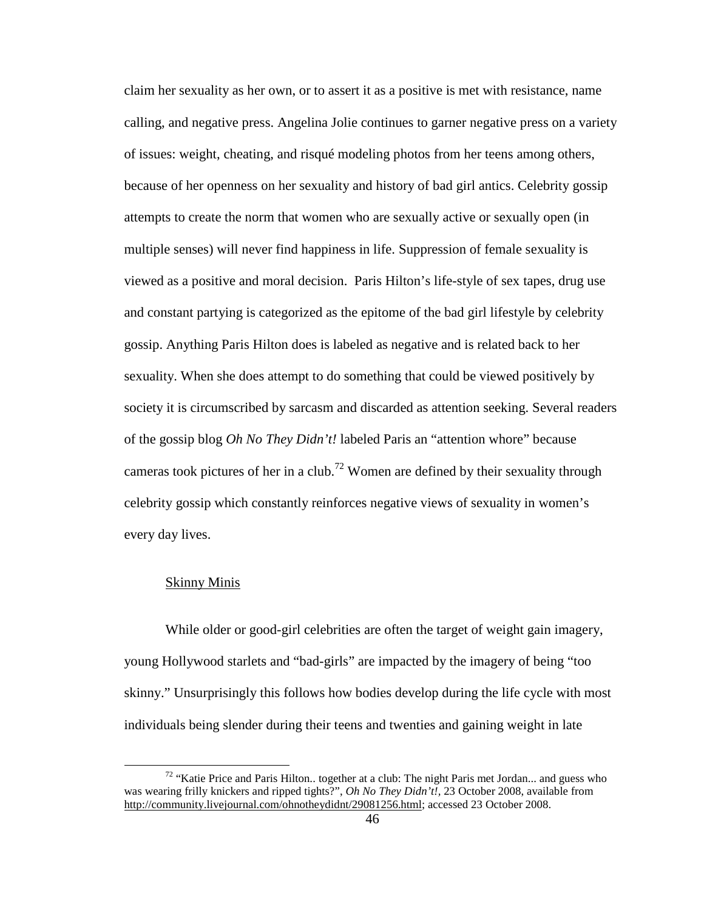claim her sexuality as her own, or to assert it as a positive is met with resistance, name calling, and negative press. Angelina Jolie continues to garner negative press on a variety of issues: weight, cheating, and risqué modeling photos from her teens among others, because of her openness on her sexuality and history of bad girl antics. Celebrity gossip attempts to create the norm that women who are sexually active or sexually open (in multiple senses) will never find happiness in life. Suppression of female sexuality is viewed as a positive and moral decision. Paris Hilton's life-style of sex tapes, drug use and constant partying is categorized as the epitome of the bad girl lifestyle by celebrity gossip. Anything Paris Hilton does is labeled as negative and is related back to her sexuality. When she does attempt to do something that could be viewed positively by society it is circumscribed by sarcasm and discarded as attention seeking. Several readers of the gossip blog *Oh No They Didn't!* labeled Paris an "attention whore" because cameras took pictures of her in a club.<sup>72</sup> Women are defined by their sexuality through celebrity gossip which constantly reinforces negative views of sexuality in women's every day lives.

## Skinny Minis

 $\overline{a}$ 

While older or good-girl celebrities are often the target of weight gain imagery, young Hollywood starlets and "bad-girls" are impacted by the imagery of being "too skinny." Unsurprisingly this follows how bodies develop during the life cycle with most individuals being slender during their teens and twenties and gaining weight in late

<sup>&</sup>lt;sup>72</sup> "Katie Price and Paris Hilton.. together at a club: The night Paris met Jordan... and guess who was wearing frilly knickers and ripped tights?", *Oh No They Didn't!,* 23 October 2008, available from http://community.livejournal.com/ohnotheydidnt/29081256.html; accessed 23 October 2008.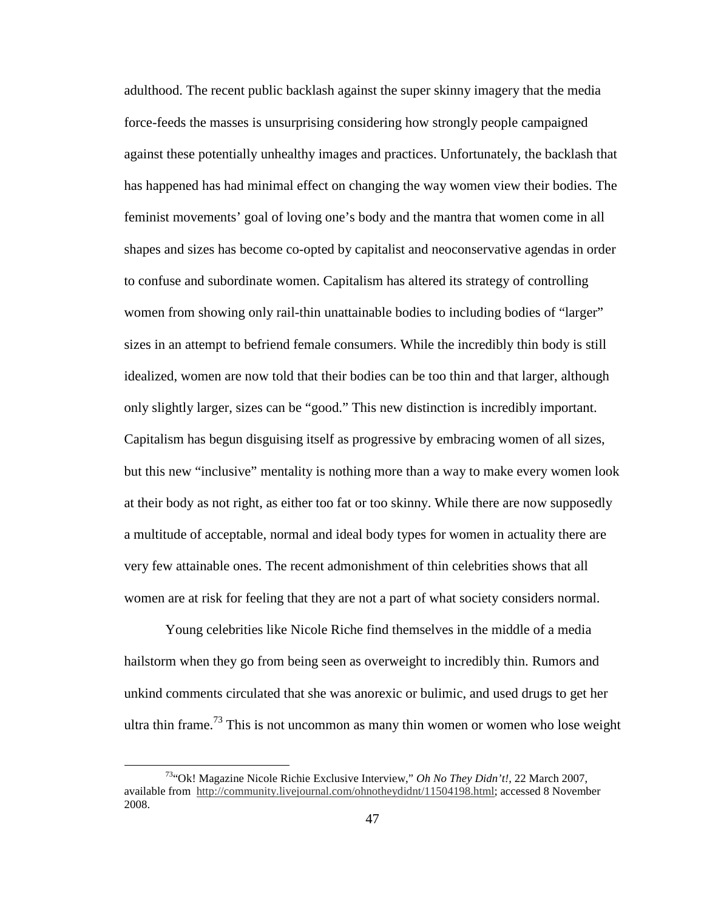adulthood. The recent public backlash against the super skinny imagery that the media force-feeds the masses is unsurprising considering how strongly people campaigned against these potentially unhealthy images and practices. Unfortunately, the backlash that has happened has had minimal effect on changing the way women view their bodies. The feminist movements' goal of loving one's body and the mantra that women come in all shapes and sizes has become co-opted by capitalist and neoconservative agendas in order to confuse and subordinate women. Capitalism has altered its strategy of controlling women from showing only rail-thin unattainable bodies to including bodies of "larger" sizes in an attempt to befriend female consumers. While the incredibly thin body is still idealized, women are now told that their bodies can be too thin and that larger, although only slightly larger, sizes can be "good." This new distinction is incredibly important. Capitalism has begun disguising itself as progressive by embracing women of all sizes, but this new "inclusive" mentality is nothing more than a way to make every women look at their body as not right, as either too fat or too skinny. While there are now supposedly a multitude of acceptable, normal and ideal body types for women in actuality there are very few attainable ones. The recent admonishment of thin celebrities shows that all women are at risk for feeling that they are not a part of what society considers normal.

Young celebrities like Nicole Riche find themselves in the middle of a media hailstorm when they go from being seen as overweight to incredibly thin. Rumors and unkind comments circulated that she was anorexic or bulimic, and used drugs to get her ultra thin frame.<sup>73</sup> This is not uncommon as many thin women or women who lose weight

<sup>73</sup>"Ok! Magazine Nicole Richie Exclusive Interview," *Oh No They Didn't!*, 22 March 2007, available from http://community.livejournal.com/ohnotheydidnt/11504198.html; accessed 8 November 2008.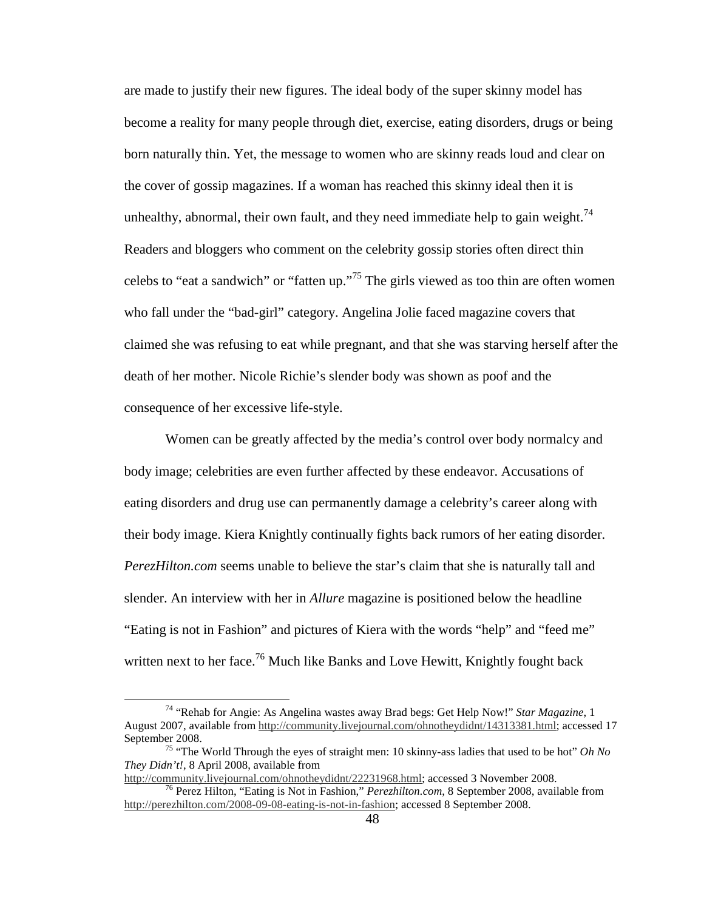are made to justify their new figures. The ideal body of the super skinny model has become a reality for many people through diet, exercise, eating disorders, drugs or being born naturally thin. Yet, the message to women who are skinny reads loud and clear on the cover of gossip magazines. If a woman has reached this skinny ideal then it is unhealthy, abnormal, their own fault, and they need immediate help to gain weight.<sup>74</sup> Readers and bloggers who comment on the celebrity gossip stories often direct thin celebs to "eat a sandwich" or "fatten up."<sup>75</sup> The girls viewed as too thin are often women who fall under the "bad-girl" category. Angelina Jolie faced magazine covers that claimed she was refusing to eat while pregnant, and that she was starving herself after the death of her mother. Nicole Richie's slender body was shown as poof and the consequence of her excessive life-style.

Women can be greatly affected by the media's control over body normalcy and body image; celebrities are even further affected by these endeavor. Accusations of eating disorders and drug use can permanently damage a celebrity's career along with their body image. Kiera Knightly continually fights back rumors of her eating disorder. *PerezHilton.com* seems unable to believe the star's claim that she is naturally tall and slender. An interview with her in *Allure* magazine is positioned below the headline "Eating is not in Fashion" and pictures of Kiera with the words "help" and "feed me" written next to her face.<sup>76</sup> Much like Banks and Love Hewitt, Knightly fought back

<sup>74</sup> "Rehab for Angie: As Angelina wastes away Brad begs: Get Help Now!" *Star Magazine*, 1 August 2007, available from http://community.livejournal.com/ohnotheydidnt/14313381.html; accessed 17 September 2008.

<sup>75</sup> "The World Through the eyes of straight men: 10 skinny-ass ladies that used to be hot" *Oh No They Didn't!*, 8 April 2008, available from

http://community.livejournal.com/ohnotheydidnt/22231968.html; accessed 3 November 2008. <sup>76</sup> Perez Hilton, "Eating is Not in Fashion," *Perezhilton.com*, 8 September 2008, available from http://perezhilton.com/2008-09-08-eating-is-not-in-fashion; accessed 8 September 2008.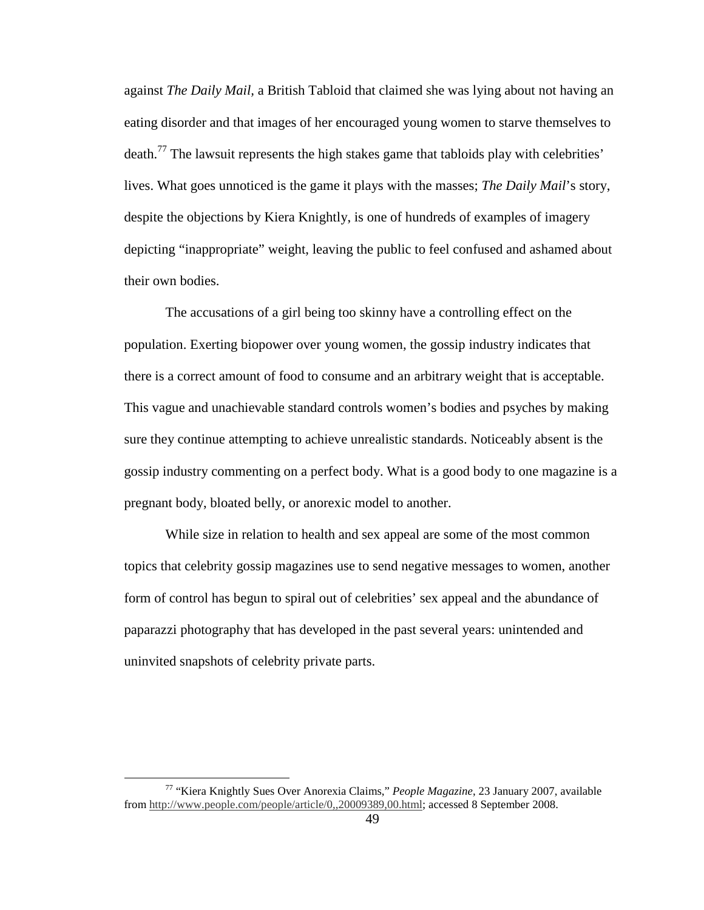against *The Daily Mail,* a British Tabloid that claimed she was lying about not having an eating disorder and that images of her encouraged young women to starve themselves to death.<sup>77</sup> The lawsuit represents the high stakes game that tabloids play with celebrities' lives. What goes unnoticed is the game it plays with the masses; *The Daily Mail*'s story, despite the objections by Kiera Knightly, is one of hundreds of examples of imagery depicting "inappropriate" weight, leaving the public to feel confused and ashamed about their own bodies.

The accusations of a girl being too skinny have a controlling effect on the population. Exerting biopower over young women, the gossip industry indicates that there is a correct amount of food to consume and an arbitrary weight that is acceptable. This vague and unachievable standard controls women's bodies and psyches by making sure they continue attempting to achieve unrealistic standards. Noticeably absent is the gossip industry commenting on a perfect body. What is a good body to one magazine is a pregnant body, bloated belly, or anorexic model to another.

 While size in relation to health and sex appeal are some of the most common topics that celebrity gossip magazines use to send negative messages to women, another form of control has begun to spiral out of celebrities' sex appeal and the abundance of paparazzi photography that has developed in the past several years: unintended and uninvited snapshots of celebrity private parts.

<sup>77</sup> "Kiera Knightly Sues Over Anorexia Claims," *People Magazine*, 23 January 2007, available from http://www.people.com/people/article/0,,20009389,00.html; accessed 8 September 2008.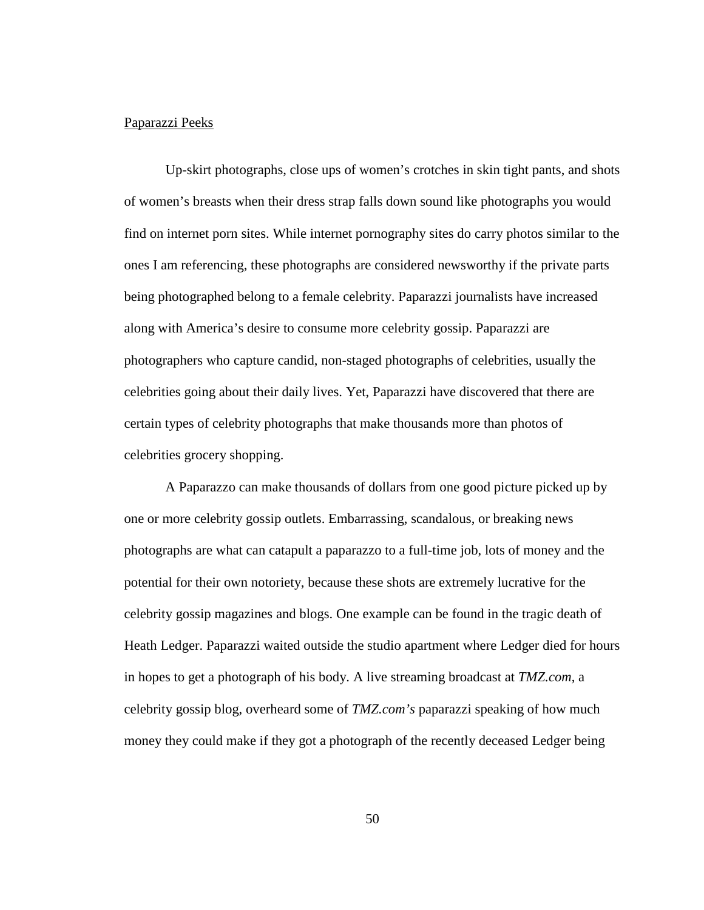# Paparazzi Peeks

 Up-skirt photographs, close ups of women's crotches in skin tight pants, and shots of women's breasts when their dress strap falls down sound like photographs you would find on internet porn sites. While internet pornography sites do carry photos similar to the ones I am referencing, these photographs are considered newsworthy if the private parts being photographed belong to a female celebrity. Paparazzi journalists have increased along with America's desire to consume more celebrity gossip. Paparazzi are photographers who capture candid, non-staged photographs of celebrities, usually the celebrities going about their daily lives. Yet, Paparazzi have discovered that there are certain types of celebrity photographs that make thousands more than photos of celebrities grocery shopping.

A Paparazzo can make thousands of dollars from one good picture picked up by one or more celebrity gossip outlets. Embarrassing, scandalous, or breaking news photographs are what can catapult a paparazzo to a full-time job, lots of money and the potential for their own notoriety, because these shots are extremely lucrative for the celebrity gossip magazines and blogs. One example can be found in the tragic death of Heath Ledger. Paparazzi waited outside the studio apartment where Ledger died for hours in hopes to get a photograph of his body. A live streaming broadcast at *TMZ.com*, a celebrity gossip blog, overheard some of *TMZ.com's* paparazzi speaking of how much money they could make if they got a photograph of the recently deceased Ledger being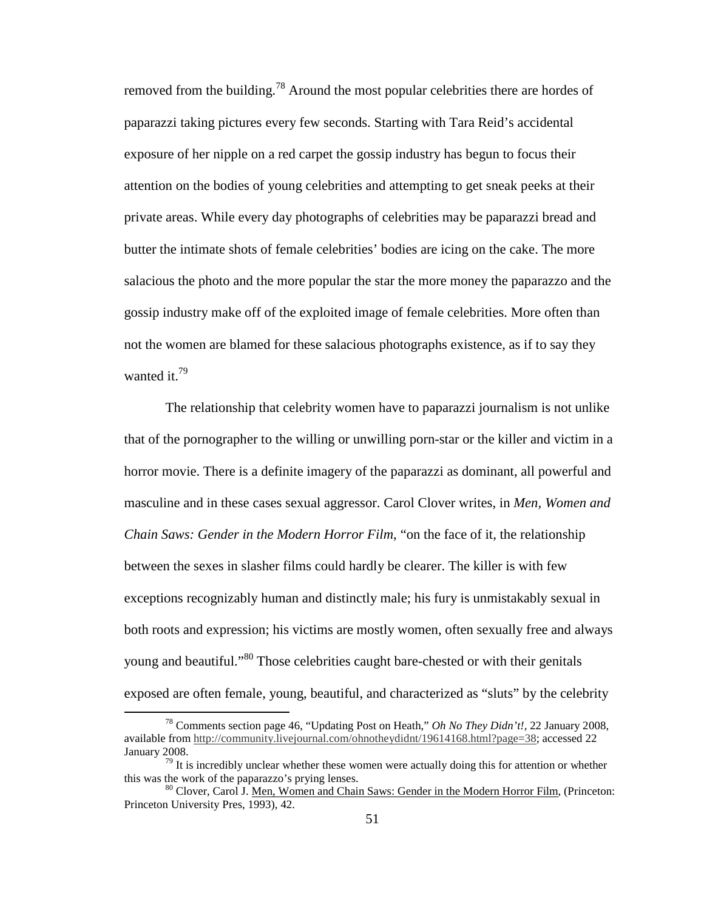removed from the building.<sup>78</sup> Around the most popular celebrities there are hordes of paparazzi taking pictures every few seconds. Starting with Tara Reid's accidental exposure of her nipple on a red carpet the gossip industry has begun to focus their attention on the bodies of young celebrities and attempting to get sneak peeks at their private areas. While every day photographs of celebrities may be paparazzi bread and butter the intimate shots of female celebrities' bodies are icing on the cake. The more salacious the photo and the more popular the star the more money the paparazzo and the gossip industry make off of the exploited image of female celebrities. More often than not the women are blamed for these salacious photographs existence, as if to say they wanted it.<sup>79</sup>

The relationship that celebrity women have to paparazzi journalism is not unlike that of the pornographer to the willing or unwilling porn-star or the killer and victim in a horror movie. There is a definite imagery of the paparazzi as dominant, all powerful and masculine and in these cases sexual aggressor. Carol Clover writes, in *Men, Women and Chain Saws: Gender in the Modern Horror Film*, "on the face of it, the relationship between the sexes in slasher films could hardly be clearer. The killer is with few exceptions recognizably human and distinctly male; his fury is unmistakably sexual in both roots and expression; his victims are mostly women, often sexually free and always young and beautiful."<sup>80</sup> Those celebrities caught bare-chested or with their genitals exposed are often female, young, beautiful, and characterized as "sluts" by the celebrity

<sup>78</sup> Comments section page 46, "Updating Post on Heath," *Oh No They Didn't!,* 22 January 2008, available from http://community.livejournal.com/ohnotheydidnt/19614168.html?page=38; accessed 22 January 2008.

 $79$  It is incredibly unclear whether these women were actually doing this for attention or whether this was the work of the paparazzo's prying lenses.

<sup>80</sup> Clover, Carol J. Men, Women and Chain Saws: Gender in the Modern Horror Film, (Princeton: Princeton University Pres, 1993), 42.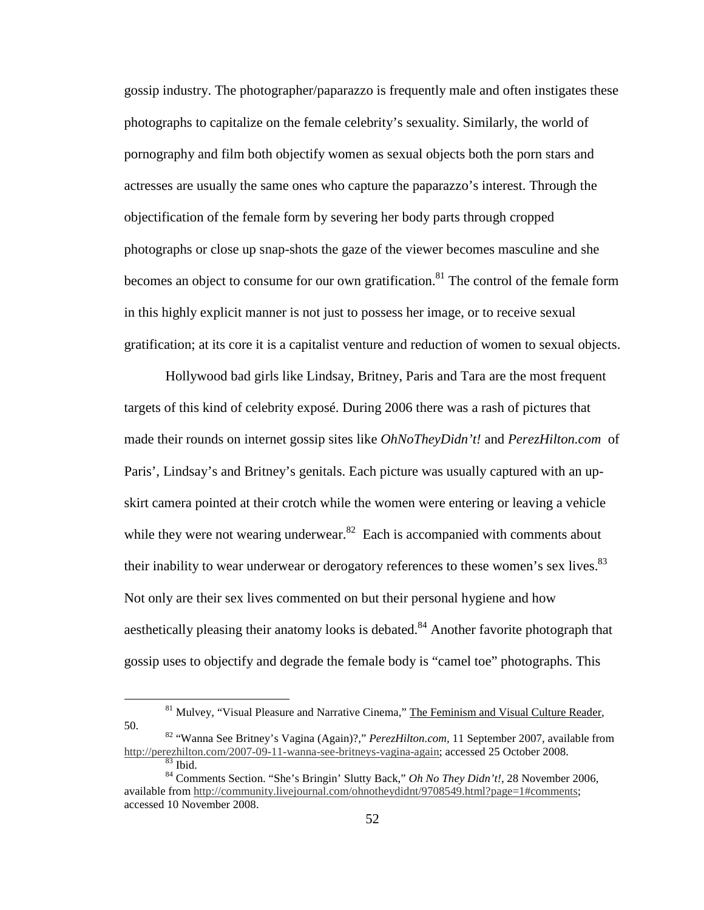gossip industry. The photographer/paparazzo is frequently male and often instigates these photographs to capitalize on the female celebrity's sexuality. Similarly, the world of pornography and film both objectify women as sexual objects both the porn stars and actresses are usually the same ones who capture the paparazzo's interest. Through the objectification of the female form by severing her body parts through cropped photographs or close up snap-shots the gaze of the viewer becomes masculine and she becomes an object to consume for our own gratification.<sup>81</sup> The control of the female form in this highly explicit manner is not just to possess her image, or to receive sexual gratification; at its core it is a capitalist venture and reduction of women to sexual objects.

 Hollywood bad girls like Lindsay, Britney, Paris and Tara are the most frequent targets of this kind of celebrity exposé. During 2006 there was a rash of pictures that made their rounds on internet gossip sites like *OhNoTheyDidn't!* and *PerezHilton.com* of Paris', Lindsay's and Britney's genitals. Each picture was usually captured with an upskirt camera pointed at their crotch while the women were entering or leaving a vehicle while they were not wearing underwear. $82$  Each is accompanied with comments about their inability to wear underwear or derogatory references to these women's sex lives.<sup>83</sup> Not only are their sex lives commented on but their personal hygiene and how aesthetically pleasing their anatomy looks is debated.<sup>84</sup> Another favorite photograph that gossip uses to objectify and degrade the female body is "camel toe" photographs. This

<sup>&</sup>lt;sup>81</sup> Mulvey, "Visual Pleasure and Narrative Cinema," The Feminism and Visual Culture Reader, 50.

<sup>82</sup> "Wanna See Britney's Vagina (Again)?," *PerezHilton.com,* 11 September 2007, available from http://perezhilton.com/2007-09-11-wanna-see-britneys-vagina-again; accessed 25 October 2008.  $\overline{\overset{83}{\text{B}}}$  Ibid.

<sup>84</sup> Comments Section. "She's Bringin' Slutty Back," *Oh No They Didn't!*, 28 November 2006, available from http://community.livejournal.com/ohnotheydidnt/9708549.html?page=1#comments; accessed 10 November 2008.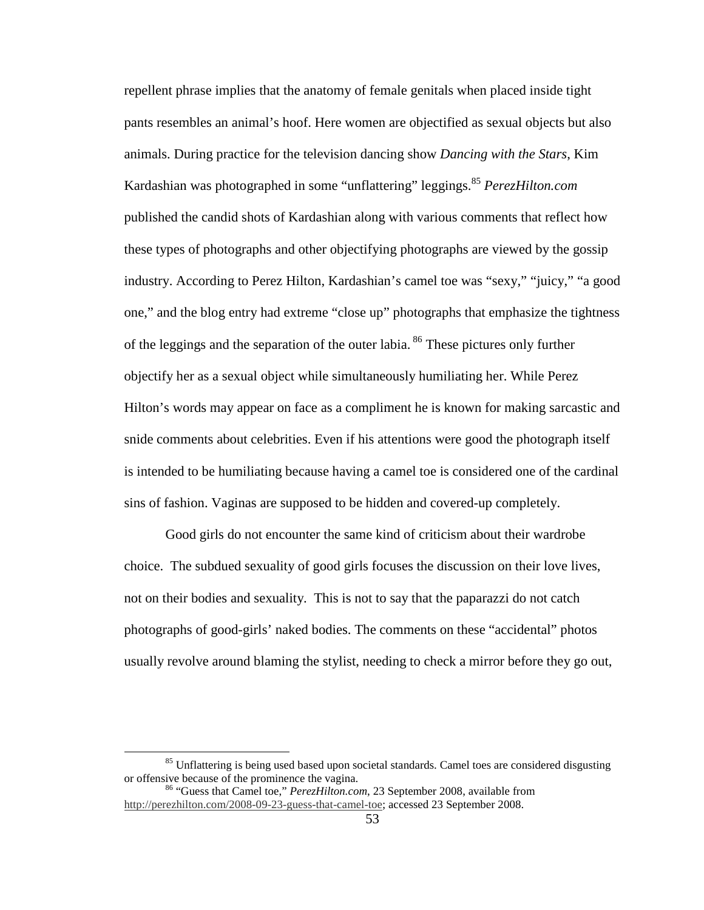repellent phrase implies that the anatomy of female genitals when placed inside tight pants resembles an animal's hoof. Here women are objectified as sexual objects but also animals. During practice for the television dancing show *Dancing with the Stars*, Kim Kardashian was photographed in some "unflattering" leggings.<sup>85</sup> *PerezHilton.com* published the candid shots of Kardashian along with various comments that reflect how these types of photographs and other objectifying photographs are viewed by the gossip industry. According to Perez Hilton, Kardashian's camel toe was "sexy," "juicy," "a good one," and the blog entry had extreme "close up" photographs that emphasize the tightness of the leggings and the separation of the outer labia.<sup>86</sup> These pictures only further objectify her as a sexual object while simultaneously humiliating her. While Perez Hilton's words may appear on face as a compliment he is known for making sarcastic and snide comments about celebrities. Even if his attentions were good the photograph itself is intended to be humiliating because having a camel toe is considered one of the cardinal sins of fashion. Vaginas are supposed to be hidden and covered-up completely.

Good girls do not encounter the same kind of criticism about their wardrobe choice. The subdued sexuality of good girls focuses the discussion on their love lives, not on their bodies and sexuality. This is not to say that the paparazzi do not catch photographs of good-girls' naked bodies. The comments on these "accidental" photos usually revolve around blaming the stylist, needing to check a mirror before they go out,

<sup>&</sup>lt;sup>85</sup> Unflattering is being used based upon societal standards. Camel toes are considered disgusting or offensive because of the prominence the vagina.

<sup>86</sup> "Guess that Camel toe," *PerezHilton.com*, 23 September 2008, available from http://perezhilton.com/2008-09-23-guess-that-camel-toe; accessed 23 September 2008.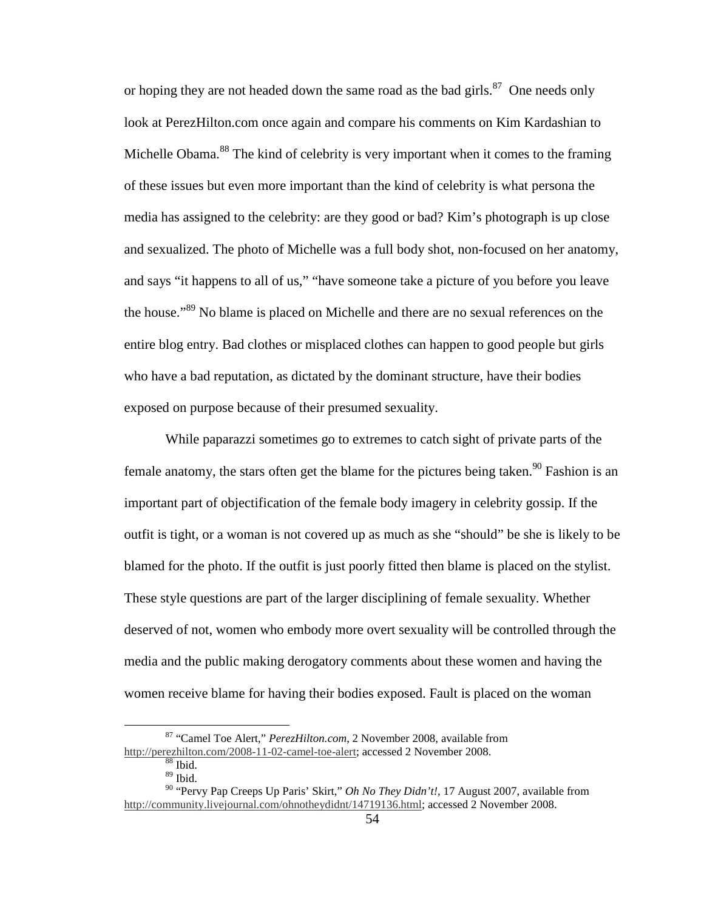or hoping they are not headed down the same road as the bad girls.<sup>87</sup> One needs only look at PerezHilton.com once again and compare his comments on Kim Kardashian to Michelle Obama.<sup>88</sup> The kind of celebrity is very important when it comes to the framing of these issues but even more important than the kind of celebrity is what persona the media has assigned to the celebrity: are they good or bad? Kim's photograph is up close and sexualized. The photo of Michelle was a full body shot, non-focused on her anatomy, and says "it happens to all of us," "have someone take a picture of you before you leave the house."<sup>89</sup> No blame is placed on Michelle and there are no sexual references on the entire blog entry. Bad clothes or misplaced clothes can happen to good people but girls who have a bad reputation, as dictated by the dominant structure, have their bodies exposed on purpose because of their presumed sexuality.

While paparazzi sometimes go to extremes to catch sight of private parts of the female anatomy, the stars often get the blame for the pictures being taken.<sup>90</sup> Fashion is an important part of objectification of the female body imagery in celebrity gossip. If the outfit is tight, or a woman is not covered up as much as she "should" be she is likely to be blamed for the photo. If the outfit is just poorly fitted then blame is placed on the stylist. These style questions are part of the larger disciplining of female sexuality. Whether deserved of not, women who embody more overt sexuality will be controlled through the media and the public making derogatory comments about these women and having the women receive blame for having their bodies exposed. Fault is placed on the woman

<sup>87</sup> "Camel Toe Alert," *PerezHilton.com*, 2 November 2008, available from http://perezhilton.com/2008-11-02-camel-toe-alert; accessed 2 November 2008.

 $88$  Ibid.

<sup>89</sup> Ibid.

<sup>90</sup> "Pervy Pap Creeps Up Paris' Skirt," *Oh No They Didn't!*, 17 August 2007, available from http://community.livejournal.com/ohnotheydidnt/14719136.html; accessed 2 November 2008.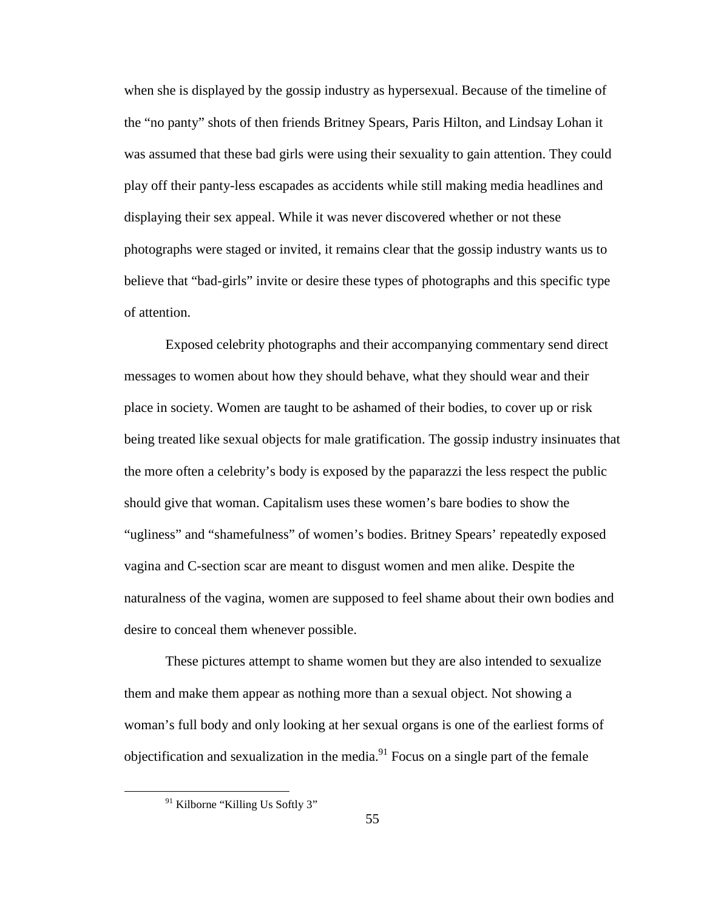when she is displayed by the gossip industry as hypersexual. Because of the timeline of the "no panty" shots of then friends Britney Spears, Paris Hilton, and Lindsay Lohan it was assumed that these bad girls were using their sexuality to gain attention. They could play off their panty-less escapades as accidents while still making media headlines and displaying their sex appeal. While it was never discovered whether or not these photographs were staged or invited, it remains clear that the gossip industry wants us to believe that "bad-girls" invite or desire these types of photographs and this specific type of attention.

 Exposed celebrity photographs and their accompanying commentary send direct messages to women about how they should behave, what they should wear and their place in society. Women are taught to be ashamed of their bodies, to cover up or risk being treated like sexual objects for male gratification. The gossip industry insinuates that the more often a celebrity's body is exposed by the paparazzi the less respect the public should give that woman. Capitalism uses these women's bare bodies to show the "ugliness" and "shamefulness" of women's bodies. Britney Spears' repeatedly exposed vagina and C-section scar are meant to disgust women and men alike. Despite the naturalness of the vagina, women are supposed to feel shame about their own bodies and desire to conceal them whenever possible.

These pictures attempt to shame women but they are also intended to sexualize them and make them appear as nothing more than a sexual object. Not showing a woman's full body and only looking at her sexual organs is one of the earliest forms of objectification and sexualization in the media. $91$  Focus on a single part of the female

<sup>&</sup>lt;sup>91</sup> Kilborne "Killing Us Softly 3"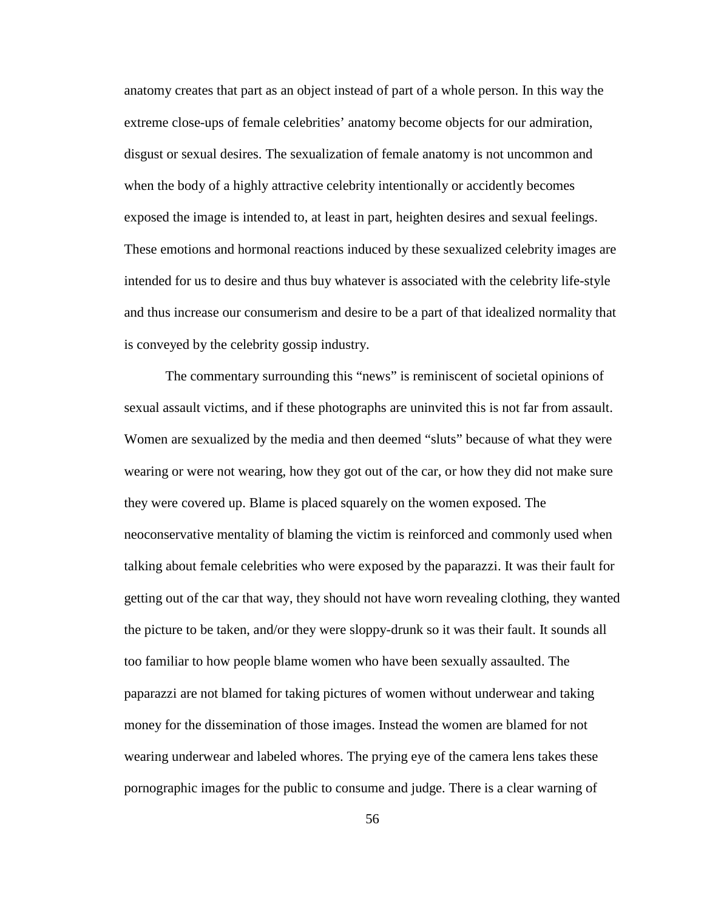anatomy creates that part as an object instead of part of a whole person. In this way the extreme close-ups of female celebrities' anatomy become objects for our admiration, disgust or sexual desires. The sexualization of female anatomy is not uncommon and when the body of a highly attractive celebrity intentionally or accidently becomes exposed the image is intended to, at least in part, heighten desires and sexual feelings. These emotions and hormonal reactions induced by these sexualized celebrity images are intended for us to desire and thus buy whatever is associated with the celebrity life-style and thus increase our consumerism and desire to be a part of that idealized normality that is conveyed by the celebrity gossip industry.

The commentary surrounding this "news" is reminiscent of societal opinions of sexual assault victims, and if these photographs are uninvited this is not far from assault. Women are sexualized by the media and then deemed "sluts" because of what they were wearing or were not wearing, how they got out of the car, or how they did not make sure they were covered up. Blame is placed squarely on the women exposed. The neoconservative mentality of blaming the victim is reinforced and commonly used when talking about female celebrities who were exposed by the paparazzi. It was their fault for getting out of the car that way, they should not have worn revealing clothing, they wanted the picture to be taken, and/or they were sloppy-drunk so it was their fault. It sounds all too familiar to how people blame women who have been sexually assaulted. The paparazzi are not blamed for taking pictures of women without underwear and taking money for the dissemination of those images. Instead the women are blamed for not wearing underwear and labeled whores. The prying eye of the camera lens takes these pornographic images for the public to consume and judge. There is a clear warning of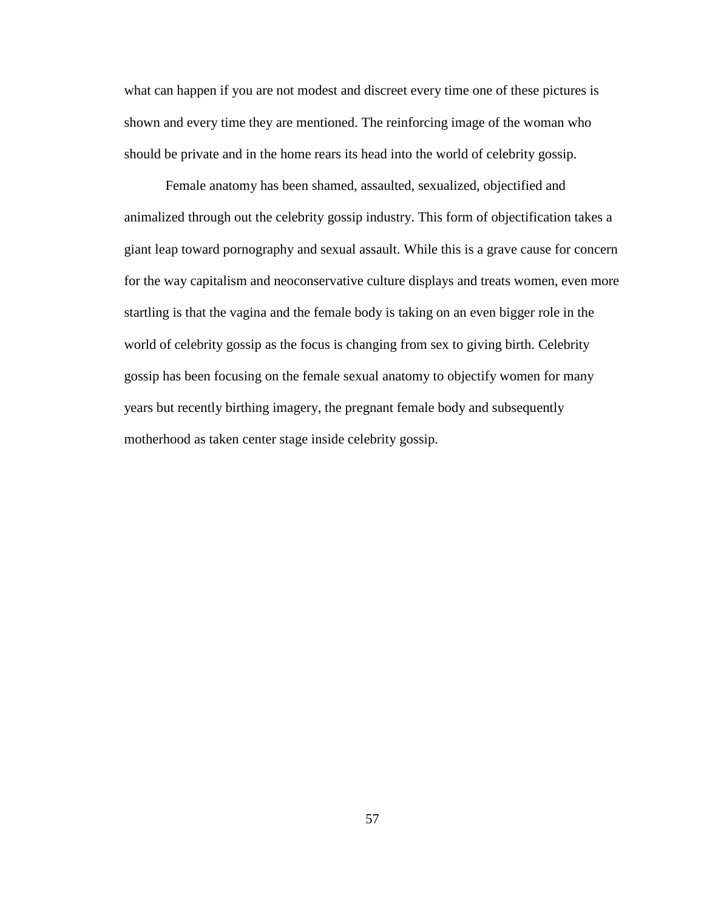what can happen if you are not modest and discreet every time one of these pictures is shown and every time they are mentioned. The reinforcing image of the woman who should be private and in the home rears its head into the world of celebrity gossip.

 Female anatomy has been shamed, assaulted, sexualized, objectified and animalized through out the celebrity gossip industry. This form of objectification takes a giant leap toward pornography and sexual assault. While this is a grave cause for concern for the way capitalism and neoconservative culture displays and treats women, even more startling is that the vagina and the female body is taking on an even bigger role in the world of celebrity gossip as the focus is changing from sex to giving birth. Celebrity gossip has been focusing on the female sexual anatomy to objectify women for many years but recently birthing imagery, the pregnant female body and subsequently motherhood as taken center stage inside celebrity gossip.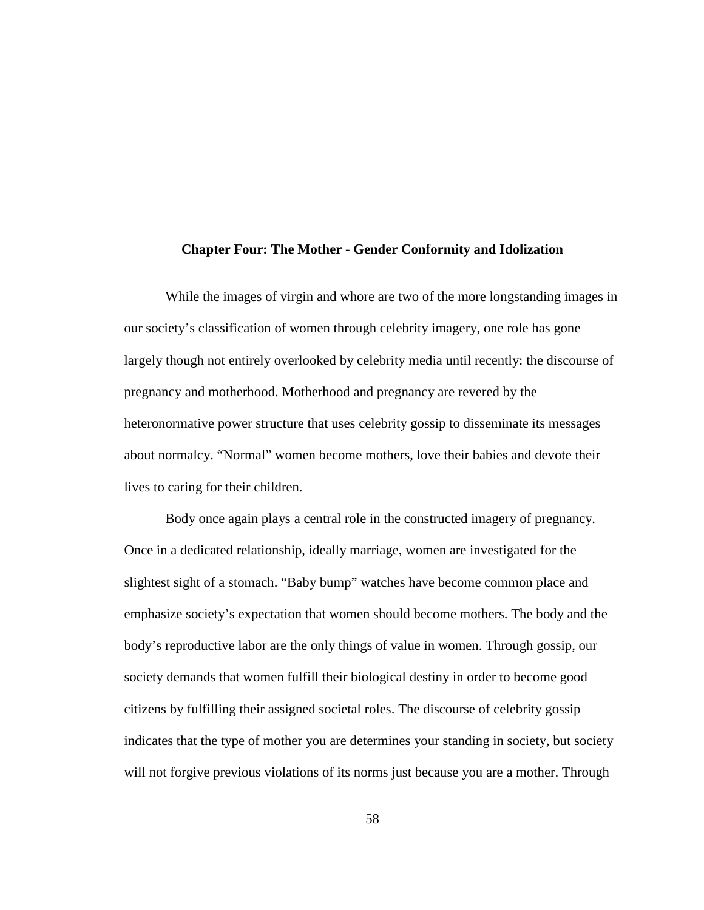#### **Chapter Four: The Mother - Gender Conformity and Idolization**

 While the images of virgin and whore are two of the more longstanding images in our society's classification of women through celebrity imagery, one role has gone largely though not entirely overlooked by celebrity media until recently: the discourse of pregnancy and motherhood. Motherhood and pregnancy are revered by the heteronormative power structure that uses celebrity gossip to disseminate its messages about normalcy. "Normal" women become mothers, love their babies and devote their lives to caring for their children.

 Body once again plays a central role in the constructed imagery of pregnancy. Once in a dedicated relationship, ideally marriage, women are investigated for the slightest sight of a stomach. "Baby bump" watches have become common place and emphasize society's expectation that women should become mothers. The body and the body's reproductive labor are the only things of value in women. Through gossip, our society demands that women fulfill their biological destiny in order to become good citizens by fulfilling their assigned societal roles. The discourse of celebrity gossip indicates that the type of mother you are determines your standing in society, but society will not forgive previous violations of its norms just because you are a mother. Through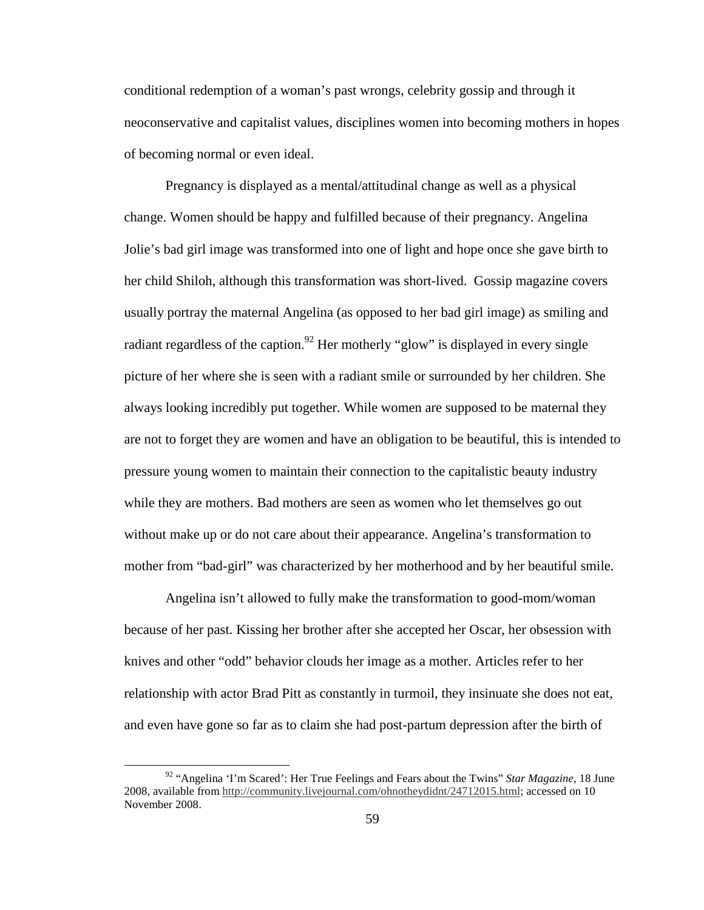conditional redemption of a woman's past wrongs, celebrity gossip and through it neoconservative and capitalist values, disciplines women into becoming mothers in hopes of becoming normal or even ideal.

 Pregnancy is displayed as a mental/attitudinal change as well as a physical change. Women should be happy and fulfilled because of their pregnancy. Angelina Jolie's bad girl image was transformed into one of light and hope once she gave birth to her child Shiloh, although this transformation was short-lived. Gossip magazine covers usually portray the maternal Angelina (as opposed to her bad girl image) as smiling and radiant regardless of the caption.<sup>92</sup> Her motherly "glow" is displayed in every single picture of her where she is seen with a radiant smile or surrounded by her children. She always looking incredibly put together. While women are supposed to be maternal they are not to forget they are women and have an obligation to be beautiful, this is intended to pressure young women to maintain their connection to the capitalistic beauty industry while they are mothers. Bad mothers are seen as women who let themselves go out without make up or do not care about their appearance. Angelina's transformation to mother from "bad-girl" was characterized by her motherhood and by her beautiful smile.

Angelina isn't allowed to fully make the transformation to good-mom/woman because of her past. Kissing her brother after she accepted her Oscar, her obsession with knives and other "odd" behavior clouds her image as a mother. Articles refer to her relationship with actor Brad Pitt as constantly in turmoil, they insinuate she does not eat, and even have gone so far as to claim she had post-partum depression after the birth of

<sup>92</sup> "Angelina 'I'm Scared': Her True Feelings and Fears about the Twins" *Star Magazine*, 18 June 2008, available from http://community.livejournal.com/ohnotheydidnt/24712015.html; accessed on 10 November 2008.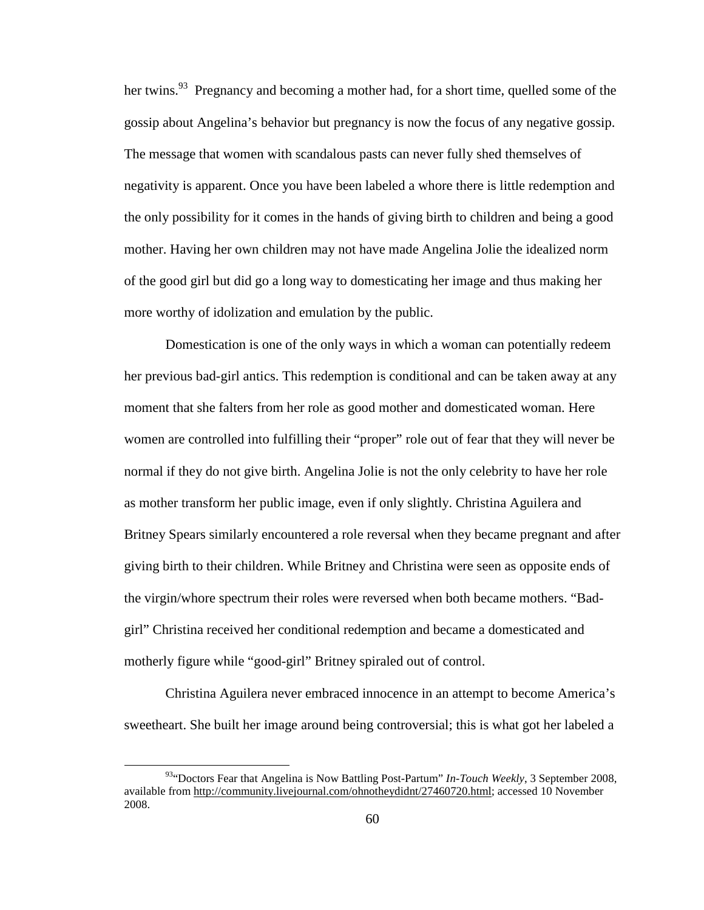her twins.<sup>93</sup> Pregnancy and becoming a mother had, for a short time, quelled some of the gossip about Angelina's behavior but pregnancy is now the focus of any negative gossip. The message that women with scandalous pasts can never fully shed themselves of negativity is apparent. Once you have been labeled a whore there is little redemption and the only possibility for it comes in the hands of giving birth to children and being a good mother. Having her own children may not have made Angelina Jolie the idealized norm of the good girl but did go a long way to domesticating her image and thus making her more worthy of idolization and emulation by the public.

Domestication is one of the only ways in which a woman can potentially redeem her previous bad-girl antics. This redemption is conditional and can be taken away at any moment that she falters from her role as good mother and domesticated woman. Here women are controlled into fulfilling their "proper" role out of fear that they will never be normal if they do not give birth. Angelina Jolie is not the only celebrity to have her role as mother transform her public image, even if only slightly. Christina Aguilera and Britney Spears similarly encountered a role reversal when they became pregnant and after giving birth to their children. While Britney and Christina were seen as opposite ends of the virgin/whore spectrum their roles were reversed when both became mothers. "Badgirl" Christina received her conditional redemption and became a domesticated and motherly figure while "good-girl" Britney spiraled out of control.

Christina Aguilera never embraced innocence in an attempt to become America's sweetheart. She built her image around being controversial; this is what got her labeled a

<sup>&</sup>lt;sup>93</sup>"Doctors Fear that Angelina is Now Battling Post-Partum" *In-Touch Weekly*, 3 September 2008, available from http://community.livejournal.com/ohnotheydidnt/27460720.html; accessed 10 November 2008.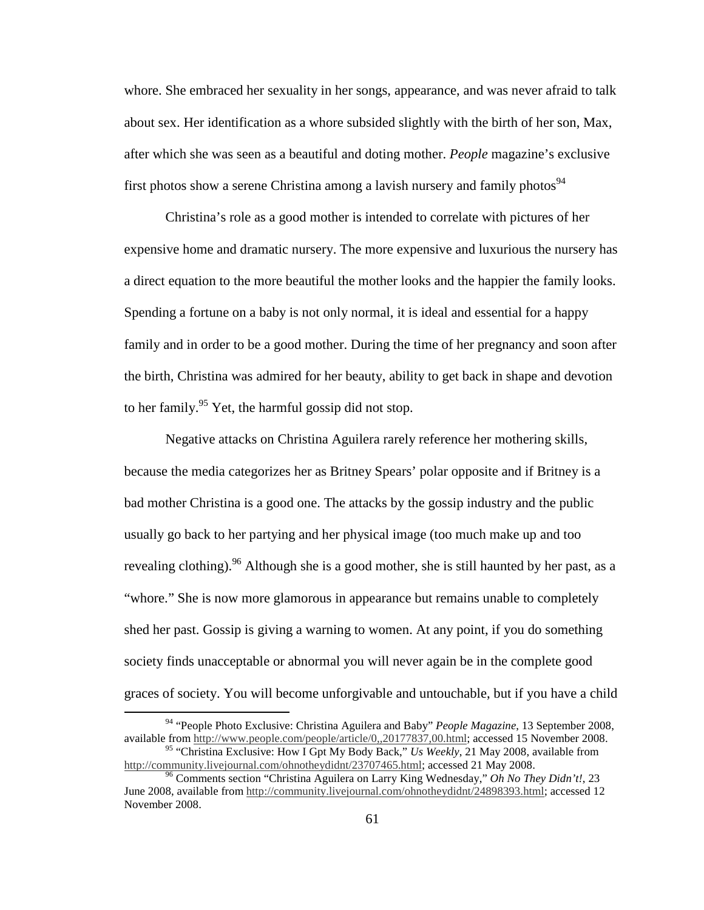whore. She embraced her sexuality in her songs, appearance, and was never afraid to talk about sex. Her identification as a whore subsided slightly with the birth of her son, Max, after which she was seen as a beautiful and doting mother. *People* magazine's exclusive first photos show a serene Christina among a lavish nursery and family photos<sup>94</sup>

Christina's role as a good mother is intended to correlate with pictures of her expensive home and dramatic nursery. The more expensive and luxurious the nursery has a direct equation to the more beautiful the mother looks and the happier the family looks. Spending a fortune on a baby is not only normal, it is ideal and essential for a happy family and in order to be a good mother. During the time of her pregnancy and soon after the birth, Christina was admired for her beauty, ability to get back in shape and devotion to her family.<sup>95</sup> Yet, the harmful gossip did not stop.

Negative attacks on Christina Aguilera rarely reference her mothering skills, because the media categorizes her as Britney Spears' polar opposite and if Britney is a bad mother Christina is a good one. The attacks by the gossip industry and the public usually go back to her partying and her physical image (too much make up and too revealing clothing).<sup>96</sup> Although she is a good mother, she is still haunted by her past, as a "whore." She is now more glamorous in appearance but remains unable to completely shed her past. Gossip is giving a warning to women. At any point, if you do something society finds unacceptable or abnormal you will never again be in the complete good graces of society. You will become unforgivable and untouchable, but if you have a child

<sup>94</sup> "People Photo Exclusive: Christina Aguilera and Baby" *People Magazine*, 13 September 2008, available from http://www.people.com/people/article/0,,20177837,00.html; accessed 15 November 2008. <sup>95</sup> "Christina Exclusive: How I Gpt My Body Back," *Us Weekly*, 21 May 2008, available from

http://community.livejournal.com/ohnotheydidnt/23707465.html; accessed 21 May 2008.

<sup>96</sup> Comments section "Christina Aguilera on Larry King Wednesday," *Oh No They Didn't!*, 23 June 2008, available from http://community.livejournal.com/ohnotheydidnt/24898393.html; accessed 12 November 2008.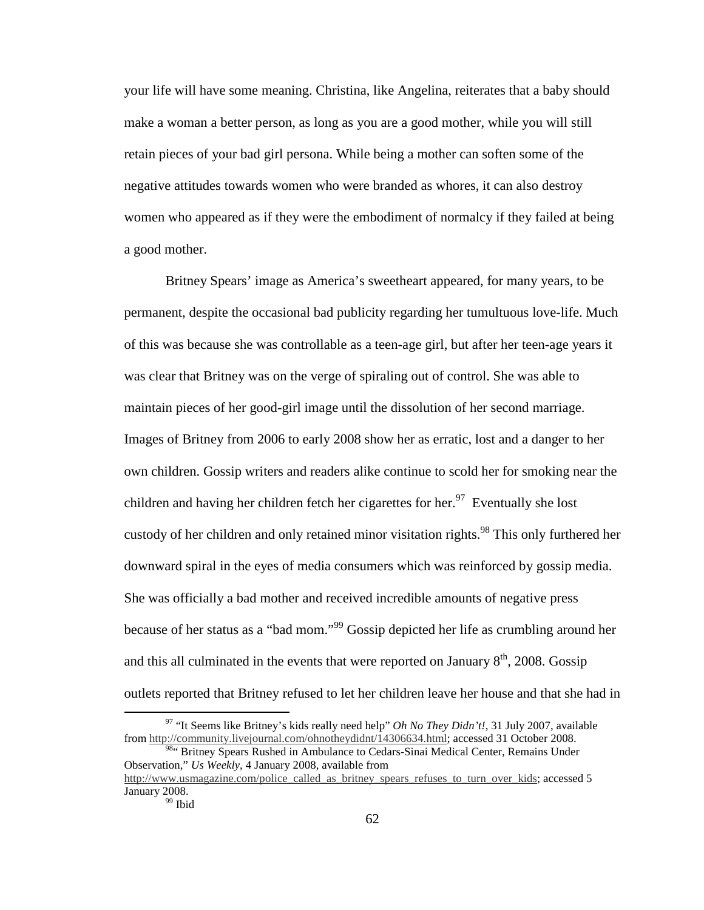your life will have some meaning. Christina, like Angelina, reiterates that a baby should make a woman a better person, as long as you are a good mother, while you will still retain pieces of your bad girl persona. While being a mother can soften some of the negative attitudes towards women who were branded as whores, it can also destroy women who appeared as if they were the embodiment of normalcy if they failed at being a good mother.

Britney Spears' image as America's sweetheart appeared, for many years, to be permanent, despite the occasional bad publicity regarding her tumultuous love-life. Much of this was because she was controllable as a teen-age girl, but after her teen-age years it was clear that Britney was on the verge of spiraling out of control. She was able to maintain pieces of her good-girl image until the dissolution of her second marriage. Images of Britney from 2006 to early 2008 show her as erratic, lost and a danger to her own children. Gossip writers and readers alike continue to scold her for smoking near the children and having her children fetch her cigarettes for her.<sup>97</sup> Eventually she lost custody of her children and only retained minor visitation rights.<sup>98</sup> This only furthered her downward spiral in the eyes of media consumers which was reinforced by gossip media. She was officially a bad mother and received incredible amounts of negative press because of her status as a "bad mom."<sup>99</sup> Gossip depicted her life as crumbling around her and this all culminated in the events that were reported on January  $8<sup>th</sup>$ , 2008. Gossip outlets reported that Britney refused to let her children leave her house and that she had in

<sup>&</sup>lt;sup>97</sup> "It Seems like Britney's kids really need help" *Oh No They Didn't!*, 31 July 2007, available from http://community.livejournal.com/ohnotheydidnt/14306634.html; accessed 31 October 2008. <sup>984</sup> Britney Spears Rushed in Ambulance to Cedars-Sinai Medical Center, Remains Under

Observation," *Us Weekly*, 4 January 2008, available from

http://www.usmagazine.com/police\_called\_as\_britney\_spears\_refuses\_to\_turn\_over\_kids; accessed 5 January 2008.

<sup>&</sup>lt;sup>99</sup> Ibid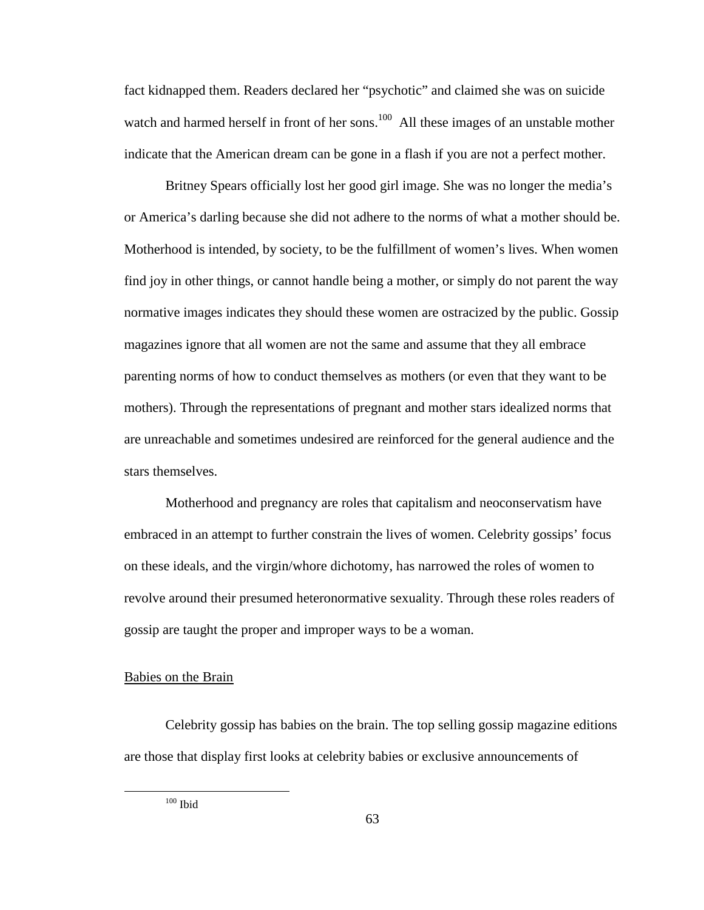fact kidnapped them. Readers declared her "psychotic" and claimed she was on suicide watch and harmed herself in front of her sons.<sup>100</sup> All these images of an unstable mother indicate that the American dream can be gone in a flash if you are not a perfect mother.

Britney Spears officially lost her good girl image. She was no longer the media's or America's darling because she did not adhere to the norms of what a mother should be. Motherhood is intended, by society, to be the fulfillment of women's lives. When women find joy in other things, or cannot handle being a mother, or simply do not parent the way normative images indicates they should these women are ostracized by the public. Gossip magazines ignore that all women are not the same and assume that they all embrace parenting norms of how to conduct themselves as mothers (or even that they want to be mothers). Through the representations of pregnant and mother stars idealized norms that are unreachable and sometimes undesired are reinforced for the general audience and the stars themselves.

Motherhood and pregnancy are roles that capitalism and neoconservatism have embraced in an attempt to further constrain the lives of women. Celebrity gossips' focus on these ideals, and the virgin/whore dichotomy, has narrowed the roles of women to revolve around their presumed heteronormative sexuality. Through these roles readers of gossip are taught the proper and improper ways to be a woman.

# Babies on the Brain

 Celebrity gossip has babies on the brain. The top selling gossip magazine editions are those that display first looks at celebrity babies or exclusive announcements of

 $100$  Ibid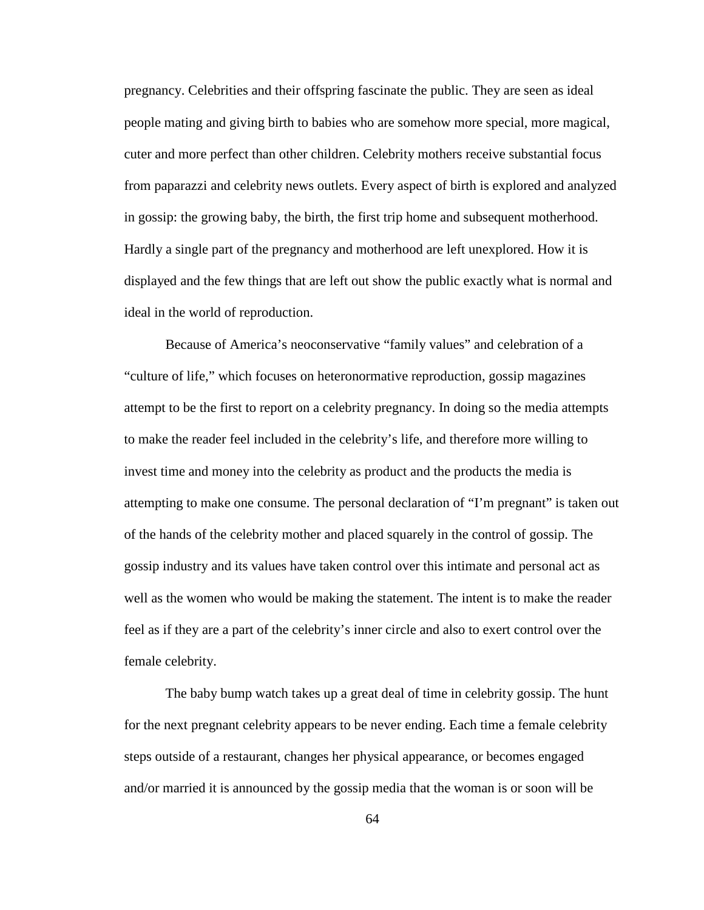pregnancy. Celebrities and their offspring fascinate the public. They are seen as ideal people mating and giving birth to babies who are somehow more special, more magical, cuter and more perfect than other children. Celebrity mothers receive substantial focus from paparazzi and celebrity news outlets. Every aspect of birth is explored and analyzed in gossip: the growing baby, the birth, the first trip home and subsequent motherhood. Hardly a single part of the pregnancy and motherhood are left unexplored. How it is displayed and the few things that are left out show the public exactly what is normal and ideal in the world of reproduction.

Because of America's neoconservative "family values" and celebration of a "culture of life," which focuses on heteronormative reproduction, gossip magazines attempt to be the first to report on a celebrity pregnancy. In doing so the media attempts to make the reader feel included in the celebrity's life, and therefore more willing to invest time and money into the celebrity as product and the products the media is attempting to make one consume. The personal declaration of "I'm pregnant" is taken out of the hands of the celebrity mother and placed squarely in the control of gossip. The gossip industry and its values have taken control over this intimate and personal act as well as the women who would be making the statement. The intent is to make the reader feel as if they are a part of the celebrity's inner circle and also to exert control over the female celebrity.

The baby bump watch takes up a great deal of time in celebrity gossip. The hunt for the next pregnant celebrity appears to be never ending. Each time a female celebrity steps outside of a restaurant, changes her physical appearance, or becomes engaged and/or married it is announced by the gossip media that the woman is or soon will be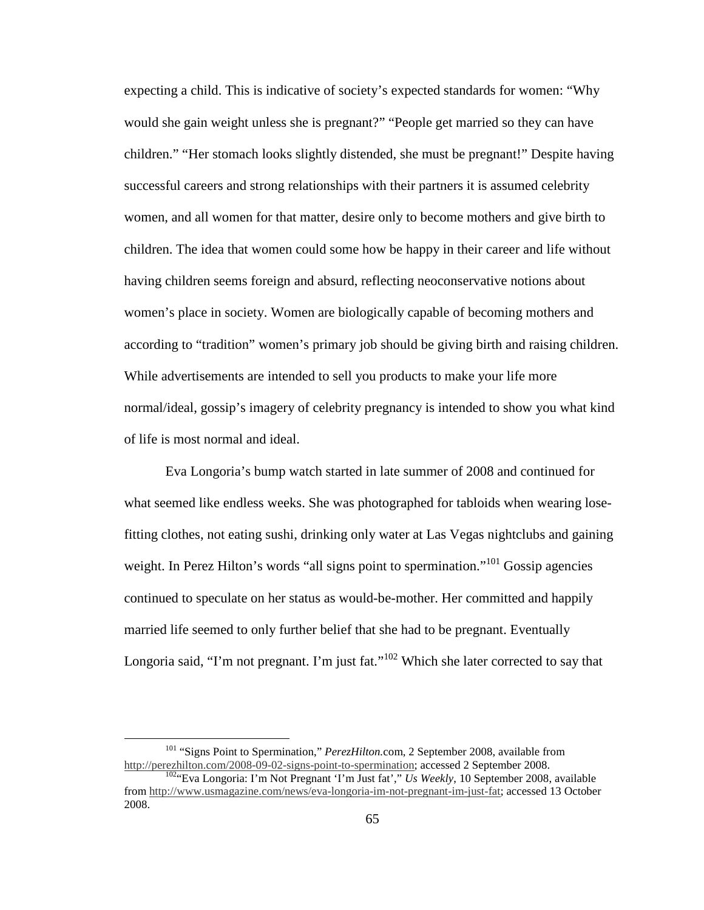expecting a child. This is indicative of society's expected standards for women: "Why would she gain weight unless she is pregnant?" "People get married so they can have children." "Her stomach looks slightly distended, she must be pregnant!" Despite having successful careers and strong relationships with their partners it is assumed celebrity women, and all women for that matter, desire only to become mothers and give birth to children. The idea that women could some how be happy in their career and life without having children seems foreign and absurd, reflecting neoconservative notions about women's place in society. Women are biologically capable of becoming mothers and according to "tradition" women's primary job should be giving birth and raising children. While advertisements are intended to sell you products to make your life more normal/ideal, gossip's imagery of celebrity pregnancy is intended to show you what kind of life is most normal and ideal.

 Eva Longoria's bump watch started in late summer of 2008 and continued for what seemed like endless weeks. She was photographed for tabloids when wearing losefitting clothes, not eating sushi, drinking only water at Las Vegas nightclubs and gaining weight. In Perez Hilton's words "all signs point to spermination."<sup>101</sup> Gossip agencies continued to speculate on her status as would-be-mother. Her committed and happily married life seemed to only further belief that she had to be pregnant. Eventually Longoria said, "I'm not pregnant. I'm just fat."<sup>102</sup> Which she later corrected to say that

<sup>&</sup>lt;sup>101</sup> "Signs Point to Spermination," *PerezHilton.com*, 2 September 2008, available from http://perezhilton.com/2008-09-02-signs-point-to-spermination; accessed 2 September 2008.

<sup>102</sup>"Eva Longoria: I'm Not Pregnant 'I'm Just fat'," *Us Weekly*, 10 September 2008, available from http://www.usmagazine.com/news/eva-longoria-im-not-pregnant-im-just-fat; accessed 13 October 2008.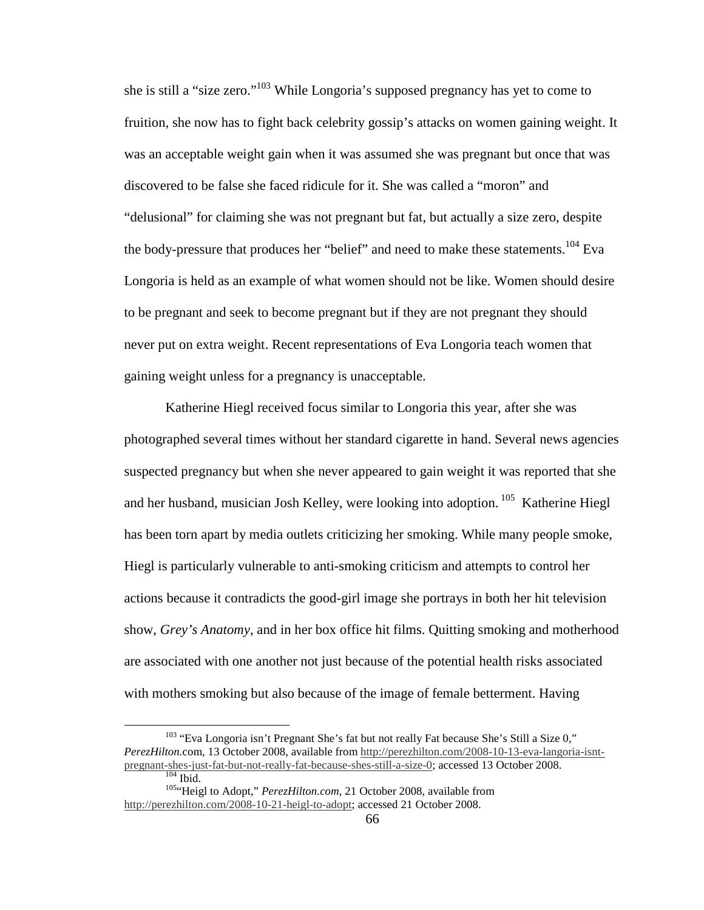she is still a "size zero."<sup>103</sup> While Longoria's supposed pregnancy has yet to come to fruition, she now has to fight back celebrity gossip's attacks on women gaining weight. It was an acceptable weight gain when it was assumed she was pregnant but once that was discovered to be false she faced ridicule for it. She was called a "moron" and "delusional" for claiming she was not pregnant but fat, but actually a size zero, despite the body-pressure that produces her "belief" and need to make these statements.<sup>104</sup> Eva Longoria is held as an example of what women should not be like. Women should desire to be pregnant and seek to become pregnant but if they are not pregnant they should never put on extra weight. Recent representations of Eva Longoria teach women that gaining weight unless for a pregnancy is unacceptable.

Katherine Hiegl received focus similar to Longoria this year, after she was photographed several times without her standard cigarette in hand. Several news agencies suspected pregnancy but when she never appeared to gain weight it was reported that she and her husband, musician Josh Kelley, were looking into adoption.<sup>105</sup> Katherine Hiegl has been torn apart by media outlets criticizing her smoking. While many people smoke, Hiegl is particularly vulnerable to anti-smoking criticism and attempts to control her actions because it contradicts the good-girl image she portrays in both her hit television show, *Grey's Anatomy*, and in her box office hit films. Quitting smoking and motherhood are associated with one another not just because of the potential health risks associated with mothers smoking but also because of the image of female betterment. Having

<sup>&</sup>lt;sup>103</sup> "Eva Longoria isn't Pregnant She's fat but not really Fat because She's Still a Size 0," *PerezHilton.*com, 13 October 2008, available from http://perezhilton.com/2008-10-13-eva-langoria-isntpregnant-shes-just-fat-but-not-really-fat-because-shes-still-a-size-0; accessed 13 October 2008.  $\frac{104}{1}$  Ibid.

<sup>105</sup>"Heigl to Adopt," *PerezHilton.com*, 21 October 2008, available from http://perezhilton.com/2008-10-21-heigl-to-adopt; accessed 21 October 2008.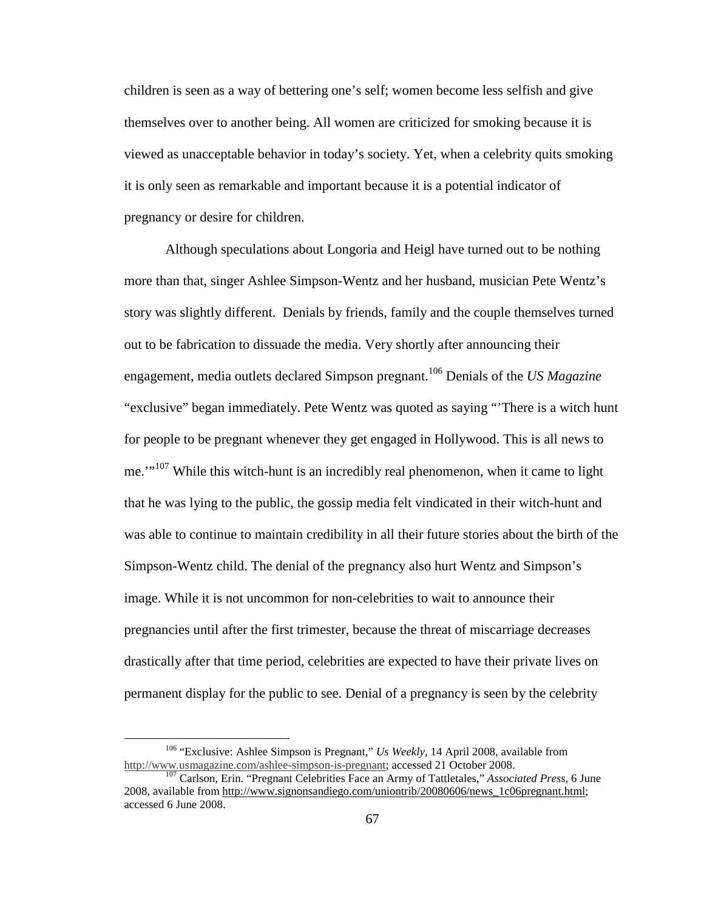children is seen as a way of bettering one's self; women become less selfish and give themselves over to another being. All women are criticized for smoking because it is viewed as unacceptable behavior in today's society. Yet, when a celebrity quits smoking it is only seen as remarkable and important because it is a potential indicator of pregnancy or desire for children.

 Although speculations about Longoria and Heigl have turned out to be nothing more than that, singer Ashlee Simpson-Wentz and her husband, musician Pete Wentz's story was slightly different. Denials by friends, family and the couple themselves turned out to be fabrication to dissuade the media. Very shortly after announcing their engagement, media outlets declared Simpson pregnant.<sup>106</sup> Denials of the *US Magazine* "exclusive" began immediately. Pete Wentz was quoted as saying "'There is a witch hunt for people to be pregnant whenever they get engaged in Hollywood. This is all news to me.'<sup>107</sup> While this witch-hunt is an incredibly real phenomenon, when it came to light that he was lying to the public, the gossip media felt vindicated in their witch-hunt and was able to continue to maintain credibility in all their future stories about the birth of the Simpson-Wentz child. The denial of the pregnancy also hurt Wentz and Simpson's image. While it is not uncommon for non-celebrities to wait to announce their pregnancies until after the first trimester, because the threat of miscarriage decreases drastically after that time period, celebrities are expected to have their private lives on permanent display for the public to see. Denial of a pregnancy is seen by the celebrity

<sup>&</sup>lt;sup>106</sup> "Exclusive: Ashlee Simpson is Pregnant," *Us Weekly*, 14 April 2008, available from http://www.usmagazine.com/ashlee-simpson-is-pregnant; accessed 21 October 2008.

<sup>107</sup> Carlson, Erin. "Pregnant Celebrities Face an Army of Tattletales," *Associated Press*, 6 June 2008, available from http://www.signonsandiego.com/uniontrib/20080606/news\_1c06pregnant.html; accessed 6 June 2008.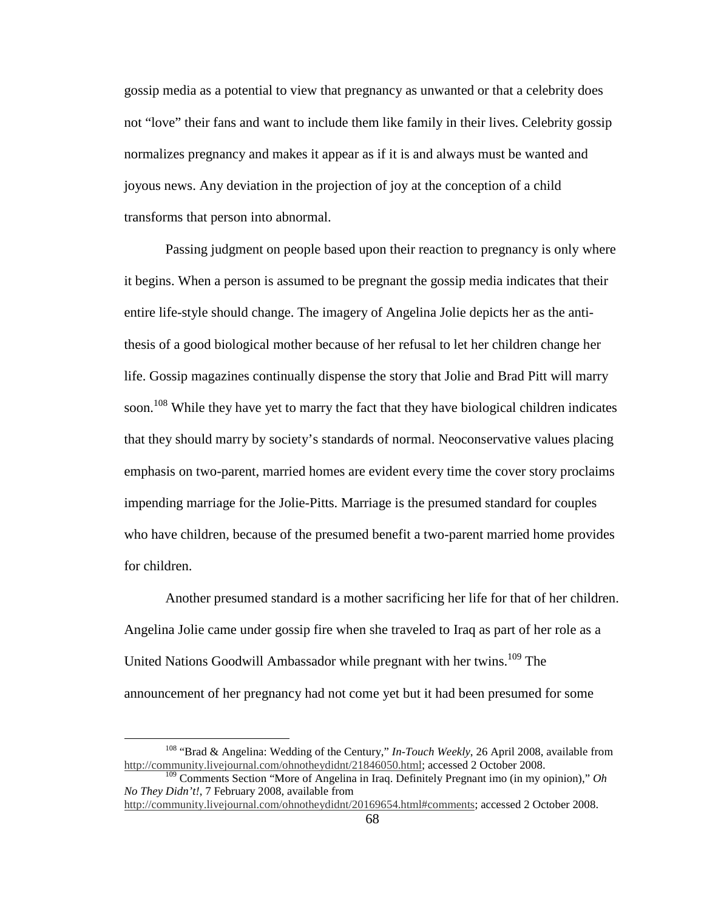gossip media as a potential to view that pregnancy as unwanted or that a celebrity does not "love" their fans and want to include them like family in their lives. Celebrity gossip normalizes pregnancy and makes it appear as if it is and always must be wanted and joyous news. Any deviation in the projection of joy at the conception of a child transforms that person into abnormal.

 Passing judgment on people based upon their reaction to pregnancy is only where it begins. When a person is assumed to be pregnant the gossip media indicates that their entire life-style should change. The imagery of Angelina Jolie depicts her as the antithesis of a good biological mother because of her refusal to let her children change her life. Gossip magazines continually dispense the story that Jolie and Brad Pitt will marry soon.<sup>108</sup> While they have yet to marry the fact that they have biological children indicates that they should marry by society's standards of normal. Neoconservative values placing emphasis on two-parent, married homes are evident every time the cover story proclaims impending marriage for the Jolie-Pitts. Marriage is the presumed standard for couples who have children, because of the presumed benefit a two-parent married home provides for children.

Another presumed standard is a mother sacrificing her life for that of her children. Angelina Jolie came under gossip fire when she traveled to Iraq as part of her role as a United Nations Goodwill Ambassador while pregnant with her twins.<sup>109</sup> The announcement of her pregnancy had not come yet but it had been presumed for some

<sup>108</sup> "Brad & Angelina: Wedding of the Century," *In-Touch Weekly*, 26 April 2008, available from http://community.livejournal.com/ohnotheydidnt/21846050.html; accessed 2 October 2008.

<sup>109</sup> Comments Section "More of Angelina in Iraq. Definitely Pregnant imo (in my opinion)," *Oh No They Didn't!*, 7 February 2008, available from

http://community.livejournal.com/ohnotheydidnt/20169654.html#comments; accessed 2 October 2008.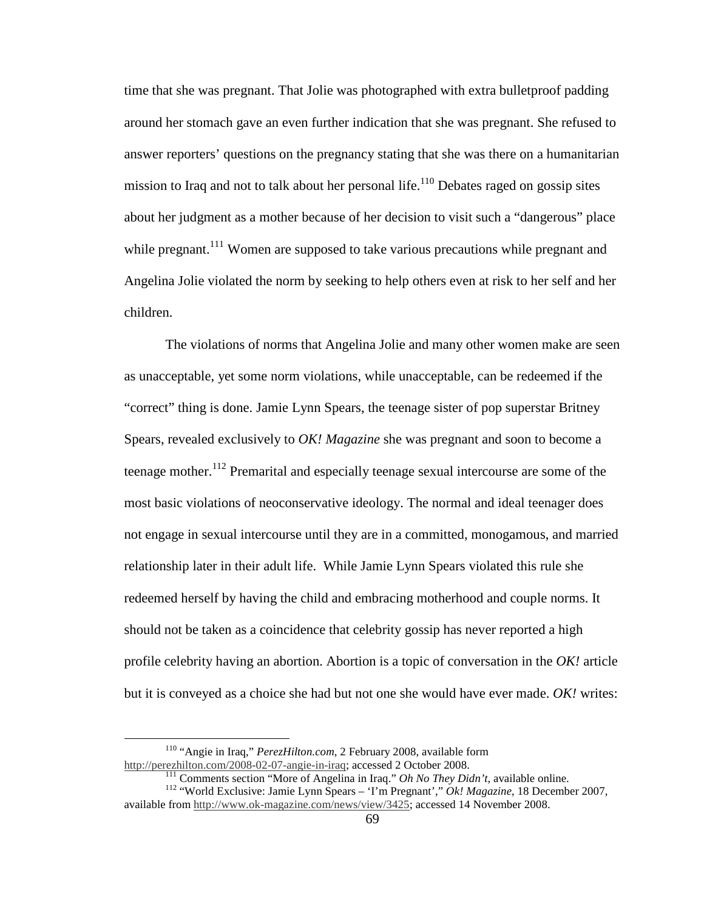time that she was pregnant. That Jolie was photographed with extra bulletproof padding around her stomach gave an even further indication that she was pregnant. She refused to answer reporters' questions on the pregnancy stating that she was there on a humanitarian mission to Iraq and not to talk about her personal life.<sup>110</sup> Debates raged on gossip sites about her judgment as a mother because of her decision to visit such a "dangerous" place while pregnant.<sup>111</sup> Women are supposed to take various precautions while pregnant and Angelina Jolie violated the norm by seeking to help others even at risk to her self and her children.

 The violations of norms that Angelina Jolie and many other women make are seen as unacceptable, yet some norm violations, while unacceptable, can be redeemed if the "correct" thing is done. Jamie Lynn Spears, the teenage sister of pop superstar Britney Spears, revealed exclusively to *OK! Magazine* she was pregnant and soon to become a teenage mother.<sup>112</sup> Premarital and especially teenage sexual intercourse are some of the most basic violations of neoconservative ideology. The normal and ideal teenager does not engage in sexual intercourse until they are in a committed, monogamous, and married relationship later in their adult life. While Jamie Lynn Spears violated this rule she redeemed herself by having the child and embracing motherhood and couple norms. It should not be taken as a coincidence that celebrity gossip has never reported a high profile celebrity having an abortion. Abortion is a topic of conversation in the *OK!* article but it is conveyed as a choice she had but not one she would have ever made. *OK!* writes:

<sup>110</sup> "Angie in Iraq," *PerezHilton.com*, 2 February 2008, available form http://perezhilton.com/2008-02-07-angie-in-iraq; accessed 2 October 2008.

<sup>111</sup> Comments section "More of Angelina in Iraq." *Oh No They Didn't*, available online.

<sup>112</sup> "World Exclusive: Jamie Lynn Spears – 'I'm Pregnant'," *Ok! Magazine*, 18 December 2007, available from http://www.ok-magazine.com/news/view/3425; accessed 14 November 2008.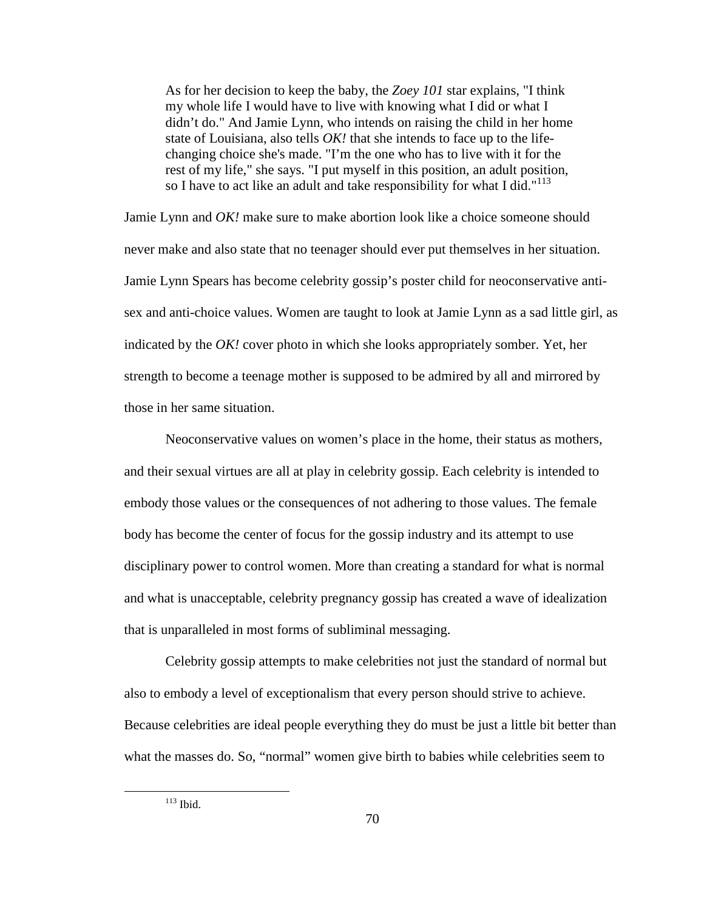As for her decision to keep the baby, the *Zoey 101* star explains, "I think my whole life I would have to live with knowing what I did or what I didn't do." And Jamie Lynn, who intends on raising the child in her home state of Louisiana, also tells *OK!* that she intends to face up to the lifechanging choice she's made. "I'm the one who has to live with it for the rest of my life," she says. "I put myself in this position, an adult position, so I have to act like an adult and take responsibility for what I did."<sup>113</sup>

Jamie Lynn and *OK!* make sure to make abortion look like a choice someone should never make and also state that no teenager should ever put themselves in her situation. Jamie Lynn Spears has become celebrity gossip's poster child for neoconservative antisex and anti-choice values. Women are taught to look at Jamie Lynn as a sad little girl, as indicated by the *OK!* cover photo in which she looks appropriately somber. Yet, her strength to become a teenage mother is supposed to be admired by all and mirrored by those in her same situation.

 Neoconservative values on women's place in the home, their status as mothers, and their sexual virtues are all at play in celebrity gossip. Each celebrity is intended to embody those values or the consequences of not adhering to those values. The female body has become the center of focus for the gossip industry and its attempt to use disciplinary power to control women. More than creating a standard for what is normal and what is unacceptable, celebrity pregnancy gossip has created a wave of idealization that is unparalleled in most forms of subliminal messaging.

Celebrity gossip attempts to make celebrities not just the standard of normal but also to embody a level of exceptionalism that every person should strive to achieve. Because celebrities are ideal people everything they do must be just a little bit better than what the masses do. So, "normal" women give birth to babies while celebrities seem to

 $113$  Ibid.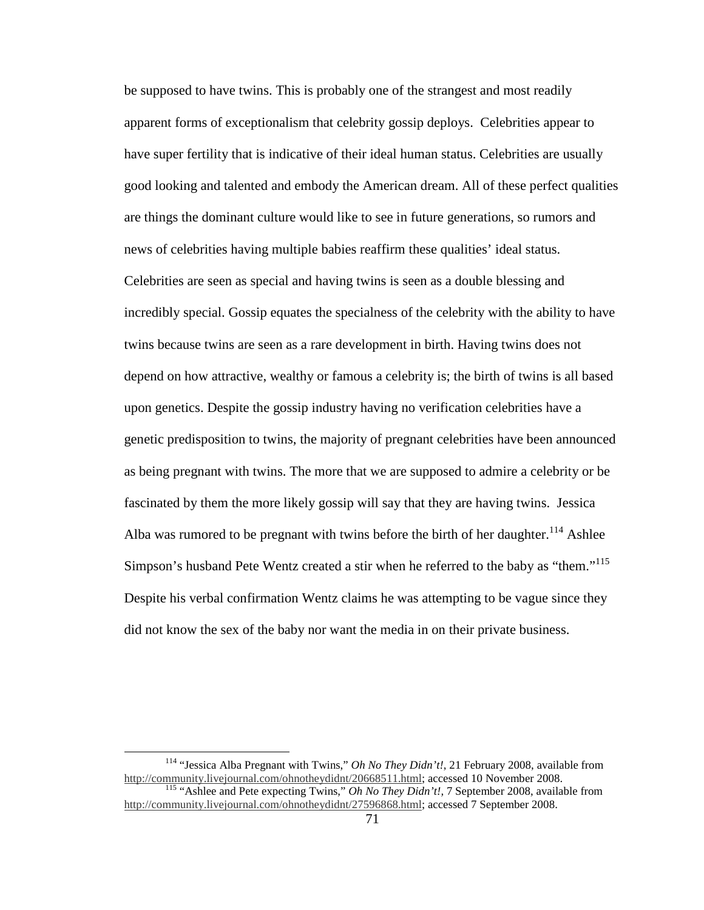be supposed to have twins. This is probably one of the strangest and most readily apparent forms of exceptionalism that celebrity gossip deploys. Celebrities appear to have super fertility that is indicative of their ideal human status. Celebrities are usually good looking and talented and embody the American dream. All of these perfect qualities are things the dominant culture would like to see in future generations, so rumors and news of celebrities having multiple babies reaffirm these qualities' ideal status. Celebrities are seen as special and having twins is seen as a double blessing and incredibly special. Gossip equates the specialness of the celebrity with the ability to have twins because twins are seen as a rare development in birth. Having twins does not depend on how attractive, wealthy or famous a celebrity is; the birth of twins is all based upon genetics. Despite the gossip industry having no verification celebrities have a genetic predisposition to twins, the majority of pregnant celebrities have been announced as being pregnant with twins. The more that we are supposed to admire a celebrity or be fascinated by them the more likely gossip will say that they are having twins. Jessica Alba was rumored to be pregnant with twins before the birth of her daughter.<sup>114</sup> Ashlee Simpson's husband Pete Wentz created a stir when he referred to the baby as "them."<sup>115</sup> Despite his verbal confirmation Wentz claims he was attempting to be vague since they did not know the sex of the baby nor want the media in on their private business.

<sup>114</sup> "Jessica Alba Pregnant with Twins," *Oh No They Didn't!*, 21 February 2008, available from http://community.livejournal.com/ohnotheydidnt/20668511.html; accessed 10 November 2008. <sup>115</sup> "Ashlee and Pete expecting Twins," *Oh No They Didn't!,* 7 September 2008, available from http://community.livejournal.com/ohnotheydidnt/27596868.html; accessed 7 September 2008.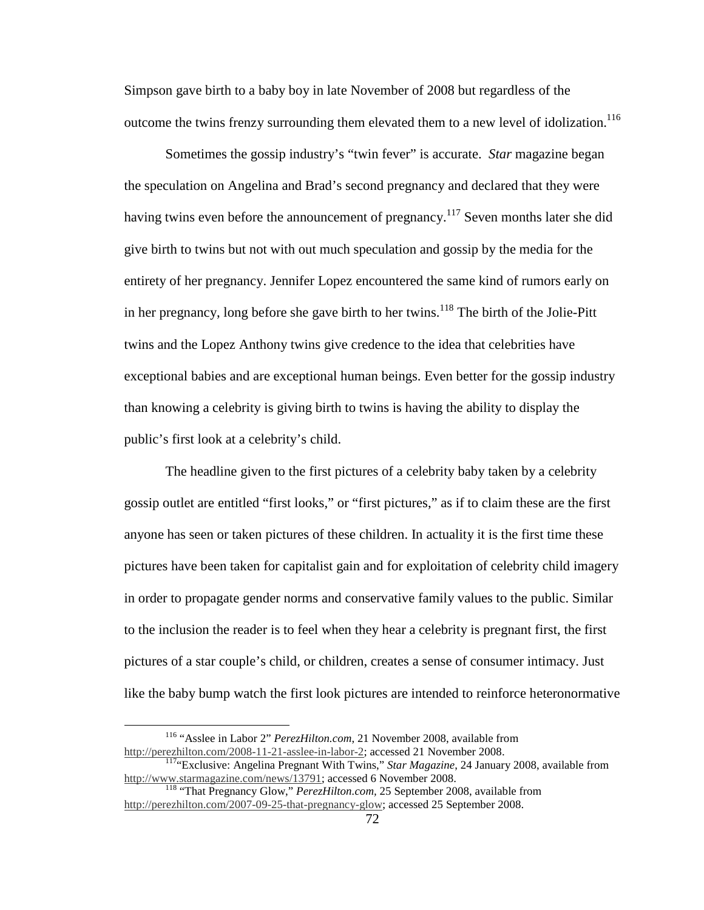Simpson gave birth to a baby boy in late November of 2008 but regardless of the outcome the twins frenzy surrounding them elevated them to a new level of idolization.<sup>116</sup>

Sometimes the gossip industry's "twin fever" is accurate. *Star* magazine began the speculation on Angelina and Brad's second pregnancy and declared that they were having twins even before the announcement of pregnancy.<sup>117</sup> Seven months later she did give birth to twins but not with out much speculation and gossip by the media for the entirety of her pregnancy. Jennifer Lopez encountered the same kind of rumors early on in her pregnancy, long before she gave birth to her twins.<sup>118</sup> The birth of the Jolie-Pitt twins and the Lopez Anthony twins give credence to the idea that celebrities have exceptional babies and are exceptional human beings. Even better for the gossip industry than knowing a celebrity is giving birth to twins is having the ability to display the public's first look at a celebrity's child.

The headline given to the first pictures of a celebrity baby taken by a celebrity gossip outlet are entitled "first looks," or "first pictures," as if to claim these are the first anyone has seen or taken pictures of these children. In actuality it is the first time these pictures have been taken for capitalist gain and for exploitation of celebrity child imagery in order to propagate gender norms and conservative family values to the public. Similar to the inclusion the reader is to feel when they hear a celebrity is pregnant first, the first pictures of a star couple's child, or children, creates a sense of consumer intimacy. Just like the baby bump watch the first look pictures are intended to reinforce heteronormative

<sup>116</sup> "Asslee in Labor 2" *PerezHilton.com*, 21 November 2008, available from http://perezhilton.com/2008-11-21-asslee-in-labor-2; accessed 21 November 2008.

<sup>&</sup>lt;sup>117</sup>"Exclusive: Angelina Pregnant With Twins," *Star Magazine*, 24 January 2008, available from http://www.starmagazine.com/news/13791; accessed 6 November 2008.

<sup>118</sup> "That Pregnancy Glow," *PerezHilton.com,* 25 September 2008, available from http://perezhilton.com/2007-09-25-that-pregnancy-glow; accessed 25 September 2008.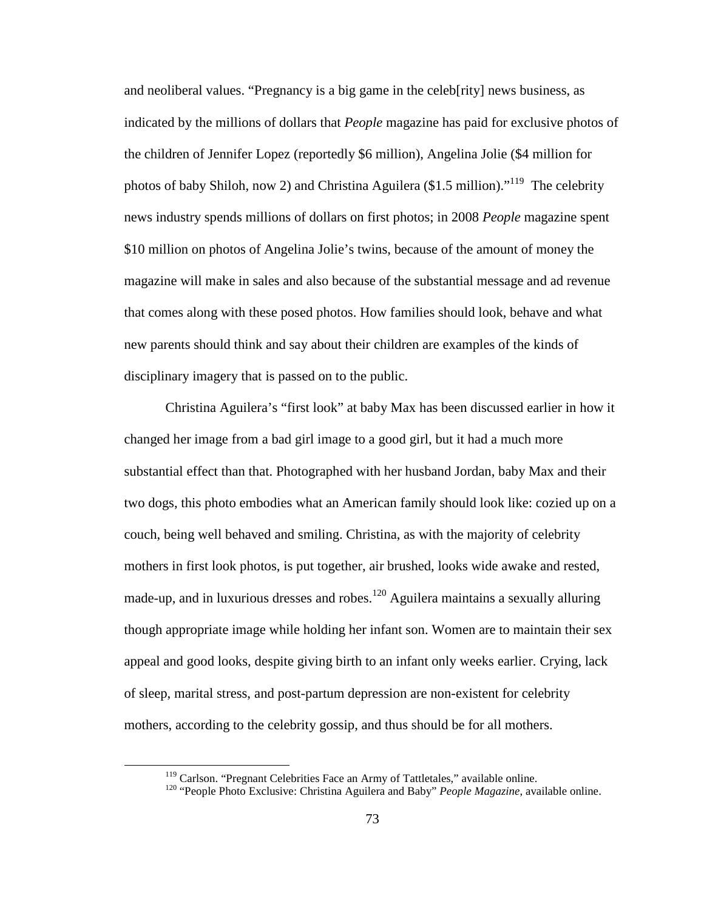and neoliberal values. "Pregnancy is a big game in the celeb[rity] news business, as indicated by the millions of dollars that *People* magazine has paid for exclusive photos of the children of Jennifer Lopez (reportedly \$6 million), Angelina Jolie (\$4 million for photos of baby Shiloh, now 2) and Christina Aguilera (\$1.5 million).<sup>"119</sup> The celebrity news industry spends millions of dollars on first photos; in 2008 *People* magazine spent \$10 million on photos of Angelina Jolie's twins, because of the amount of money the magazine will make in sales and also because of the substantial message and ad revenue that comes along with these posed photos. How families should look, behave and what new parents should think and say about their children are examples of the kinds of disciplinary imagery that is passed on to the public.

 Christina Aguilera's "first look" at baby Max has been discussed earlier in how it changed her image from a bad girl image to a good girl, but it had a much more substantial effect than that. Photographed with her husband Jordan, baby Max and their two dogs, this photo embodies what an American family should look like: cozied up on a couch, being well behaved and smiling. Christina, as with the majority of celebrity mothers in first look photos, is put together, air brushed, looks wide awake and rested, made-up, and in luxurious dresses and robes. $120$  Aguilera maintains a sexually alluring though appropriate image while holding her infant son. Women are to maintain their sex appeal and good looks, despite giving birth to an infant only weeks earlier. Crying, lack of sleep, marital stress, and post-partum depression are non-existent for celebrity mothers, according to the celebrity gossip, and thus should be for all mothers.

<sup>&</sup>lt;sup>119</sup> Carlson. "Pregnant Celebrities Face an Army of Tattletales," available online.

<sup>&</sup>lt;sup>120</sup> "People Photo Exclusive: Christina Aguilera and Baby" *People Magazine*, available online.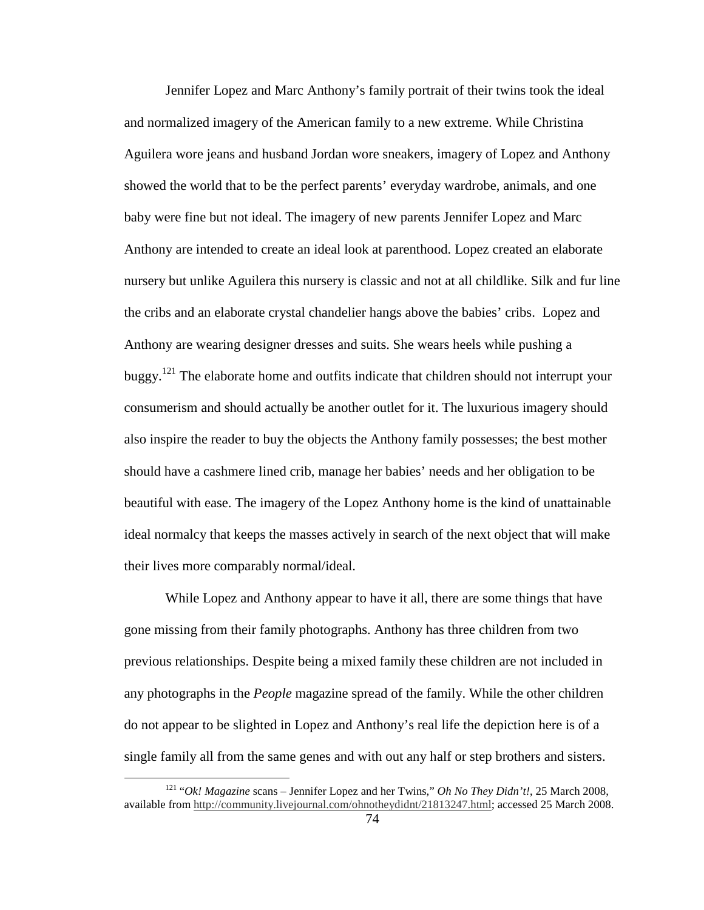Jennifer Lopez and Marc Anthony's family portrait of their twins took the ideal and normalized imagery of the American family to a new extreme. While Christina Aguilera wore jeans and husband Jordan wore sneakers, imagery of Lopez and Anthony showed the world that to be the perfect parents' everyday wardrobe, animals, and one baby were fine but not ideal. The imagery of new parents Jennifer Lopez and Marc Anthony are intended to create an ideal look at parenthood. Lopez created an elaborate nursery but unlike Aguilera this nursery is classic and not at all childlike. Silk and fur line the cribs and an elaborate crystal chandelier hangs above the babies' cribs. Lopez and Anthony are wearing designer dresses and suits. She wears heels while pushing a buggy.<sup>121</sup> The elaborate home and outfits indicate that children should not interrupt your consumerism and should actually be another outlet for it. The luxurious imagery should also inspire the reader to buy the objects the Anthony family possesses; the best mother should have a cashmere lined crib, manage her babies' needs and her obligation to be beautiful with ease. The imagery of the Lopez Anthony home is the kind of unattainable ideal normalcy that keeps the masses actively in search of the next object that will make their lives more comparably normal/ideal.

While Lopez and Anthony appear to have it all, there are some things that have gone missing from their family photographs. Anthony has three children from two previous relationships. Despite being a mixed family these children are not included in any photographs in the *People* magazine spread of the family. While the other children do not appear to be slighted in Lopez and Anthony's real life the depiction here is of a single family all from the same genes and with out any half or step brothers and sisters.

<sup>121</sup> "*Ok! Magazine* scans – Jennifer Lopez and her Twins," *Oh No They Didn't!*, 25 March 2008, available from http://community.livejournal.com/ohnotheydidnt/21813247.html; accessed 25 March 2008.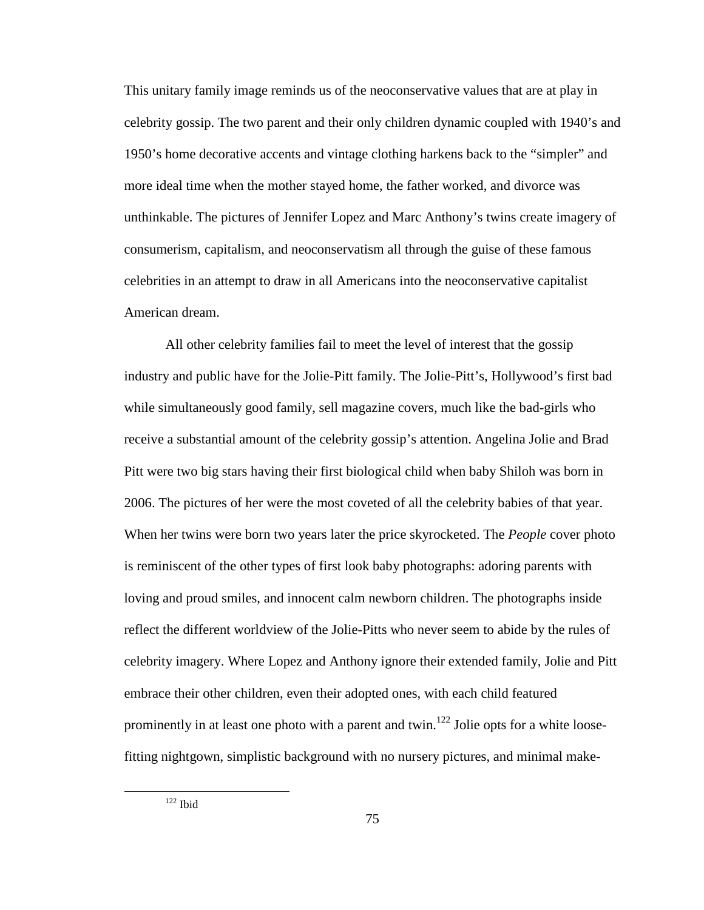This unitary family image reminds us of the neoconservative values that are at play in celebrity gossip. The two parent and their only children dynamic coupled with 1940's and 1950's home decorative accents and vintage clothing harkens back to the "simpler" and more ideal time when the mother stayed home, the father worked, and divorce was unthinkable. The pictures of Jennifer Lopez and Marc Anthony's twins create imagery of consumerism, capitalism, and neoconservatism all through the guise of these famous celebrities in an attempt to draw in all Americans into the neoconservative capitalist American dream.

 All other celebrity families fail to meet the level of interest that the gossip industry and public have for the Jolie-Pitt family. The Jolie-Pitt's, Hollywood's first bad while simultaneously good family, sell magazine covers, much like the bad-girls who receive a substantial amount of the celebrity gossip's attention. Angelina Jolie and Brad Pitt were two big stars having their first biological child when baby Shiloh was born in 2006. The pictures of her were the most coveted of all the celebrity babies of that year. When her twins were born two years later the price skyrocketed. The *People* cover photo is reminiscent of the other types of first look baby photographs: adoring parents with loving and proud smiles, and innocent calm newborn children. The photographs inside reflect the different worldview of the Jolie-Pitts who never seem to abide by the rules of celebrity imagery. Where Lopez and Anthony ignore their extended family, Jolie and Pitt embrace their other children, even their adopted ones, with each child featured prominently in at least one photo with a parent and twin.<sup>122</sup> Jolie opts for a white loosefitting nightgown, simplistic background with no nursery pictures, and minimal make-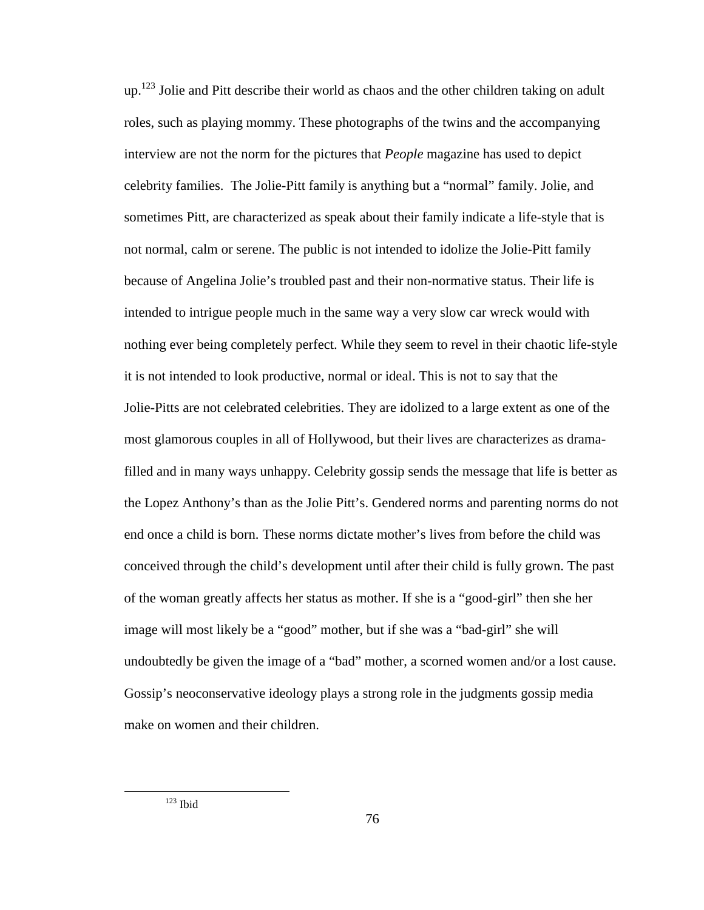$up<sup>123</sup>$  Jolie and Pitt describe their world as chaos and the other children taking on adult roles, such as playing mommy. These photographs of the twins and the accompanying interview are not the norm for the pictures that *People* magazine has used to depict celebrity families. The Jolie-Pitt family is anything but a "normal" family. Jolie, and sometimes Pitt, are characterized as speak about their family indicate a life-style that is not normal, calm or serene. The public is not intended to idolize the Jolie-Pitt family because of Angelina Jolie's troubled past and their non-normative status. Their life is intended to intrigue people much in the same way a very slow car wreck would with nothing ever being completely perfect. While they seem to revel in their chaotic life-style it is not intended to look productive, normal or ideal. This is not to say that the Jolie-Pitts are not celebrated celebrities. They are idolized to a large extent as one of the most glamorous couples in all of Hollywood, but their lives are characterizes as dramafilled and in many ways unhappy. Celebrity gossip sends the message that life is better as the Lopez Anthony's than as the Jolie Pitt's. Gendered norms and parenting norms do not end once a child is born. These norms dictate mother's lives from before the child was conceived through the child's development until after their child is fully grown. The past of the woman greatly affects her status as mother. If she is a "good-girl" then she her image will most likely be a "good" mother, but if she was a "bad-girl" she will undoubtedly be given the image of a "bad" mother, a scorned women and/or a lost cause. Gossip's neoconservative ideology plays a strong role in the judgments gossip media make on women and their children.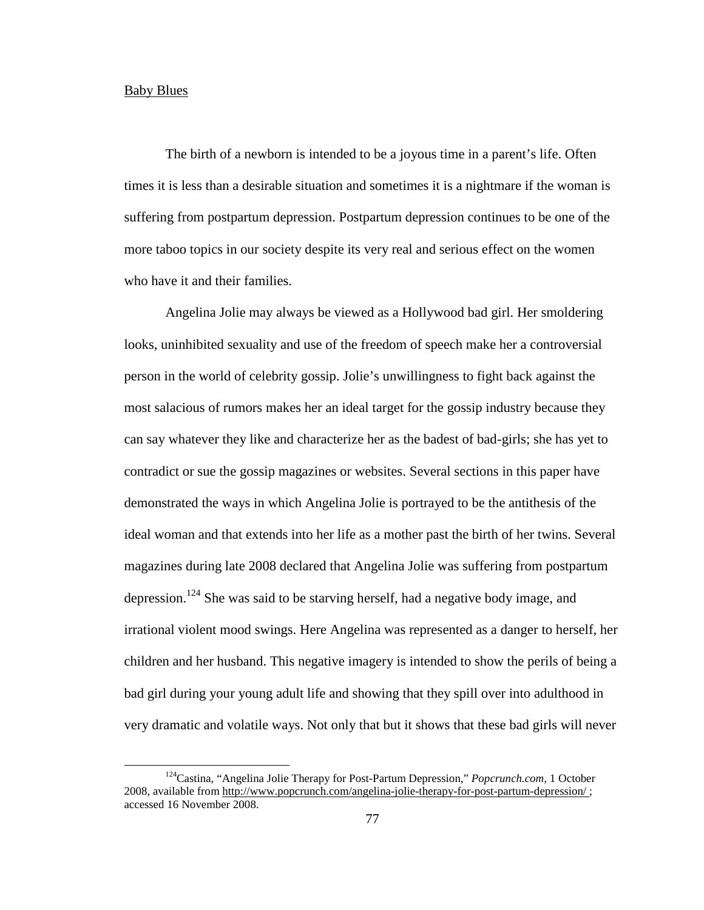## Baby Blues

 $\overline{a}$ 

The birth of a newborn is intended to be a joyous time in a parent's life. Often times it is less than a desirable situation and sometimes it is a nightmare if the woman is suffering from postpartum depression. Postpartum depression continues to be one of the more taboo topics in our society despite its very real and serious effect on the women who have it and their families.

 Angelina Jolie may always be viewed as a Hollywood bad girl. Her smoldering looks, uninhibited sexuality and use of the freedom of speech make her a controversial person in the world of celebrity gossip. Jolie's unwillingness to fight back against the most salacious of rumors makes her an ideal target for the gossip industry because they can say whatever they like and characterize her as the badest of bad-girls; she has yet to contradict or sue the gossip magazines or websites. Several sections in this paper have demonstrated the ways in which Angelina Jolie is portrayed to be the antithesis of the ideal woman and that extends into her life as a mother past the birth of her twins. Several magazines during late 2008 declared that Angelina Jolie was suffering from postpartum depression.<sup>124</sup> She was said to be starving herself, had a negative body image, and irrational violent mood swings. Here Angelina was represented as a danger to herself, her children and her husband. This negative imagery is intended to show the perils of being a bad girl during your young adult life and showing that they spill over into adulthood in very dramatic and volatile ways. Not only that but it shows that these bad girls will never

<sup>124</sup>Castina, "Angelina Jolie Therapy for Post-Partum Depression," *Popcrunch.com,* 1 October 2008, available from http://www.popcrunch.com/angelina-jolie-therapy-for-post-partum-depression/ ; accessed 16 November 2008.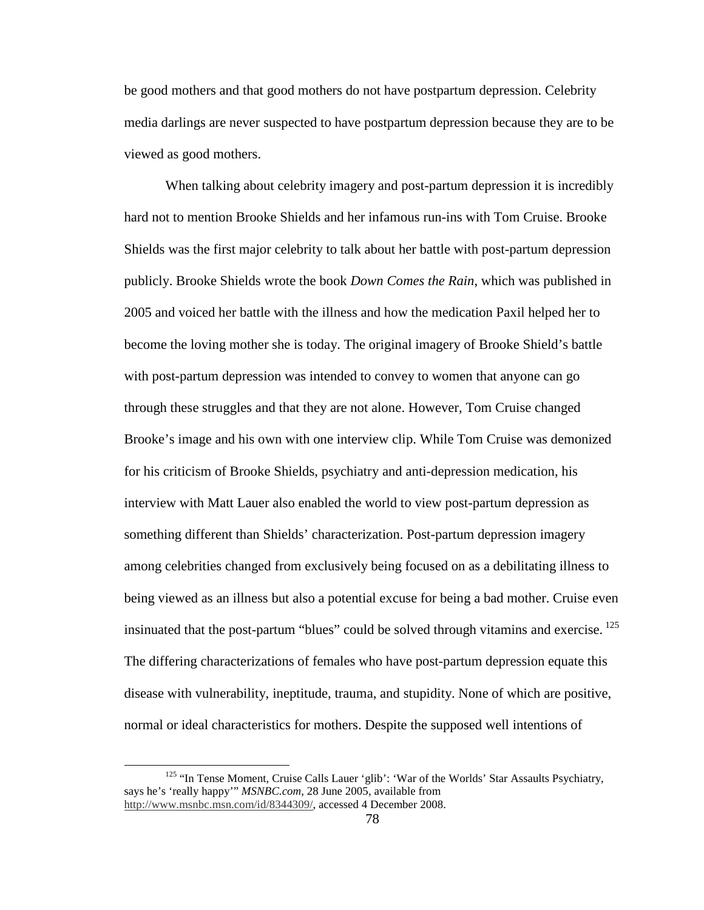be good mothers and that good mothers do not have postpartum depression. Celebrity media darlings are never suspected to have postpartum depression because they are to be viewed as good mothers.

 When talking about celebrity imagery and post-partum depression it is incredibly hard not to mention Brooke Shields and her infamous run-ins with Tom Cruise. Brooke Shields was the first major celebrity to talk about her battle with post-partum depression publicly. Brooke Shields wrote the book *Down Comes the Rain*, which was published in 2005 and voiced her battle with the illness and how the medication Paxil helped her to become the loving mother she is today. The original imagery of Brooke Shield's battle with post-partum depression was intended to convey to women that anyone can go through these struggles and that they are not alone. However, Tom Cruise changed Brooke's image and his own with one interview clip. While Tom Cruise was demonized for his criticism of Brooke Shields, psychiatry and anti-depression medication, his interview with Matt Lauer also enabled the world to view post-partum depression as something different than Shields' characterization. Post-partum depression imagery among celebrities changed from exclusively being focused on as a debilitating illness to being viewed as an illness but also a potential excuse for being a bad mother. Cruise even insinuated that the post-partum "blues" could be solved through vitamins and exercise.<sup>125</sup> The differing characterizations of females who have post-partum depression equate this disease with vulnerability, ineptitude, trauma, and stupidity. None of which are positive, normal or ideal characteristics for mothers. Despite the supposed well intentions of

<sup>&</sup>lt;sup>125</sup> "In Tense Moment, Cruise Calls Lauer 'glib': 'War of the Worlds' Star Assaults Psychiatry, says he's 'really happy'" *MSNBC.com*, 28 June 2005, available from http://www.msnbc.msn.com/id/8344309/, accessed 4 December 2008.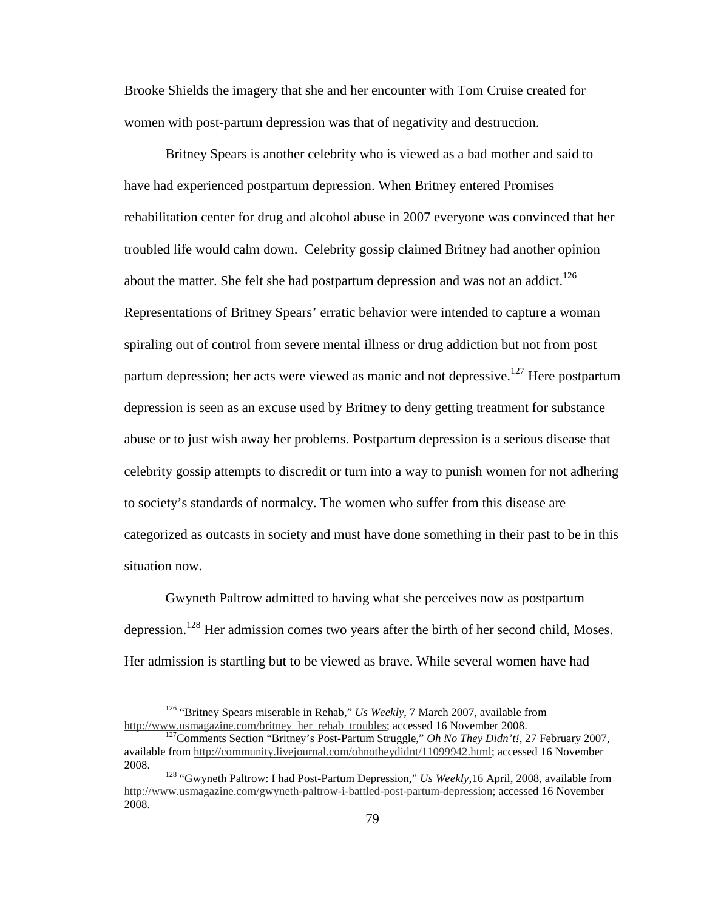Brooke Shields the imagery that she and her encounter with Tom Cruise created for women with post-partum depression was that of negativity and destruction.

 Britney Spears is another celebrity who is viewed as a bad mother and said to have had experienced postpartum depression. When Britney entered Promises rehabilitation center for drug and alcohol abuse in 2007 everyone was convinced that her troubled life would calm down. Celebrity gossip claimed Britney had another opinion about the matter. She felt she had postpartum depression and was not an addict.<sup>126</sup> Representations of Britney Spears' erratic behavior were intended to capture a woman spiraling out of control from severe mental illness or drug addiction but not from post partum depression; her acts were viewed as manic and not depressive.<sup>127</sup> Here postpartum depression is seen as an excuse used by Britney to deny getting treatment for substance abuse or to just wish away her problems. Postpartum depression is a serious disease that celebrity gossip attempts to discredit or turn into a way to punish women for not adhering to society's standards of normalcy. The women who suffer from this disease are categorized as outcasts in society and must have done something in their past to be in this situation now.

 Gwyneth Paltrow admitted to having what she perceives now as postpartum depression.<sup>128</sup> Her admission comes two years after the birth of her second child, Moses. Her admission is startling but to be viewed as brave. While several women have had

<sup>126</sup> "Britney Spears miserable in Rehab," *Us Weekly*, 7 March 2007, available from http://www.usmagazine.com/britney\_her\_rehab\_troubles; accessed 16 November 2008.

<sup>127</sup>Comments Section "Britney's Post-Partum Struggle," *Oh No They Didn't!*, 27 February 2007, available from http://community.livejournal.com/ohnotheydidnt/11099942.html; accessed 16 November 2008.

<sup>&</sup>lt;sup>128</sup> "Gwyneth Paltrow: I had Post-Partum Depression," *Us Weekly*, 16 April, 2008, available from http://www.usmagazine.com/gwyneth-paltrow-i-battled-post-partum-depression; accessed 16 November 2008.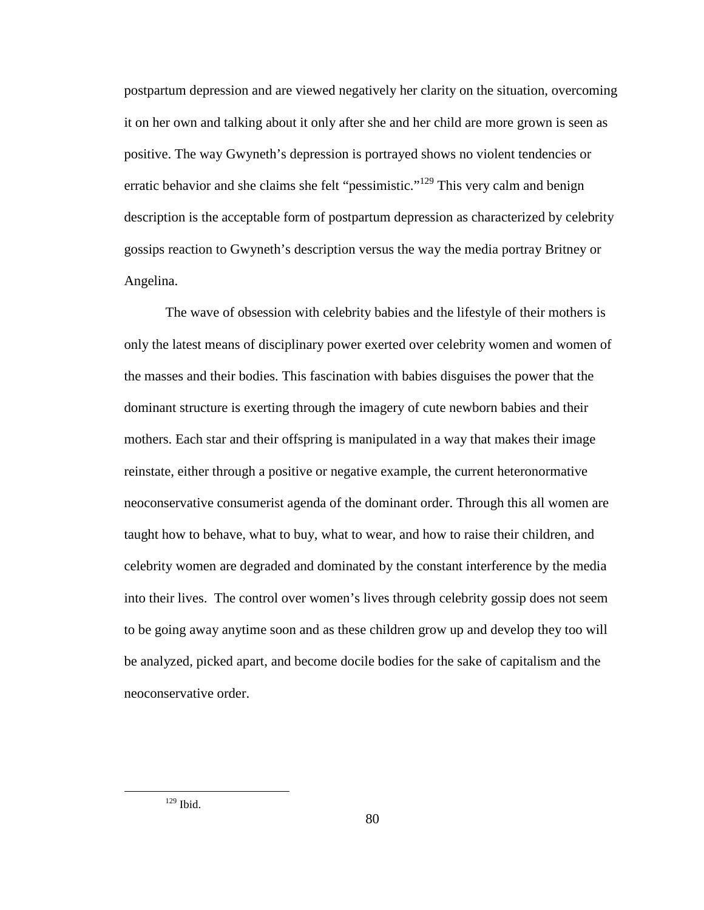postpartum depression and are viewed negatively her clarity on the situation, overcoming it on her own and talking about it only after she and her child are more grown is seen as positive. The way Gwyneth's depression is portrayed shows no violent tendencies or erratic behavior and she claims she felt "pessimistic."<sup>129</sup> This very calm and benign description is the acceptable form of postpartum depression as characterized by celebrity gossips reaction to Gwyneth's description versus the way the media portray Britney or Angelina.

 The wave of obsession with celebrity babies and the lifestyle of their mothers is only the latest means of disciplinary power exerted over celebrity women and women of the masses and their bodies. This fascination with babies disguises the power that the dominant structure is exerting through the imagery of cute newborn babies and their mothers. Each star and their offspring is manipulated in a way that makes their image reinstate, either through a positive or negative example, the current heteronormative neoconservative consumerist agenda of the dominant order. Through this all women are taught how to behave, what to buy, what to wear, and how to raise their children, and celebrity women are degraded and dominated by the constant interference by the media into their lives. The control over women's lives through celebrity gossip does not seem to be going away anytime soon and as these children grow up and develop they too will be analyzed, picked apart, and become docile bodies for the sake of capitalism and the neoconservative order.

<u>.</u>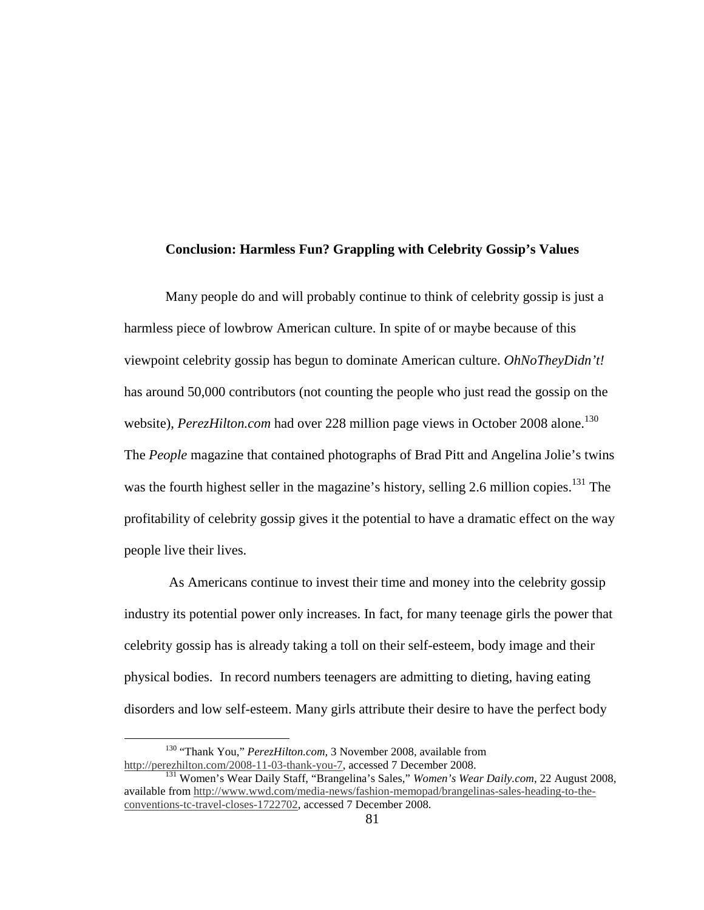## **Conclusion: Harmless Fun? Grappling with Celebrity Gossip's Values**

 Many people do and will probably continue to think of celebrity gossip is just a harmless piece of lowbrow American culture. In spite of or maybe because of this viewpoint celebrity gossip has begun to dominate American culture. *OhNoTheyDidn't!* has around 50,000 contributors (not counting the people who just read the gossip on the website), *PerezHilton.com* had over 228 million page views in October 2008 alone.<sup>130</sup> The *People* magazine that contained photographs of Brad Pitt and Angelina Jolie's twins was the fourth highest seller in the magazine's history, selling 2.6 million copies.<sup>131</sup> The profitability of celebrity gossip gives it the potential to have a dramatic effect on the way people live their lives.

 As Americans continue to invest their time and money into the celebrity gossip industry its potential power only increases. In fact, for many teenage girls the power that celebrity gossip has is already taking a toll on their self-esteem, body image and their physical bodies. In record numbers teenagers are admitting to dieting, having eating disorders and low self-esteem. Many girls attribute their desire to have the perfect body

<u>.</u>

<sup>130</sup> "Thank You," *PerezHilton.com,* 3 November 2008, available from http://perezhilton.com/2008-11-03-thank-you-7, accessed 7 December 2008.

<sup>131</sup> Women's Wear Daily Staff, "Brangelina's Sales," *Women's Wear Daily.com*, 22 August 2008, available from http://www.wwd.com/media-news/fashion-memopad/brangelinas-sales-heading-to-theconventions-tc-travel-closes-1722702, accessed 7 December 2008.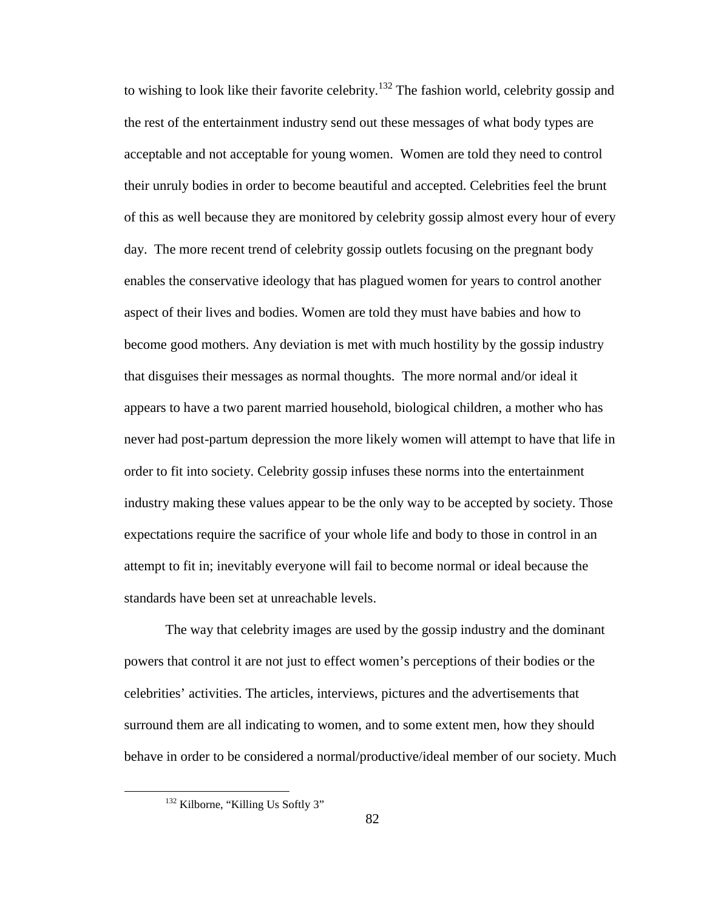to wishing to look like their favorite celebrity.<sup>132</sup> The fashion world, celebrity gossip and the rest of the entertainment industry send out these messages of what body types are acceptable and not acceptable for young women. Women are told they need to control their unruly bodies in order to become beautiful and accepted. Celebrities feel the brunt of this as well because they are monitored by celebrity gossip almost every hour of every day. The more recent trend of celebrity gossip outlets focusing on the pregnant body enables the conservative ideology that has plagued women for years to control another aspect of their lives and bodies. Women are told they must have babies and how to become good mothers. Any deviation is met with much hostility by the gossip industry that disguises their messages as normal thoughts. The more normal and/or ideal it appears to have a two parent married household, biological children, a mother who has never had post-partum depression the more likely women will attempt to have that life in order to fit into society. Celebrity gossip infuses these norms into the entertainment industry making these values appear to be the only way to be accepted by society. Those expectations require the sacrifice of your whole life and body to those in control in an attempt to fit in; inevitably everyone will fail to become normal or ideal because the standards have been set at unreachable levels.

The way that celebrity images are used by the gossip industry and the dominant powers that control it are not just to effect women's perceptions of their bodies or the celebrities' activities. The articles, interviews, pictures and the advertisements that surround them are all indicating to women, and to some extent men, how they should behave in order to be considered a normal/productive/ideal member of our society. Much

<u>.</u>

<sup>&</sup>lt;sup>132</sup> Kilborne, "Killing Us Softly 3"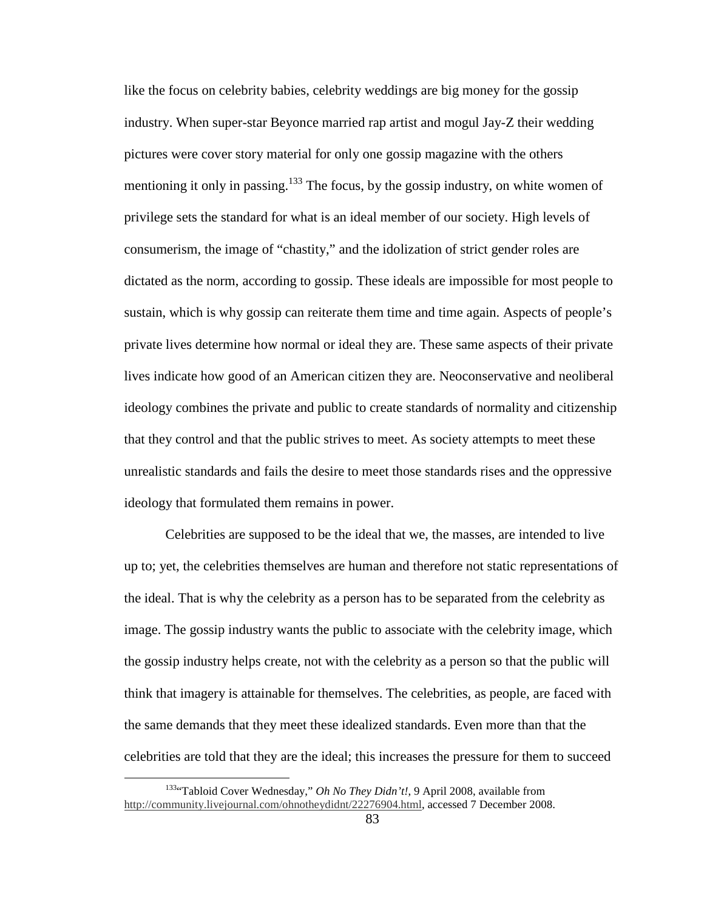like the focus on celebrity babies, celebrity weddings are big money for the gossip industry. When super-star Beyonce married rap artist and mogul Jay-Z their wedding pictures were cover story material for only one gossip magazine with the others mentioning it only in passing.<sup>133</sup> The focus, by the gossip industry, on white women of privilege sets the standard for what is an ideal member of our society. High levels of consumerism, the image of "chastity," and the idolization of strict gender roles are dictated as the norm, according to gossip. These ideals are impossible for most people to sustain, which is why gossip can reiterate them time and time again. Aspects of people's private lives determine how normal or ideal they are. These same aspects of their private lives indicate how good of an American citizen they are. Neoconservative and neoliberal ideology combines the private and public to create standards of normality and citizenship that they control and that the public strives to meet. As society attempts to meet these unrealistic standards and fails the desire to meet those standards rises and the oppressive ideology that formulated them remains in power.

Celebrities are supposed to be the ideal that we, the masses, are intended to live up to; yet, the celebrities themselves are human and therefore not static representations of the ideal. That is why the celebrity as a person has to be separated from the celebrity as image. The gossip industry wants the public to associate with the celebrity image, which the gossip industry helps create, not with the celebrity as a person so that the public will think that imagery is attainable for themselves. The celebrities, as people, are faced with the same demands that they meet these idealized standards. Even more than that the celebrities are told that they are the ideal; this increases the pressure for them to succeed

<sup>&</sup>lt;sup>133</sup>"Tabloid Cover Wednesday," *Oh No They Didn't!*, 9 April 2008, available from http://community.livejournal.com/ohnotheydidnt/22276904.html, accessed 7 December 2008.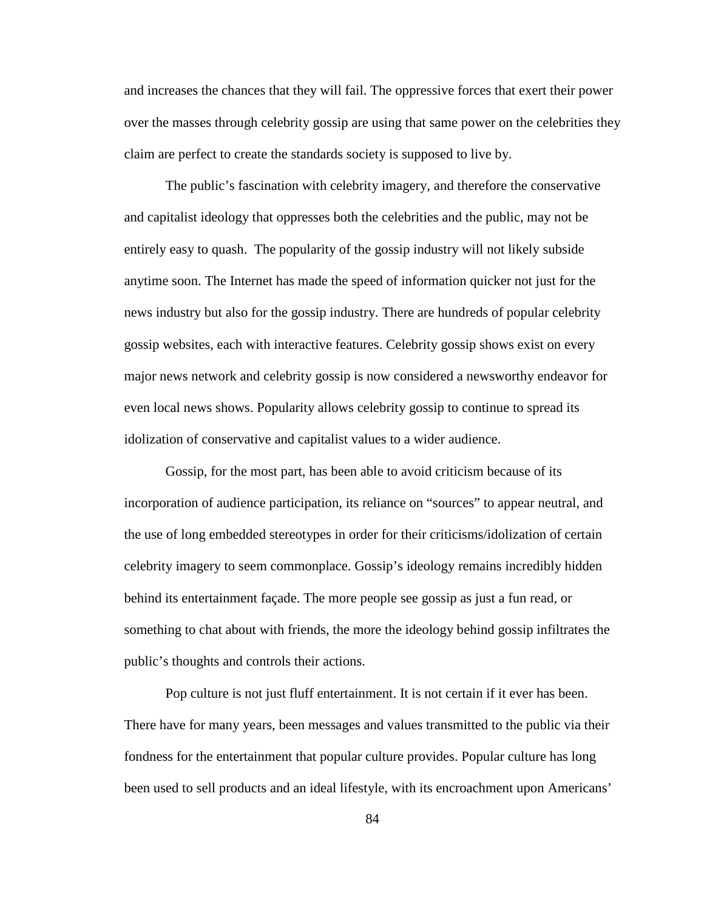and increases the chances that they will fail. The oppressive forces that exert their power over the masses through celebrity gossip are using that same power on the celebrities they claim are perfect to create the standards society is supposed to live by.

The public's fascination with celebrity imagery, and therefore the conservative and capitalist ideology that oppresses both the celebrities and the public, may not be entirely easy to quash. The popularity of the gossip industry will not likely subside anytime soon. The Internet has made the speed of information quicker not just for the news industry but also for the gossip industry. There are hundreds of popular celebrity gossip websites, each with interactive features. Celebrity gossip shows exist on every major news network and celebrity gossip is now considered a newsworthy endeavor for even local news shows. Popularity allows celebrity gossip to continue to spread its idolization of conservative and capitalist values to a wider audience.

Gossip, for the most part, has been able to avoid criticism because of its incorporation of audience participation, its reliance on "sources" to appear neutral, and the use of long embedded stereotypes in order for their criticisms/idolization of certain celebrity imagery to seem commonplace. Gossip's ideology remains incredibly hidden behind its entertainment façade. The more people see gossip as just a fun read, or something to chat about with friends, the more the ideology behind gossip infiltrates the public's thoughts and controls their actions.

Pop culture is not just fluff entertainment. It is not certain if it ever has been. There have for many years, been messages and values transmitted to the public via their fondness for the entertainment that popular culture provides. Popular culture has long been used to sell products and an ideal lifestyle, with its encroachment upon Americans'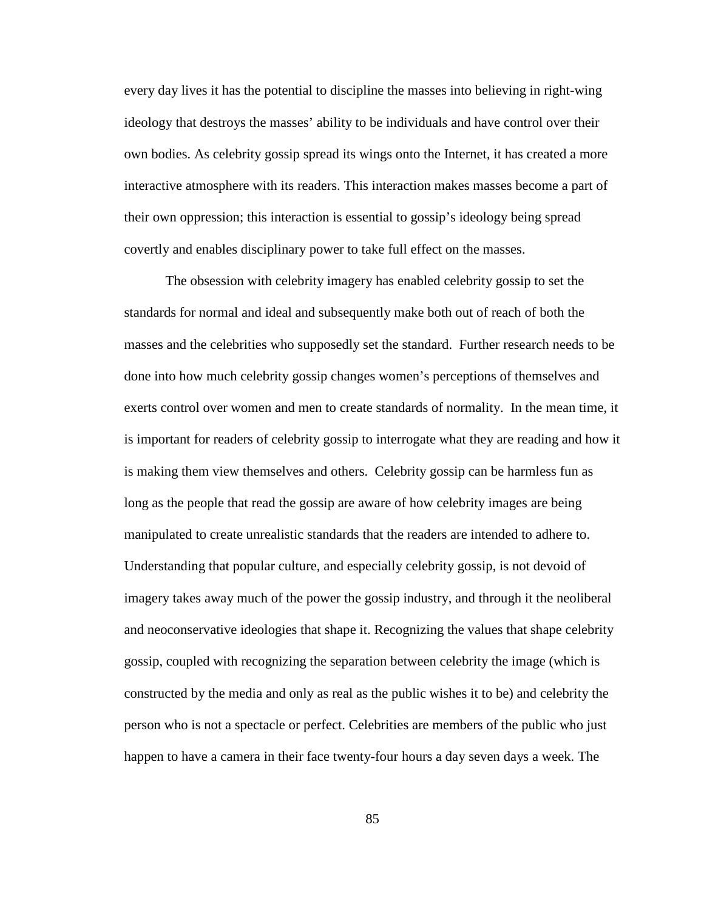every day lives it has the potential to discipline the masses into believing in right-wing ideology that destroys the masses' ability to be individuals and have control over their own bodies. As celebrity gossip spread its wings onto the Internet, it has created a more interactive atmosphere with its readers. This interaction makes masses become a part of their own oppression; this interaction is essential to gossip's ideology being spread covertly and enables disciplinary power to take full effect on the masses.

The obsession with celebrity imagery has enabled celebrity gossip to set the standards for normal and ideal and subsequently make both out of reach of both the masses and the celebrities who supposedly set the standard. Further research needs to be done into how much celebrity gossip changes women's perceptions of themselves and exerts control over women and men to create standards of normality. In the mean time, it is important for readers of celebrity gossip to interrogate what they are reading and how it is making them view themselves and others. Celebrity gossip can be harmless fun as long as the people that read the gossip are aware of how celebrity images are being manipulated to create unrealistic standards that the readers are intended to adhere to. Understanding that popular culture, and especially celebrity gossip, is not devoid of imagery takes away much of the power the gossip industry, and through it the neoliberal and neoconservative ideologies that shape it. Recognizing the values that shape celebrity gossip, coupled with recognizing the separation between celebrity the image (which is constructed by the media and only as real as the public wishes it to be) and celebrity the person who is not a spectacle or perfect. Celebrities are members of the public who just happen to have a camera in their face twenty-four hours a day seven days a week. The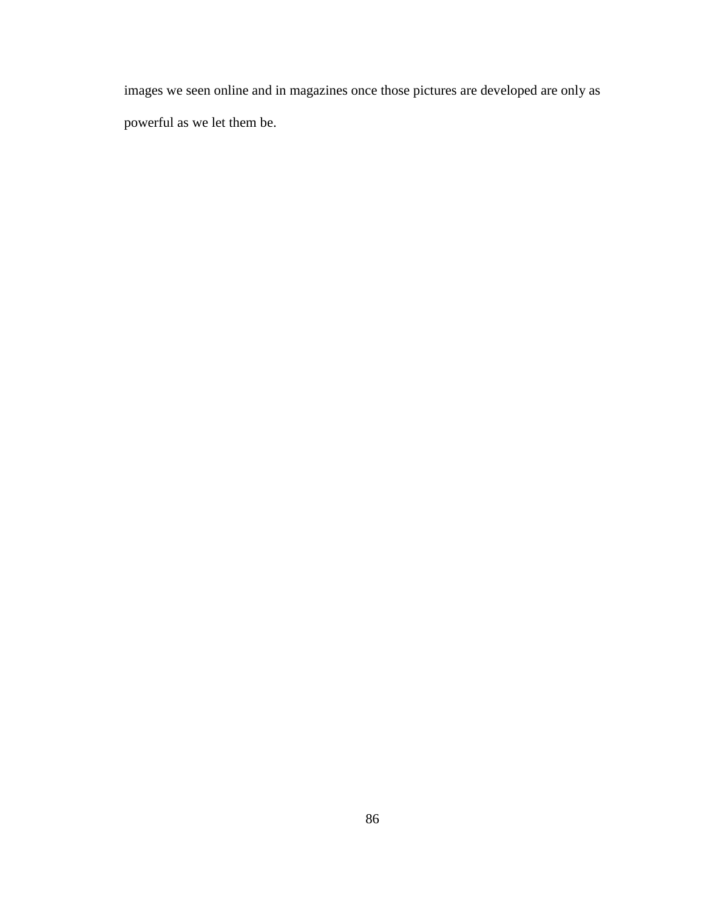images we seen online and in magazines once those pictures are developed are only as powerful as we let them be.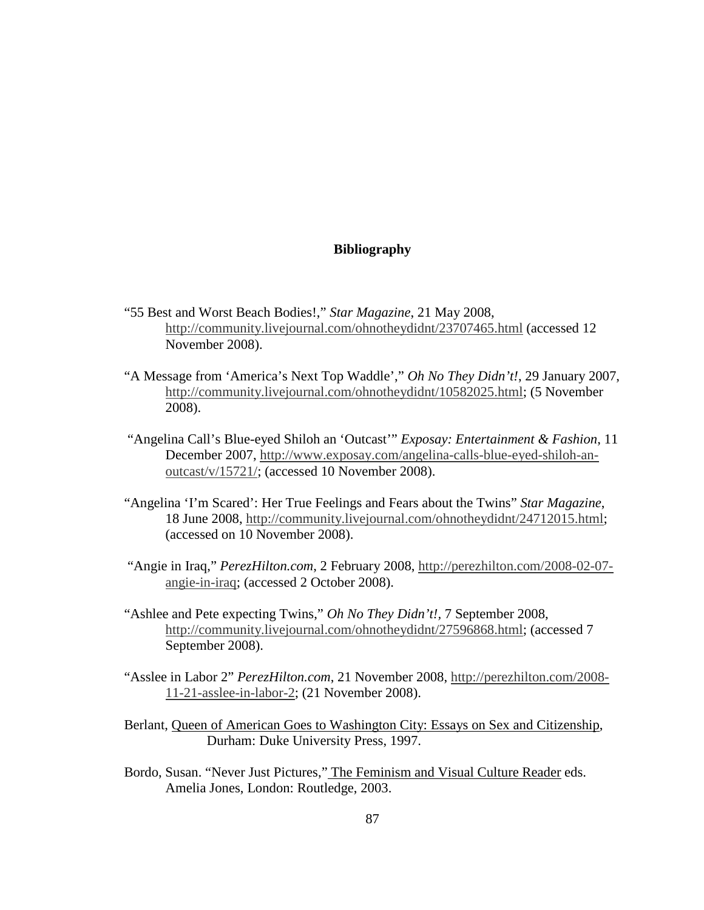## **Bibliography**

- "55 Best and Worst Beach Bodies!," *Star Magazine*, 21 May 2008, http://community.livejournal.com/ohnotheydidnt/23707465.html (accessed 12 November 2008).
- "A Message from 'America's Next Top Waddle'," *Oh No They Didn't!*, 29 January 2007, http://community.livejournal.com/ohnotheydidnt/10582025.html; (5 November 2008).
- "Angelina Call's Blue-eyed Shiloh an 'Outcast'" *Exposay: Entertainment & Fashion*, 11 December 2007, http://www.exposay.com/angelina-calls-blue-eyed-shiloh-anoutcast/v/15721/; (accessed 10 November 2008).
- "Angelina 'I'm Scared': Her True Feelings and Fears about the Twins" *Star Magazine*, 18 June 2008, http://community.livejournal.com/ohnotheydidnt/24712015.html; (accessed on 10 November 2008).
- "Angie in Iraq," *PerezHilton.com*, 2 February 2008, http://perezhilton.com/2008-02-07 angie-in-iraq; (accessed 2 October 2008).
- "Ashlee and Pete expecting Twins," *Oh No They Didn't!,* 7 September 2008, http://community.livejournal.com/ohnotheydidnt/27596868.html; (accessed 7 September 2008).
- "Asslee in Labor 2" *PerezHilton.com*, 21 November 2008, http://perezhilton.com/2008- 11-21-asslee-in-labor-2; (21 November 2008).
- Berlant, Queen of American Goes to Washington City: Essays on Sex and Citizenship, Durham: Duke University Press, 1997.
- Bordo, Susan. "Never Just Pictures," The Feminism and Visual Culture Reader eds. Amelia Jones, London: Routledge, 2003.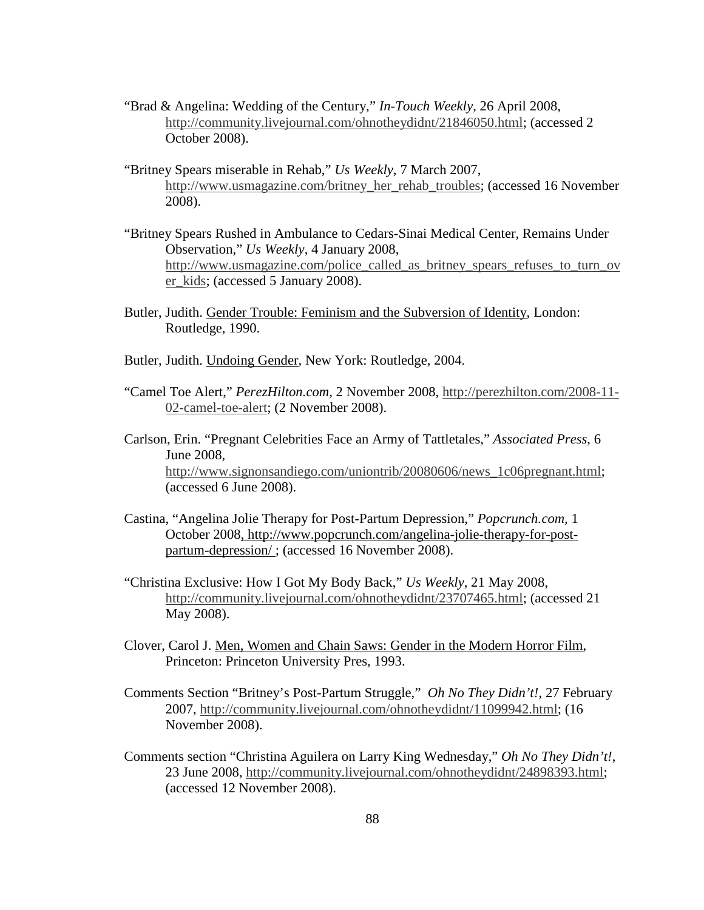- "Brad & Angelina: Wedding of the Century," *In-Touch Weekly*, 26 April 2008, http://community.livejournal.com/ohnotheydidnt/21846050.html; (accessed 2 October 2008).
- "Britney Spears miserable in Rehab," *Us Weekly*, 7 March 2007, http://www.usmagazine.com/britney\_her\_rehab\_troubles; (accessed 16 November 2008).
- "Britney Spears Rushed in Ambulance to Cedars-Sinai Medical Center, Remains Under Observation," *Us Weekly*, 4 January 2008, http://www.usmagazine.com/police\_called\_as\_britney\_spears\_refuses\_to\_turn\_ov er kids; (accessed 5 January 2008).
- Butler, Judith. Gender Trouble: Feminism and the Subversion of Identity, London: Routledge, 1990.
- Butler, Judith. Undoing Gender, New York: Routledge, 2004.
- "Camel Toe Alert," *PerezHilton.com*, 2 November 2008, http://perezhilton.com/2008-11- 02-camel-toe-alert; (2 November 2008).
- Carlson, Erin. "Pregnant Celebrities Face an Army of Tattletales," *Associated Press*, 6 June 2008, http://www.signonsandiego.com/uniontrib/20080606/news\_1c06pregnant.html; (accessed 6 June 2008).
- Castina, "Angelina Jolie Therapy for Post-Partum Depression," *Popcrunch.com,* 1 October 2008, http://www.popcrunch.com/angelina-jolie-therapy-for-postpartum-depression/; (accessed 16 November 2008).
- "Christina Exclusive: How I Got My Body Back," *Us Weekly*, 21 May 2008, http://community.livejournal.com/ohnotheydidnt/23707465.html; (accessed 21 May 2008).
- Clover, Carol J. Men, Women and Chain Saws: Gender in the Modern Horror Film, Princeton: Princeton University Pres, 1993.
- Comments Section "Britney's Post-Partum Struggle," *Oh No They Didn't!*, 27 February 2007, http://community.livejournal.com/ohnotheydidnt/11099942.html; (16 November 2008).
- Comments section "Christina Aguilera on Larry King Wednesday," *Oh No They Didn't!*, 23 June 2008, http://community.livejournal.com/ohnotheydidnt/24898393.html; (accessed 12 November 2008).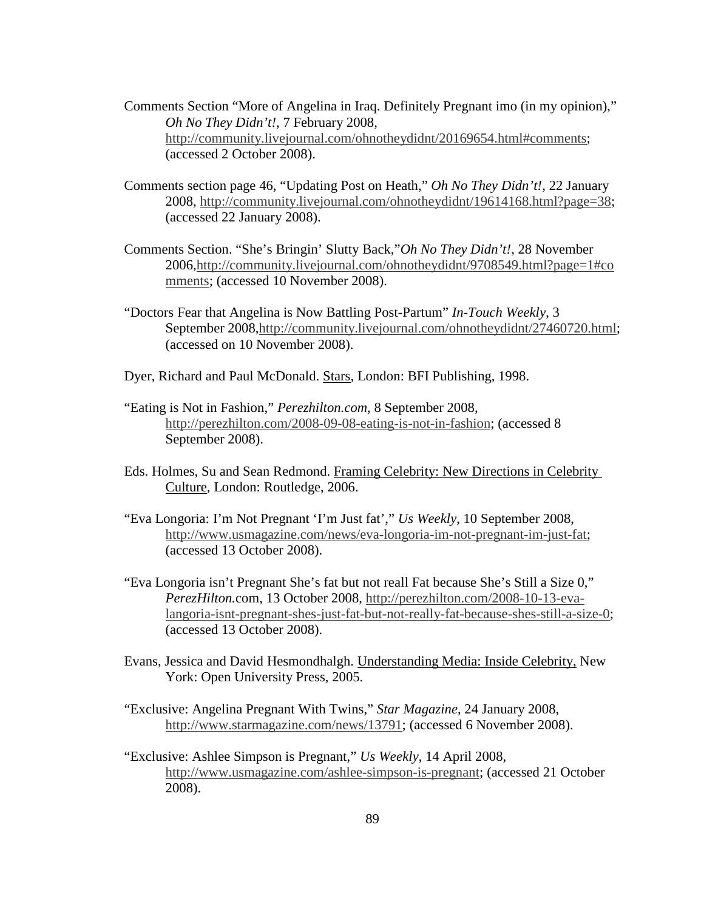- Comments Section "More of Angelina in Iraq. Definitely Pregnant imo (in my opinion)," *Oh No They Didn't!*, 7 February 2008, http://community.livejournal.com/ohnotheydidnt/20169654.html#comments; (accessed 2 October 2008).
- Comments section page 46, "Updating Post on Heath," *Oh No They Didn't!,* 22 January 2008, http://community.livejournal.com/ohnotheydidnt/19614168.html?page=38; (accessed 22 January 2008).
- Comments Section. "She's Bringin' Slutty Back,"*Oh No They Didn't!*, 28 November 2006,http://community.livejournal.com/ohnotheydidnt/9708549.html?page=1#co mments; (accessed 10 November 2008).
- "Doctors Fear that Angelina is Now Battling Post-Partum" *In-Touch Weekly*, 3 September 2008,http://community.livejournal.com/ohnotheydidnt/27460720.html; (accessed on 10 November 2008).
- Dyer, Richard and Paul McDonald. Stars, London: BFI Publishing, 1998.
- "Eating is Not in Fashion," *Perezhilton.com*, 8 September 2008, http://perezhilton.com/2008-09-08-eating-is-not-in-fashion; (accessed 8 September 2008).
- Eds. Holmes, Su and Sean Redmond. Framing Celebrity: New Directions in Celebrity Culture, London: Routledge, 2006.
- "Eva Longoria: I'm Not Pregnant 'I'm Just fat'," *Us Weekly*, 10 September 2008, http://www.usmagazine.com/news/eva-longoria-im-not-pregnant-im-just-fat; (accessed 13 October 2008).
- "Eva Longoria isn't Pregnant She's fat but not reall Fat because She's Still a Size 0," *PerezHilton.*com, 13 October 2008, http://perezhilton.com/2008-10-13-evalangoria-isnt-pregnant-shes-just-fat-but-not-really-fat-because-shes-still-a-size-0; (accessed 13 October 2008).
- Evans, Jessica and David Hesmondhalgh. Understanding Media: Inside Celebrity, New York: Open University Press, 2005.
- "Exclusive: Angelina Pregnant With Twins," *Star Magazine*, 24 January 2008, http://www.starmagazine.com/news/13791; (accessed 6 November 2008).
- "Exclusive: Ashlee Simpson is Pregnant," *Us Weekly*, 14 April 2008, http://www.usmagazine.com/ashlee-simpson-is-pregnant; (accessed 21 October 2008).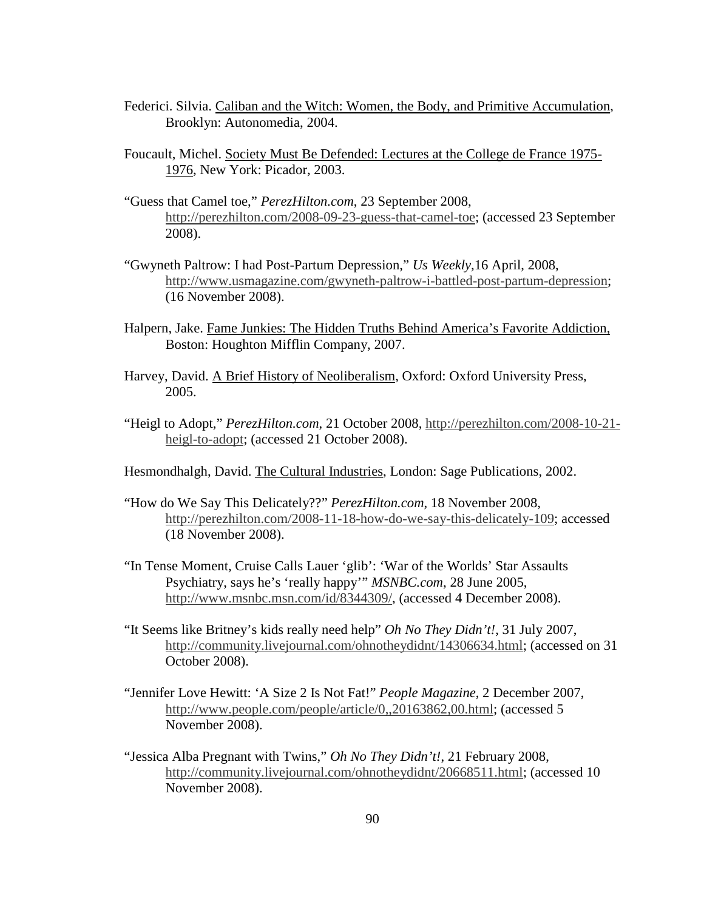- Federici. Silvia. Caliban and the Witch: Women, the Body, and Primitive Accumulation, Brooklyn: Autonomedia, 2004.
- Foucault, Michel. Society Must Be Defended: Lectures at the College de France 1975- 1976, New York: Picador, 2003.
- "Guess that Camel toe," *PerezHilton.com*, 23 September 2008, http://perezhilton.com/2008-09-23-guess-that-camel-toe; (accessed 23 September 2008).
- "Gwyneth Paltrow: I had Post-Partum Depression," *Us Weekly,*16 April, 2008, http://www.usmagazine.com/gwyneth-paltrow-i-battled-post-partum-depression; (16 November 2008).
- Halpern, Jake. Fame Junkies: The Hidden Truths Behind America's Favorite Addiction, Boston: Houghton Mifflin Company, 2007.
- Harvey, David. A Brief History of Neoliberalism, Oxford: Oxford University Press, 2005.
- "Heigl to Adopt," *PerezHilton.com*, 21 October 2008, http://perezhilton.com/2008-10-21 heigl-to-adopt; (accessed 21 October 2008).
- Hesmondhalgh, David. The Cultural Industries, London: Sage Publications, 2002.
- "How do We Say This Delicately??" *PerezHilton.com*, 18 November 2008, http://perezhilton.com/2008-11-18-how-do-we-say-this-delicately-109; accessed (18 November 2008).
- "In Tense Moment, Cruise Calls Lauer 'glib': 'War of the Worlds' Star Assaults Psychiatry, says he's 'really happy'" *MSNBC.com*, 28 June 2005, http://www.msnbc.msn.com/id/8344309/, (accessed 4 December 2008).
- "It Seems like Britney's kids really need help" *Oh No They Didn't!*, 31 July 2007, http://community.livejournal.com/ohnotheydidnt/14306634.html; (accessed on 31 October 2008).
- "Jennifer Love Hewitt: 'A Size 2 Is Not Fat!" *People Magazine*, 2 December 2007, http://www.people.com/people/article/0,,20163862,00.html; (accessed 5 November 2008).
- "Jessica Alba Pregnant with Twins," *Oh No They Didn't!*, 21 February 2008, http://community.livejournal.com/ohnotheydidnt/20668511.html; (accessed 10 November 2008).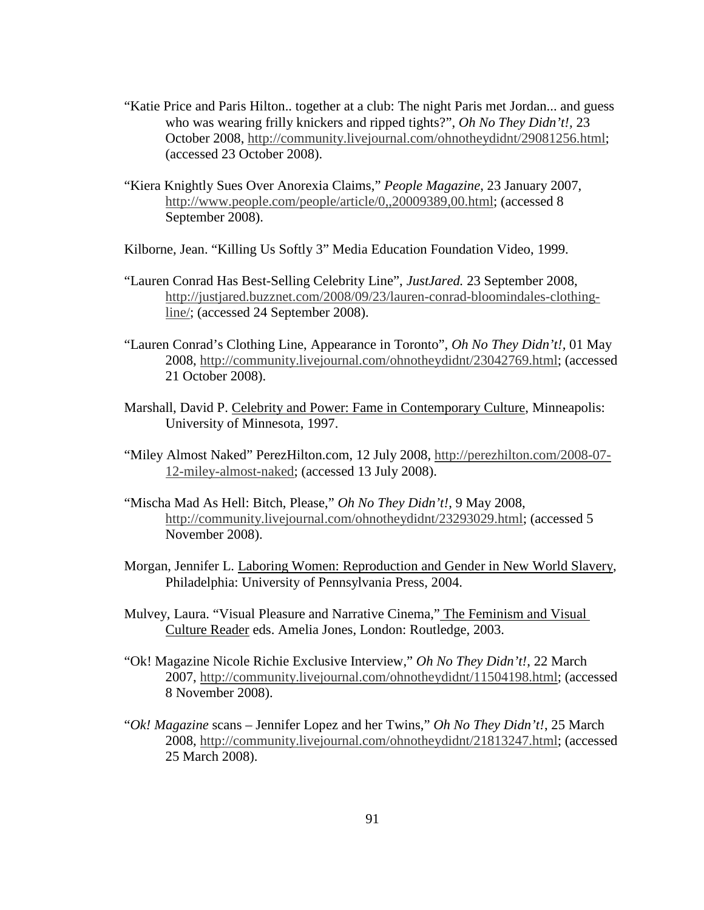- "Katie Price and Paris Hilton.. together at a club: The night Paris met Jordan... and guess who was wearing frilly knickers and ripped tights?", *Oh No They Didn't!,* 23 October 2008, http://community.livejournal.com/ohnotheydidnt/29081256.html; (accessed 23 October 2008).
- "Kiera Knightly Sues Over Anorexia Claims," *People Magazine*, 23 January 2007, http://www.people.com/people/article/0,,20009389,00.html; (accessed 8 September 2008).
- Kilborne, Jean. "Killing Us Softly 3" Media Education Foundation Video, 1999.
- "Lauren Conrad Has Best-Selling Celebrity Line", *JustJared.* 23 September 2008, http://justjared.buzznet.com/2008/09/23/lauren-conrad-bloomindales-clothingline/; (accessed 24 September 2008).
- "Lauren Conrad's Clothing Line, Appearance in Toronto", *Oh No They Didn't!,* 01 May 2008, http://community.livejournal.com/ohnotheydidnt/23042769.html; (accessed 21 October 2008).
- Marshall, David P. Celebrity and Power: Fame in Contemporary Culture, Minneapolis: University of Minnesota, 1997.
- "Miley Almost Naked" PerezHilton.com, 12 July 2008, http://perezhilton.com/2008-07- 12-miley-almost-naked; (accessed 13 July 2008).
- "Mischa Mad As Hell: Bitch, Please," *Oh No They Didn't!*, 9 May 2008, http://community.livejournal.com/ohnotheydidnt/23293029.html; (accessed 5 November 2008).
- Morgan, Jennifer L. Laboring Women: Reproduction and Gender in New World Slavery, Philadelphia: University of Pennsylvania Press, 2004.
- Mulvey, Laura. "Visual Pleasure and Narrative Cinema," The Feminism and Visual Culture Reader eds. Amelia Jones, London: Routledge, 2003.
- "Ok! Magazine Nicole Richie Exclusive Interview," *Oh No They Didn't!*, 22 March 2007, http://community.livejournal.com/ohnotheydidnt/11504198.html; (accessed 8 November 2008).
- "*Ok! Magazine* scans Jennifer Lopez and her Twins," *Oh No They Didn't!*, 25 March 2008, http://community.livejournal.com/ohnotheydidnt/21813247.html; (accessed 25 March 2008).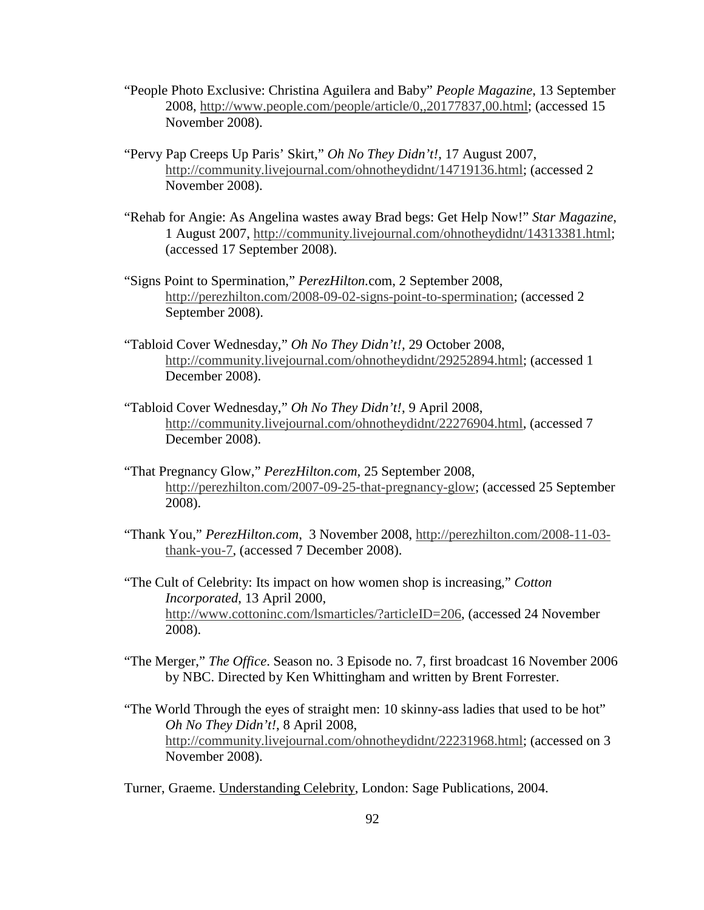- "People Photo Exclusive: Christina Aguilera and Baby" *People Magazine*, 13 September 2008, http://www.people.com/people/article/0,,20177837,00.html; (accessed 15 November 2008).
- "Pervy Pap Creeps Up Paris' Skirt," *Oh No They Didn't!*, 17 August 2007, http://community.livejournal.com/ohnotheydidnt/14719136.html; (accessed 2 November 2008).
- "Rehab for Angie: As Angelina wastes away Brad begs: Get Help Now!" *Star Magazine*, 1 August 2007, http://community.livejournal.com/ohnotheydidnt/14313381.html; (accessed 17 September 2008).
- "Signs Point to Spermination," *PerezHilton.*com, 2 September 2008, http://perezhilton.com/2008-09-02-signs-point-to-spermination; (accessed 2 September 2008).
- "Tabloid Cover Wednesday," *Oh No They Didn't!,* 29 October 2008, http://community.livejournal.com/ohnotheydidnt/29252894.html; (accessed 1 December 2008).
- "Tabloid Cover Wednesday," *Oh No They Didn't!*, 9 April 2008, http://community.livejournal.com/ohnotheydidnt/22276904.html, (accessed 7 December 2008).
- "That Pregnancy Glow," *PerezHilton.com,* 25 September 2008, http://perezhilton.com/2007-09-25-that-pregnancy-glow; (accessed 25 September 2008).
- "Thank You," *PerezHilton.com,* 3 November 2008, http://perezhilton.com/2008-11-03 thank-you-7, (accessed 7 December 2008).
- "The Cult of Celebrity: Its impact on how women shop is increasing," *Cotton Incorporated*, 13 April 2000, http://www.cottoninc.com/lsmarticles/?articleID=206, (accessed 24 November 2008).
- "The Merger," *The Office*. Season no. 3 Episode no. 7, first broadcast 16 November 2006 by NBC. Directed by Ken Whittingham and written by Brent Forrester.
- "The World Through the eyes of straight men: 10 skinny-ass ladies that used to be hot" *Oh No They Didn't!*, 8 April 2008, http://community.livejournal.com/ohnotheydidnt/22231968.html; (accessed on 3 November 2008).

Turner, Graeme. Understanding Celebrity, London: Sage Publications, 2004.